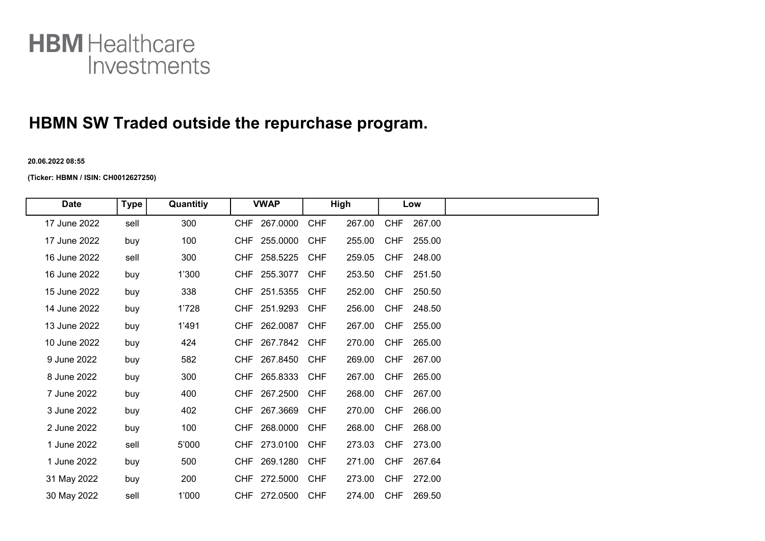## **HBM** Healthcare Investments

## HBMN SW Traded outside the repurchase program.

## 20.06.2022 08:55

(Ticker: HBMN / ISIN: CH0012627250)

| <b>Date</b>  | <b>Type</b> | Quantitiy |      | <b>VWAP</b>  |            | High   |            | Low    |
|--------------|-------------|-----------|------|--------------|------------|--------|------------|--------|
| 17 June 2022 | sell        | 300       | CHF  | 267.0000     | <b>CHF</b> | 267.00 | <b>CHF</b> | 267.00 |
| 17 June 2022 | buy         | 100       | CHF. | 255.0000     | <b>CHF</b> | 255.00 | <b>CHF</b> | 255.00 |
| 16 June 2022 | sell        | 300       | CHF  | 258.5225     | <b>CHF</b> | 259.05 | <b>CHF</b> | 248.00 |
| 16 June 2022 | buy         | 1'300     |      | CHF 255.3077 | <b>CHF</b> | 253.50 | <b>CHF</b> | 251.50 |
| 15 June 2022 | buy         | 338       |      | CHF 251.5355 | <b>CHF</b> | 252.00 | <b>CHF</b> | 250.50 |
| 14 June 2022 | buy         | 1'728     |      | CHF 251.9293 | <b>CHF</b> | 256.00 | <b>CHF</b> | 248.50 |
| 13 June 2022 | buy         | 1'491     | CHF  | 262.0087     | <b>CHF</b> | 267.00 | <b>CHF</b> | 255.00 |
| 10 June 2022 | buy         | 424       |      | CHF 267.7842 | <b>CHF</b> | 270.00 | <b>CHF</b> | 265.00 |
| 9 June 2022  | buy         | 582       |      | CHF 267.8450 | <b>CHF</b> | 269.00 | <b>CHF</b> | 267.00 |
| 8 June 2022  | buy         | 300       |      | CHF 265.8333 | <b>CHF</b> | 267.00 | <b>CHF</b> | 265.00 |
| 7 June 2022  | buy         | 400       |      | CHF 267.2500 | <b>CHF</b> | 268.00 | <b>CHF</b> | 267.00 |
| 3 June 2022  | buy         | 402       |      | CHF 267.3669 | <b>CHF</b> | 270.00 | <b>CHF</b> | 266.00 |
| 2 June 2022  | buy         | 100       | CHF. | 268.0000     | <b>CHF</b> | 268.00 | <b>CHF</b> | 268.00 |
| 1 June 2022  | sell        | 5'000     | CHF  | 273.0100     | <b>CHF</b> | 273.03 | <b>CHF</b> | 273.00 |
| 1 June 2022  | buy         | 500       | CHF. | 269.1280     | <b>CHF</b> | 271.00 | <b>CHF</b> | 267.64 |
| 31 May 2022  | buy         | 200       |      | CHF 272.5000 | <b>CHF</b> | 273.00 | <b>CHF</b> | 272.00 |
| 30 May 2022  | sell        | 1'000     |      | CHF 272.0500 | <b>CHF</b> | 274.00 | <b>CHF</b> | 269.50 |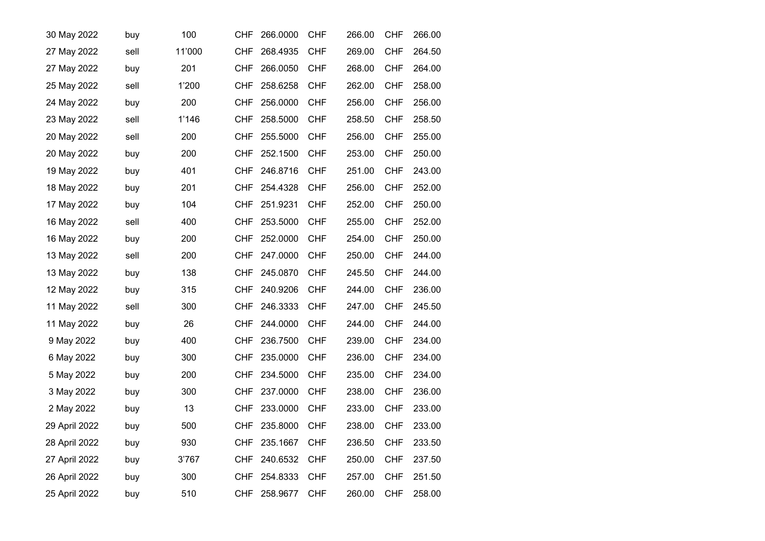| 30 May 2022   | buy  | 100    | CHF        | 266.0000 | CHF        | 266.00 | CHF        | 266.00 |  |
|---------------|------|--------|------------|----------|------------|--------|------------|--------|--|
| 27 May 2022   | sell | 11'000 | <b>CHF</b> | 268.4935 | <b>CHF</b> | 269.00 | <b>CHF</b> | 264.50 |  |
| 27 May 2022   | buy  | 201    | <b>CHF</b> | 266.0050 | <b>CHF</b> | 268.00 | <b>CHF</b> | 264.00 |  |
| 25 May 2022   | sell | 1'200  | CHF        | 258.6258 | <b>CHF</b> | 262.00 | <b>CHF</b> | 258.00 |  |
| 24 May 2022   | buy  | 200    | <b>CHF</b> | 256.0000 | <b>CHF</b> | 256.00 | <b>CHF</b> | 256.00 |  |
| 23 May 2022   | sell | 1'146  | CHF        | 258.5000 | CHF        | 258.50 | <b>CHF</b> | 258.50 |  |
| 20 May 2022   | sell | 200    | CHF        | 255.5000 | <b>CHF</b> | 256.00 | <b>CHF</b> | 255.00 |  |
| 20 May 2022   | buy  | 200    | <b>CHF</b> | 252.1500 | <b>CHF</b> | 253.00 | <b>CHF</b> | 250.00 |  |
| 19 May 2022   | buy  | 401    | CHF        | 246.8716 | <b>CHF</b> | 251.00 | <b>CHF</b> | 243.00 |  |
| 18 May 2022   | buy  | 201    | CHF        | 254.4328 | <b>CHF</b> | 256.00 | <b>CHF</b> | 252.00 |  |
| 17 May 2022   | buy  | 104    | CHF        | 251.9231 | <b>CHF</b> | 252.00 | <b>CHF</b> | 250.00 |  |
| 16 May 2022   | sell | 400    | CHF        | 253.5000 | <b>CHF</b> | 255.00 | <b>CHF</b> | 252.00 |  |
| 16 May 2022   | buy  | 200    | <b>CHF</b> | 252.0000 | <b>CHF</b> | 254.00 | <b>CHF</b> | 250.00 |  |
| 13 May 2022   | sell | 200    | <b>CHF</b> | 247.0000 | <b>CHF</b> | 250.00 | <b>CHF</b> | 244.00 |  |
| 13 May 2022   | buy  | 138    | <b>CHF</b> | 245.0870 | CHF        | 245.50 | <b>CHF</b> | 244.00 |  |
| 12 May 2022   | buy  | 315    | <b>CHF</b> | 240.9206 | <b>CHF</b> | 244.00 | <b>CHF</b> | 236.00 |  |
| 11 May 2022   | sell | 300    | CHF        | 246.3333 | <b>CHF</b> | 247.00 | <b>CHF</b> | 245.50 |  |
| 11 May 2022   | buy  | 26     | CHF        | 244.0000 | <b>CHF</b> | 244.00 | <b>CHF</b> | 244.00 |  |
| 9 May 2022    | buy  | 400    | <b>CHF</b> | 236.7500 | <b>CHF</b> | 239.00 | <b>CHF</b> | 234.00 |  |
| 6 May 2022    | buy  | 300    | <b>CHF</b> | 235.0000 | <b>CHF</b> | 236.00 | <b>CHF</b> | 234.00 |  |
| 5 May 2022    | buy  | 200    | <b>CHF</b> | 234.5000 | CHF        | 235.00 | <b>CHF</b> | 234.00 |  |
| 3 May 2022    | buy  | 300    | CHF        | 237.0000 | CHF        | 238.00 | <b>CHF</b> | 236.00 |  |
| 2 May 2022    | buy  | 13     | CHF        | 233.0000 | <b>CHF</b> | 233.00 | <b>CHF</b> | 233.00 |  |
| 29 April 2022 | buy  | 500    | CHF        | 235.8000 | <b>CHF</b> | 238.00 | <b>CHF</b> | 233.00 |  |
| 28 April 2022 | buy  | 930    | <b>CHF</b> | 235.1667 | <b>CHF</b> | 236.50 | <b>CHF</b> | 233.50 |  |
| 27 April 2022 | buy  | 3'767  | CHF        | 240.6532 | CHF        | 250.00 | <b>CHF</b> | 237.50 |  |
| 26 April 2022 | buy  | 300    | CHF        | 254.8333 | <b>CHF</b> | 257.00 | <b>CHF</b> | 251.50 |  |
| 25 April 2022 | buy  | 510    | CHF        | 258.9677 | CHF        | 260.00 | <b>CHF</b> | 258.00 |  |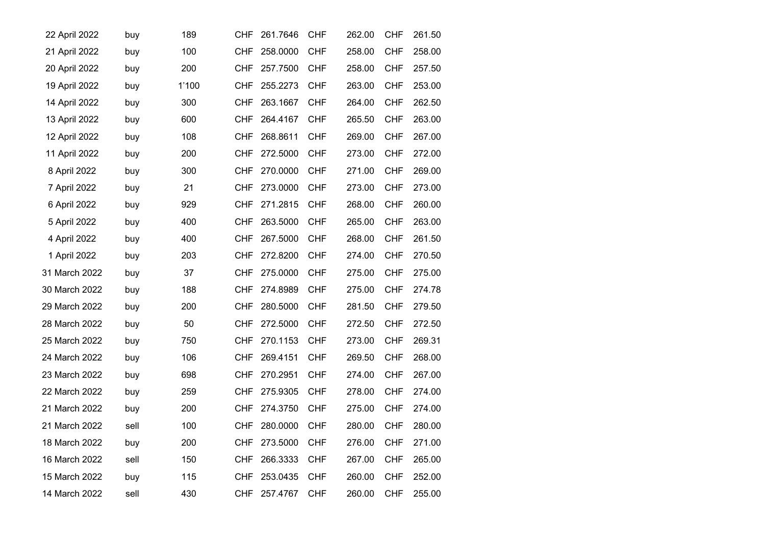| 22 April 2022 | buy  | 189   | CHF.       | 261.7646 | <b>CHF</b> | 262.00 | <b>CHF</b> | 261.50 |
|---------------|------|-------|------------|----------|------------|--------|------------|--------|
| 21 April 2022 | buy  | 100   | <b>CHF</b> | 258.0000 | <b>CHF</b> | 258.00 | <b>CHF</b> | 258.00 |
| 20 April 2022 | buy  | 200   | CHF.       | 257.7500 | <b>CHF</b> | 258.00 | <b>CHF</b> | 257.50 |
| 19 April 2022 | buy  | 1'100 | CHF        | 255.2273 | <b>CHF</b> | 263.00 | <b>CHF</b> | 253.00 |
| 14 April 2022 | buy  | 300   | <b>CHF</b> | 263.1667 | <b>CHF</b> | 264.00 | <b>CHF</b> | 262.50 |
| 13 April 2022 | buy  | 600   | <b>CHF</b> | 264.4167 | <b>CHF</b> | 265.50 | <b>CHF</b> | 263.00 |
| 12 April 2022 | buy  | 108   | <b>CHF</b> | 268.8611 | <b>CHF</b> | 269.00 | <b>CHF</b> | 267.00 |
| 11 April 2022 | buy  | 200   | CHF.       | 272.5000 | <b>CHF</b> | 273.00 | <b>CHF</b> | 272.00 |
| 8 April 2022  | buy  | 300   | <b>CHF</b> | 270.0000 | <b>CHF</b> | 271.00 | <b>CHF</b> | 269.00 |
| 7 April 2022  | buy  | 21    | CHF.       | 273.0000 | <b>CHF</b> | 273.00 | <b>CHF</b> | 273.00 |
| 6 April 2022  | buy  | 929   | <b>CHF</b> | 271.2815 | <b>CHF</b> | 268.00 | <b>CHF</b> | 260.00 |
| 5 April 2022  | buy  | 400   | <b>CHF</b> | 263.5000 | <b>CHF</b> | 265.00 | <b>CHF</b> | 263.00 |
| 4 April 2022  | buy  | 400   | CHF        | 267.5000 | <b>CHF</b> | 268.00 | <b>CHF</b> | 261.50 |
| 1 April 2022  | buy  | 203   | <b>CHF</b> | 272.8200 | <b>CHF</b> | 274.00 | <b>CHF</b> | 270.50 |
| 31 March 2022 | buy  | 37    | CHF.       | 275.0000 | <b>CHF</b> | 275.00 | CHF        | 275.00 |
| 30 March 2022 | buy  | 188   | CHF.       | 274.8989 | <b>CHF</b> | 275.00 | <b>CHF</b> | 274.78 |
| 29 March 2022 | buy  | 200   | CHF.       | 280.5000 | <b>CHF</b> | 281.50 | <b>CHF</b> | 279.50 |
| 28 March 2022 | buy  | 50    | CHF        | 272.5000 | <b>CHF</b> | 272.50 | <b>CHF</b> | 272.50 |
| 25 March 2022 | buy  | 750   | <b>CHF</b> | 270.1153 | <b>CHF</b> | 273.00 | <b>CHF</b> | 269.31 |
| 24 March 2022 | buy  | 106   | CHF.       | 269.4151 | <b>CHF</b> | 269.50 | <b>CHF</b> | 268.00 |
| 23 March 2022 | buy  | 698   | <b>CHF</b> | 270.2951 | <b>CHF</b> | 274.00 | <b>CHF</b> | 267.00 |
| 22 March 2022 | buy  | 259   | CHF.       | 275.9305 | <b>CHF</b> | 278.00 | <b>CHF</b> | 274.00 |
| 21 March 2022 | buy  | 200   | <b>CHF</b> | 274.3750 | <b>CHF</b> | 275.00 | <b>CHF</b> | 274.00 |
| 21 March 2022 | sell | 100   | <b>CHF</b> | 280.0000 | <b>CHF</b> | 280.00 | <b>CHF</b> | 280.00 |
| 18 March 2022 | buy  | 200   | <b>CHF</b> | 273.5000 | <b>CHF</b> | 276.00 | <b>CHF</b> | 271.00 |
| 16 March 2022 | sell | 150   | CHF        | 266.3333 | <b>CHF</b> | 267.00 | <b>CHF</b> | 265.00 |
| 15 March 2022 | buy  | 115   | CHF        | 253.0435 | <b>CHF</b> | 260.00 | <b>CHF</b> | 252.00 |
| 14 March 2022 | sell | 430   | CHF.       | 257.4767 | <b>CHF</b> | 260.00 | <b>CHF</b> | 255.00 |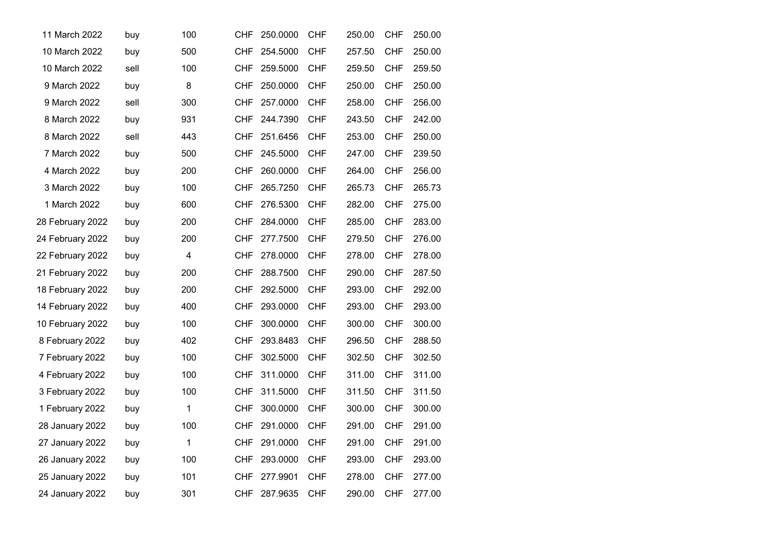| 11 March 2022    | buy  | 100            | CHF        | 250.0000 | CHF        | 250.00 | CHF        | 250.00 |
|------------------|------|----------------|------------|----------|------------|--------|------------|--------|
| 10 March 2022    | buy  | 500            | <b>CHF</b> | 254.5000 | <b>CHF</b> | 257.50 | <b>CHF</b> | 250.00 |
| 10 March 2022    | sell | 100            | <b>CHF</b> | 259.5000 | <b>CHF</b> | 259.50 | <b>CHF</b> | 259.50 |
| 9 March 2022     | buy  | 8              | <b>CHF</b> | 250.0000 | <b>CHF</b> | 250.00 | <b>CHF</b> | 250.00 |
| 9 March 2022     | sell | 300            | <b>CHF</b> | 257.0000 | <b>CHF</b> | 258.00 | <b>CHF</b> | 256.00 |
| 8 March 2022     | buy  | 931            | <b>CHF</b> | 244.7390 | CHF        | 243.50 | <b>CHF</b> | 242.00 |
| 8 March 2022     | sell | 443            | <b>CHF</b> | 251.6456 | <b>CHF</b> | 253.00 | <b>CHF</b> | 250.00 |
| 7 March 2022     | buy  | 500            | <b>CHF</b> | 245.5000 | <b>CHF</b> | 247.00 | <b>CHF</b> | 239.50 |
| 4 March 2022     | buy  | 200            | <b>CHF</b> | 260.0000 | <b>CHF</b> | 264.00 | <b>CHF</b> | 256.00 |
| 3 March 2022     | buy  | 100            | <b>CHF</b> | 265.7250 | <b>CHF</b> | 265.73 | <b>CHF</b> | 265.73 |
| 1 March 2022     | buy  | 600            | <b>CHF</b> | 276.5300 | <b>CHF</b> | 282.00 | <b>CHF</b> | 275.00 |
| 28 February 2022 | buy  | 200            | <b>CHF</b> | 284.0000 | CHF        | 285.00 | <b>CHF</b> | 283.00 |
| 24 February 2022 | buy  | 200            | <b>CHF</b> | 277.7500 | <b>CHF</b> | 279.50 | <b>CHF</b> | 276.00 |
| 22 February 2022 | buy  | $\overline{4}$ | <b>CHF</b> | 278.0000 | <b>CHF</b> | 278.00 | <b>CHF</b> | 278.00 |
| 21 February 2022 | buy  | 200            | <b>CHF</b> | 288.7500 | <b>CHF</b> | 290.00 | <b>CHF</b> | 287.50 |
| 18 February 2022 | buy  | 200            | <b>CHF</b> | 292.5000 | <b>CHF</b> | 293.00 | <b>CHF</b> | 292.00 |
| 14 February 2022 | buy  | 400            | <b>CHF</b> | 293.0000 | <b>CHF</b> | 293.00 | <b>CHF</b> | 293.00 |
| 10 February 2022 | buy  | 100            | <b>CHF</b> | 300.0000 | <b>CHF</b> | 300.00 | <b>CHF</b> | 300.00 |
| 8 February 2022  | buy  | 402            | <b>CHF</b> | 293.8483 | <b>CHF</b> | 296.50 | <b>CHF</b> | 288.50 |
| 7 February 2022  | buy  | 100            | <b>CHF</b> | 302.5000 | <b>CHF</b> | 302.50 | <b>CHF</b> | 302.50 |
| 4 February 2022  | buy  | 100            | <b>CHF</b> | 311.0000 | <b>CHF</b> | 311.00 | <b>CHF</b> | 311.00 |
| 3 February 2022  | buy  | 100            | <b>CHF</b> | 311.5000 | <b>CHF</b> | 311.50 | <b>CHF</b> | 311.50 |
| 1 February 2022  | buy  | 1              | <b>CHF</b> | 300.0000 | <b>CHF</b> | 300.00 | <b>CHF</b> | 300.00 |
| 28 January 2022  | buy  | 100            | <b>CHF</b> | 291.0000 | <b>CHF</b> | 291.00 | <b>CHF</b> | 291.00 |
| 27 January 2022  | buy  | 1              | <b>CHF</b> | 291.0000 | <b>CHF</b> | 291.00 | <b>CHF</b> | 291.00 |
| 26 January 2022  | buy  | 100            | <b>CHF</b> | 293.0000 | <b>CHF</b> | 293.00 | <b>CHF</b> | 293.00 |
| 25 January 2022  | buy  | 101            | <b>CHF</b> | 277.9901 | <b>CHF</b> | 278.00 | <b>CHF</b> | 277.00 |
| 24 January 2022  | buy  | 301            | <b>CHF</b> | 287.9635 | CHF        | 290.00 | <b>CHF</b> | 277.00 |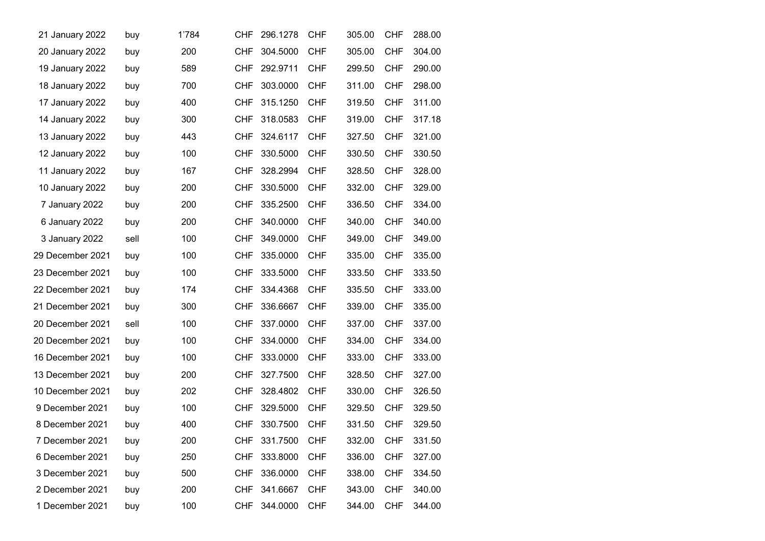| 21 January 2022  | buy  | 1'784 | <b>CHF</b> | 296.1278 | <b>CHF</b> | 305.00 | <b>CHF</b> | 288.00 |
|------------------|------|-------|------------|----------|------------|--------|------------|--------|
| 20 January 2022  | buy  | 200   | <b>CHF</b> | 304.5000 | <b>CHF</b> | 305.00 | <b>CHF</b> | 304.00 |
| 19 January 2022  | buy  | 589   | <b>CHF</b> | 292.9711 | <b>CHF</b> | 299.50 | <b>CHF</b> | 290.00 |
| 18 January 2022  | buy  | 700   | <b>CHF</b> | 303.0000 | <b>CHF</b> | 311.00 | <b>CHF</b> | 298.00 |
| 17 January 2022  | buy  | 400   | <b>CHF</b> | 315.1250 | <b>CHF</b> | 319.50 | <b>CHF</b> | 311.00 |
| 14 January 2022  | buy  | 300   | <b>CHF</b> | 318.0583 | <b>CHF</b> | 319.00 | <b>CHF</b> | 317.18 |
| 13 January 2022  | buy  | 443   | <b>CHF</b> | 324.6117 | <b>CHF</b> | 327.50 | <b>CHF</b> | 321.00 |
| 12 January 2022  | buy  | 100   | <b>CHF</b> | 330.5000 | <b>CHF</b> | 330.50 | <b>CHF</b> | 330.50 |
| 11 January 2022  | buy  | 167   | <b>CHF</b> | 328.2994 | <b>CHF</b> | 328.50 | <b>CHF</b> | 328.00 |
| 10 January 2022  | buy  | 200   | <b>CHF</b> | 330.5000 | <b>CHF</b> | 332.00 | <b>CHF</b> | 329.00 |
| 7 January 2022   | buy  | 200   | <b>CHF</b> | 335.2500 | <b>CHF</b> | 336.50 | <b>CHF</b> | 334.00 |
| 6 January 2022   | buy  | 200   | <b>CHF</b> | 340.0000 | <b>CHF</b> | 340.00 | <b>CHF</b> | 340.00 |
| 3 January 2022   | sell | 100   | <b>CHF</b> | 349.0000 | <b>CHF</b> | 349.00 | <b>CHF</b> | 349.00 |
| 29 December 2021 | buy  | 100   | <b>CHF</b> | 335.0000 | <b>CHF</b> | 335.00 | <b>CHF</b> | 335.00 |
| 23 December 2021 | buy  | 100   | <b>CHF</b> | 333.5000 | <b>CHF</b> | 333.50 | <b>CHF</b> | 333.50 |
| 22 December 2021 | buy  | 174   | <b>CHF</b> | 334.4368 | <b>CHF</b> | 335.50 | <b>CHF</b> | 333.00 |
| 21 December 2021 | buy  | 300   | <b>CHF</b> | 336.6667 | <b>CHF</b> | 339.00 | <b>CHF</b> | 335.00 |
| 20 December 2021 | sell | 100   | <b>CHF</b> | 337.0000 | <b>CHF</b> | 337.00 | <b>CHF</b> | 337.00 |
| 20 December 2021 | buy  | 100   | <b>CHF</b> | 334.0000 | <b>CHF</b> | 334.00 | <b>CHF</b> | 334.00 |
| 16 December 2021 | buy  | 100   | <b>CHF</b> | 333.0000 | <b>CHF</b> | 333.00 | <b>CHF</b> | 333.00 |
| 13 December 2021 | buy  | 200   | <b>CHF</b> | 327.7500 | <b>CHF</b> | 328.50 | <b>CHF</b> | 327.00 |
| 10 December 2021 | buy  | 202   | <b>CHF</b> | 328.4802 | <b>CHF</b> | 330.00 | <b>CHF</b> | 326.50 |
| 9 December 2021  | buy  | 100   | <b>CHF</b> | 329.5000 | <b>CHF</b> | 329.50 | <b>CHF</b> | 329.50 |
| 8 December 2021  | buy  | 400   | <b>CHF</b> | 330.7500 | <b>CHF</b> | 331.50 | <b>CHF</b> | 329.50 |
| 7 December 2021  | buy  | 200   | <b>CHF</b> | 331.7500 | <b>CHF</b> | 332.00 | <b>CHF</b> | 331.50 |
| 6 December 2021  | buy  | 250   | <b>CHF</b> | 333.8000 | <b>CHF</b> | 336.00 | <b>CHF</b> | 327.00 |
| 3 December 2021  | buy  | 500   | <b>CHF</b> | 336.0000 | <b>CHF</b> | 338.00 | <b>CHF</b> | 334.50 |
| 2 December 2021  | buy  | 200   | <b>CHF</b> | 341.6667 | <b>CHF</b> | 343.00 | <b>CHF</b> | 340.00 |
| 1 December 2021  | buy  | 100   | <b>CHF</b> | 344.0000 | <b>CHF</b> | 344.00 | <b>CHF</b> | 344.00 |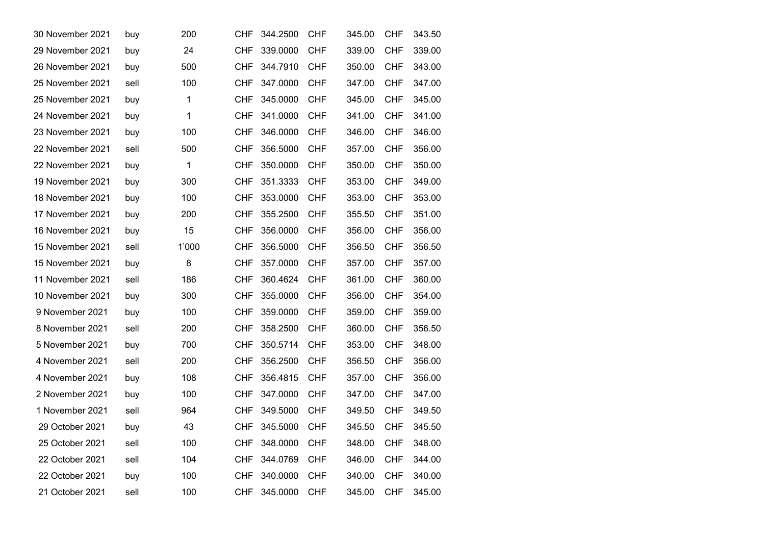| 30 November 2021 | buy  | 200   | CHF        | 344.2500 | CHF        | 345.00 | <b>CHF</b> | 343.50 |
|------------------|------|-------|------------|----------|------------|--------|------------|--------|
| 29 November 2021 | buy  | 24    | CHF        | 339.0000 | <b>CHF</b> | 339.00 | <b>CHF</b> | 339.00 |
| 26 November 2021 | buy  | 500   | <b>CHF</b> | 344.7910 | <b>CHF</b> | 350.00 | <b>CHF</b> | 343.00 |
| 25 November 2021 | sell | 100   | <b>CHF</b> | 347.0000 | <b>CHF</b> | 347.00 | <b>CHF</b> | 347.00 |
| 25 November 2021 | buy  | 1     | CHF        | 345.0000 | <b>CHF</b> | 345.00 | <b>CHF</b> | 345.00 |
| 24 November 2021 | buy  | 1     | <b>CHF</b> | 341.0000 | <b>CHF</b> | 341.00 | <b>CHF</b> | 341.00 |
| 23 November 2021 | buy  | 100   | <b>CHF</b> | 346.0000 | <b>CHF</b> | 346.00 | <b>CHF</b> | 346.00 |
| 22 November 2021 | sell | 500   | <b>CHF</b> | 356.5000 | <b>CHF</b> | 357.00 | <b>CHF</b> | 356.00 |
| 22 November 2021 | buy  | 1     | CHF        | 350.0000 | <b>CHF</b> | 350.00 | <b>CHF</b> | 350.00 |
| 19 November 2021 | buy  | 300   | CHF        | 351.3333 | <b>CHF</b> | 353.00 | <b>CHF</b> | 349.00 |
| 18 November 2021 | buy  | 100   | <b>CHF</b> | 353.0000 | <b>CHF</b> | 353.00 | <b>CHF</b> | 353.00 |
| 17 November 2021 | buy  | 200   | <b>CHF</b> | 355.2500 | <b>CHF</b> | 355.50 | <b>CHF</b> | 351.00 |
| 16 November 2021 | buy  | 15    | <b>CHF</b> | 356.0000 | <b>CHF</b> | 356.00 | <b>CHF</b> | 356.00 |
| 15 November 2021 | sell | 1'000 | CHF        | 356,5000 | <b>CHF</b> | 356.50 | <b>CHF</b> | 356.50 |
| 15 November 2021 | buy  | 8     | <b>CHF</b> | 357.0000 | <b>CHF</b> | 357.00 | <b>CHF</b> | 357.00 |
| 11 November 2021 | sell | 186   | <b>CHF</b> | 360.4624 | <b>CHF</b> | 361.00 | <b>CHF</b> | 360.00 |
| 10 November 2021 | buy  | 300   | <b>CHF</b> | 355.0000 | <b>CHF</b> | 356.00 | <b>CHF</b> | 354.00 |
| 9 November 2021  | buy  | 100   | CHF        | 359.0000 | <b>CHF</b> | 359.00 | <b>CHF</b> | 359.00 |
| 8 November 2021  | sell | 200   | CHF        | 358.2500 | <b>CHF</b> | 360.00 | <b>CHF</b> | 356.50 |
| 5 November 2021  | buy  | 700   | CHF        | 350.5714 | <b>CHF</b> | 353.00 | <b>CHF</b> | 348.00 |
| 4 November 2021  | sell | 200   | <b>CHF</b> | 356.2500 | <b>CHF</b> | 356.50 | <b>CHF</b> | 356.00 |
| 4 November 2021  | buy  | 108   | <b>CHF</b> | 356.4815 | <b>CHF</b> | 357.00 | <b>CHF</b> | 356.00 |
| 2 November 2021  | buy  | 100   | CHF        | 347.0000 | CHF        | 347.00 | <b>CHF</b> | 347.00 |
| 1 November 2021  | sell | 964   | <b>CHF</b> | 349.5000 | <b>CHF</b> | 349.50 | <b>CHF</b> | 349.50 |
| 29 October 2021  | buy  | 43    | <b>CHF</b> | 345.5000 | <b>CHF</b> | 345.50 | <b>CHF</b> | 345.50 |
| 25 October 2021  | sell | 100   | <b>CHF</b> | 348.0000 | <b>CHF</b> | 348.00 | <b>CHF</b> | 348.00 |
| 22 October 2021  | sell | 104   | CHF        | 344.0769 | <b>CHF</b> | 346.00 | <b>CHF</b> | 344.00 |
| 22 October 2021  | buy  | 100   | CHF        | 340.0000 | <b>CHF</b> | 340.00 | <b>CHF</b> | 340.00 |
| 21 October 2021  | sell | 100   | CHF        | 345.0000 | <b>CHF</b> | 345.00 | <b>CHF</b> | 345.00 |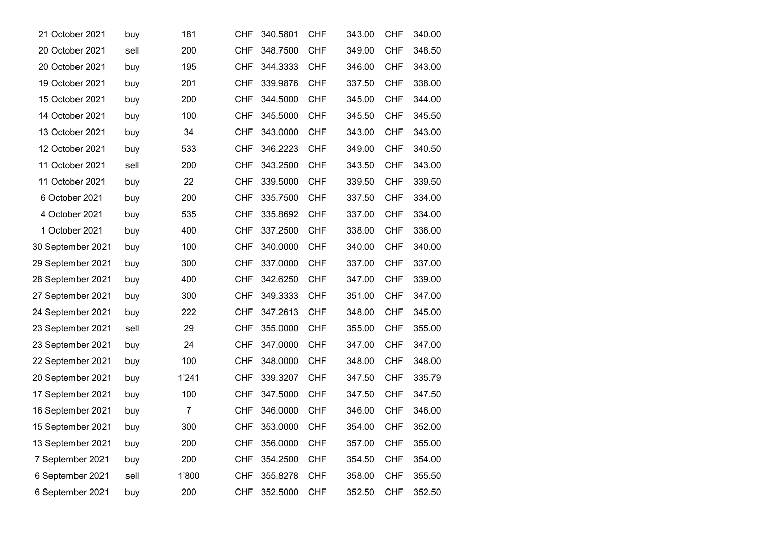| 21 October 2021   | buy  | 181   | CHF        | 340.5801 | CHF        | 343.00 | <b>CHF</b> | 340.00 |
|-------------------|------|-------|------------|----------|------------|--------|------------|--------|
| 20 October 2021   | sell | 200   | CHF        | 348.7500 | CHF        | 349.00 | <b>CHF</b> | 348.50 |
| 20 October 2021   | buy  | 195   | CHF        | 344.3333 | <b>CHF</b> | 346.00 | <b>CHF</b> | 343.00 |
| 19 October 2021   | buy  | 201   | <b>CHF</b> | 339.9876 | <b>CHF</b> | 337.50 | <b>CHF</b> | 338.00 |
| 15 October 2021   | buy  | 200   | CHF        | 344.5000 | CHF        | 345.00 | <b>CHF</b> | 344.00 |
| 14 October 2021   | buy  | 100   | <b>CHF</b> | 345.5000 | <b>CHF</b> | 345.50 | <b>CHF</b> | 345.50 |
| 13 October 2021   | buy  | 34    | CHF        | 343.0000 | CHF        | 343.00 | <b>CHF</b> | 343.00 |
| 12 October 2021   | buy  | 533   | CHF        | 346.2223 | <b>CHF</b> | 349.00 | <b>CHF</b> | 340.50 |
| 11 October 2021   | sell | 200   | CHF        | 343.2500 | CHF        | 343.50 | <b>CHF</b> | 343.00 |
| 11 October 2021   | buy  | 22    | CHF        | 339.5000 | <b>CHF</b> | 339.50 | <b>CHF</b> | 339.50 |
| 6 October 2021    | buy  | 200   | CHF        | 335.7500 | <b>CHF</b> | 337.50 | <b>CHF</b> | 334.00 |
| 4 October 2021    | buy  | 535   | CHF        | 335.8692 | CHF        | 337.00 | <b>CHF</b> | 334.00 |
| 1 October 2021    | buy  | 400   | CHF        | 337.2500 | <b>CHF</b> | 338.00 | <b>CHF</b> | 336.00 |
| 30 September 2021 | buy  | 100   | <b>CHF</b> | 340.0000 | <b>CHF</b> | 340.00 | <b>CHF</b> | 340.00 |
| 29 September 2021 | buy  | 300   | CHF        | 337.0000 | CHF        | 337.00 | <b>CHF</b> | 337.00 |
| 28 September 2021 | buy  | 400   | CHF        | 342.6250 | <b>CHF</b> | 347.00 | <b>CHF</b> | 339.00 |
| 27 September 2021 | buy  | 300   | CHF        | 349.3333 | CHF        | 351.00 | <b>CHF</b> | 347.00 |
| 24 September 2021 | buy  | 222   | CHF        | 347.2613 | <b>CHF</b> | 348.00 | <b>CHF</b> | 345.00 |
| 23 September 2021 | sell | 29    | CHF        | 355.0000 | CHF        | 355.00 | <b>CHF</b> | 355.00 |
| 23 September 2021 | buy  | 24    | <b>CHF</b> | 347.0000 | <b>CHF</b> | 347.00 | <b>CHF</b> | 347.00 |
| 22 September 2021 | buy  | 100   | CHF        | 348,0000 | CHF        | 348.00 | <b>CHF</b> | 348.00 |
| 20 September 2021 | buy  | 1'241 | <b>CHF</b> | 339.3207 | <b>CHF</b> | 347.50 | <b>CHF</b> | 335.79 |
| 17 September 2021 | buy  | 100   | CHF        | 347.5000 | <b>CHF</b> | 347.50 | <b>CHF</b> | 347.50 |
| 16 September 2021 | buy  | 7     | <b>CHF</b> | 346.0000 | <b>CHF</b> | 346.00 | <b>CHF</b> | 346.00 |
| 15 September 2021 | buy  | 300   | CHF        | 353.0000 | CHF        | 354.00 | <b>CHF</b> | 352.00 |
| 13 September 2021 | buy  | 200   | <b>CHF</b> | 356.0000 | <b>CHF</b> | 357.00 | <b>CHF</b> | 355.00 |
| 7 September 2021  | buy  | 200   | CHF        | 354.2500 | CHF        | 354.50 | <b>CHF</b> | 354.00 |
| 6 September 2021  | sell | 1'800 | CHF        | 355.8278 | <b>CHF</b> | 358.00 | <b>CHF</b> | 355.50 |
| 6 September 2021  | buy  | 200   | CHF        | 352.5000 | CHF        | 352.50 | <b>CHF</b> | 352.50 |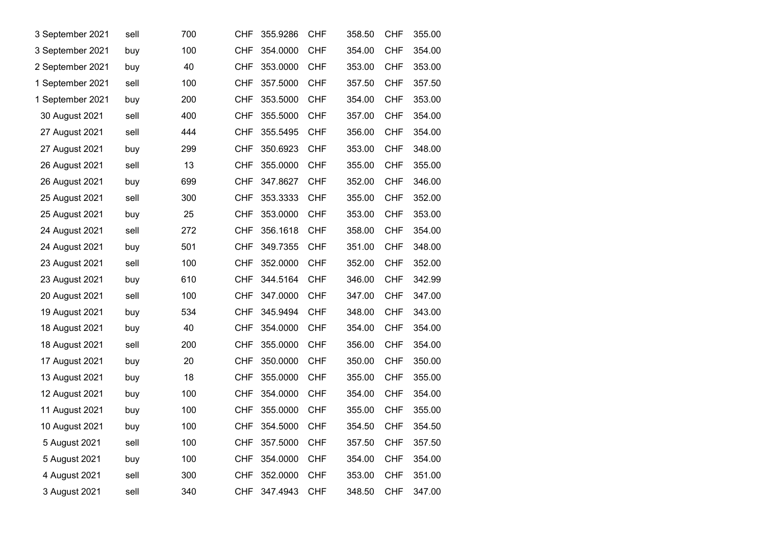| 3 September 2021 | sell | 700 | CHF        | 355.9286 | <b>CHF</b> | 358.50 | <b>CHF</b> | 355.00 |
|------------------|------|-----|------------|----------|------------|--------|------------|--------|
| 3 September 2021 | buy  | 100 | <b>CHF</b> | 354.0000 | <b>CHF</b> | 354.00 | <b>CHF</b> | 354.00 |
| 2 September 2021 | buy  | 40  | <b>CHF</b> | 353.0000 | <b>CHF</b> | 353.00 | <b>CHF</b> | 353.00 |
| 1 September 2021 | sell | 100 | <b>CHF</b> | 357.5000 | <b>CHF</b> | 357.50 | <b>CHF</b> | 357.50 |
| 1 September 2021 | buy  | 200 | CHF        | 353.5000 | <b>CHF</b> | 354.00 | <b>CHF</b> | 353.00 |
| 30 August 2021   | sell | 400 | CHF        | 355.5000 | <b>CHF</b> | 357.00 | <b>CHF</b> | 354.00 |
| 27 August 2021   | sell | 444 | <b>CHF</b> | 355.5495 | <b>CHF</b> | 356.00 | <b>CHF</b> | 354.00 |
| 27 August 2021   | buy  | 299 | <b>CHF</b> | 350.6923 | <b>CHF</b> | 353.00 | <b>CHF</b> | 348.00 |
| 26 August 2021   | sell | 13  | CHF        | 355.0000 | <b>CHF</b> | 355.00 | <b>CHF</b> | 355.00 |
| 26 August 2021   | buy  | 699 | CHF        | 347.8627 | <b>CHF</b> | 352.00 | <b>CHF</b> | 346.00 |
| 25 August 2021   | sell | 300 | <b>CHF</b> | 353.3333 | <b>CHF</b> | 355.00 | <b>CHF</b> | 352.00 |
| 25 August 2021   | buy  | 25  | <b>CHF</b> | 353.0000 | <b>CHF</b> | 353.00 | <b>CHF</b> | 353.00 |
| 24 August 2021   | sell | 272 | <b>CHF</b> | 356.1618 | <b>CHF</b> | 358.00 | <b>CHF</b> | 354.00 |
| 24 August 2021   | buy  | 501 | CHF        | 349.7355 | <b>CHF</b> | 351.00 | <b>CHF</b> | 348.00 |
| 23 August 2021   | sell | 100 | CHF        | 352.0000 | <b>CHF</b> | 352.00 | <b>CHF</b> | 352.00 |
| 23 August 2021   | buy  | 610 | <b>CHF</b> | 344.5164 | <b>CHF</b> | 346.00 | <b>CHF</b> | 342.99 |
| 20 August 2021   | sell | 100 | <b>CHF</b> | 347.0000 | <b>CHF</b> | 347.00 | <b>CHF</b> | 347.00 |
| 19 August 2021   | buy  | 534 | CHF        | 345.9494 | <b>CHF</b> | 348.00 | <b>CHF</b> | 343.00 |
| 18 August 2021   | buy  | 40  | CHF        | 354.0000 | <b>CHF</b> | 354.00 | <b>CHF</b> | 354.00 |
| 18 August 2021   | sell | 200 | CHF        | 355.0000 | <b>CHF</b> | 356.00 | <b>CHF</b> | 354.00 |
| 17 August 2021   | buy  | 20  | <b>CHF</b> | 350.0000 | <b>CHF</b> | 350.00 | <b>CHF</b> | 350.00 |
| 13 August 2021   | buy  | 18  | <b>CHF</b> | 355.0000 | <b>CHF</b> | 355.00 | <b>CHF</b> | 355.00 |
| 12 August 2021   | buy  | 100 | CHF        | 354.0000 | <b>CHF</b> | 354.00 | <b>CHF</b> | 354.00 |
| 11 August 2021   | buy  | 100 | CHF        | 355.0000 | <b>CHF</b> | 355.00 | <b>CHF</b> | 355.00 |
| 10 August 2021   | buy  | 100 | <b>CHF</b> | 354.5000 | <b>CHF</b> | 354.50 | <b>CHF</b> | 354.50 |
| 5 August 2021    | sell | 100 | <b>CHF</b> | 357.5000 | <b>CHF</b> | 357.50 | <b>CHF</b> | 357.50 |
| 5 August 2021    | buy  | 100 | CHF        | 354.0000 | <b>CHF</b> | 354.00 | <b>CHF</b> | 354.00 |
| 4 August 2021    | sell | 300 | CHF        | 352.0000 | <b>CHF</b> | 353.00 | <b>CHF</b> | 351.00 |
| 3 August 2021    | sell | 340 | <b>CHF</b> | 347.4943 | CHF        | 348.50 | <b>CHF</b> | 347.00 |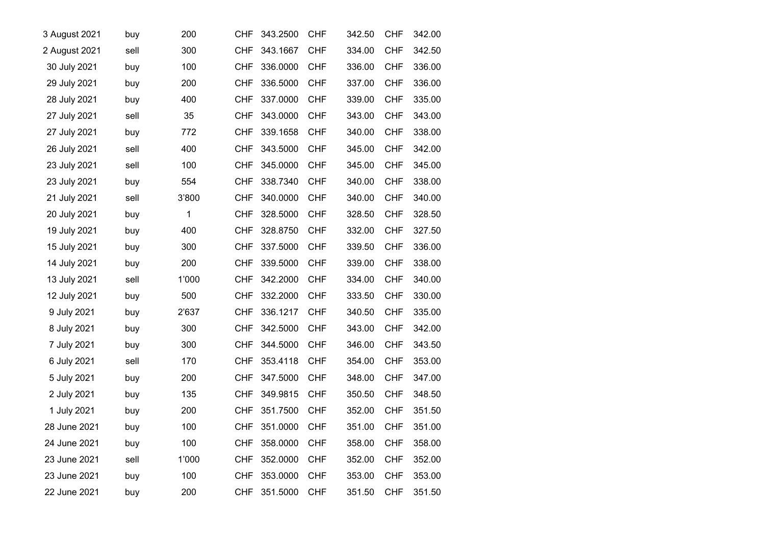| 3 August 2021 | buy  | 200          | CHF        | 343.2500 | <b>CHF</b> | 342.50 | <b>CHF</b> | 342.00 |
|---------------|------|--------------|------------|----------|------------|--------|------------|--------|
| 2 August 2021 | sell | 300          | <b>CHF</b> | 343.1667 | <b>CHF</b> | 334.00 | <b>CHF</b> | 342.50 |
| 30 July 2021  | buy  | 100          | <b>CHF</b> | 336.0000 | <b>CHF</b> | 336.00 | <b>CHF</b> | 336.00 |
| 29 July 2021  | buy  | 200          | <b>CHF</b> | 336.5000 | <b>CHF</b> | 337.00 | <b>CHF</b> | 336.00 |
| 28 July 2021  | buy  | 400          | CHF        | 337.0000 | <b>CHF</b> | 339.00 | <b>CHF</b> | 335.00 |
| 27 July 2021  | sell | 35           | <b>CHF</b> | 343.0000 | <b>CHF</b> | 343.00 | <b>CHF</b> | 343.00 |
| 27 July 2021  | buy  | 772          | <b>CHF</b> | 339.1658 | <b>CHF</b> | 340.00 | <b>CHF</b> | 338.00 |
| 26 July 2021  | sell | 400          | <b>CHF</b> | 343.5000 | <b>CHF</b> | 345.00 | <b>CHF</b> | 342.00 |
| 23 July 2021  | sell | 100          | <b>CHF</b> | 345.0000 | <b>CHF</b> | 345.00 | <b>CHF</b> | 345.00 |
| 23 July 2021  | buy  | 554          | CHF        | 338.7340 | <b>CHF</b> | 340.00 | <b>CHF</b> | 338.00 |
| 21 July 2021  | sell | 3'800        | <b>CHF</b> | 340.0000 | <b>CHF</b> | 340.00 | <b>CHF</b> | 340.00 |
| 20 July 2021  | buy  | $\mathbf{1}$ | <b>CHF</b> | 328.5000 | <b>CHF</b> | 328.50 | <b>CHF</b> | 328.50 |
| 19 July 2021  | buy  | 400          | <b>CHF</b> | 328.8750 | <b>CHF</b> | 332.00 | <b>CHF</b> | 327.50 |
| 15 July 2021  | buy  | 300          | <b>CHF</b> | 337.5000 | <b>CHF</b> | 339.50 | <b>CHF</b> | 336.00 |
| 14 July 2021  | buy  | 200          | <b>CHF</b> | 339.5000 | <b>CHF</b> | 339.00 | <b>CHF</b> | 338.00 |
| 13 July 2021  | sell | 1'000        | <b>CHF</b> | 342.2000 | <b>CHF</b> | 334.00 | <b>CHF</b> | 340.00 |
| 12 July 2021  | buy  | 500          | <b>CHF</b> | 332.2000 | <b>CHF</b> | 333.50 | <b>CHF</b> | 330.00 |
| 9 July 2021   | buy  | 2'637        | <b>CHF</b> | 336.1217 | <b>CHF</b> | 340.50 | <b>CHF</b> | 335.00 |
| 8 July 2021   | buy  | 300          | <b>CHF</b> | 342.5000 | <b>CHF</b> | 343.00 | <b>CHF</b> | 342.00 |
| 7 July 2021   | buy  | 300          | CHF        | 344.5000 | <b>CHF</b> | 346.00 | <b>CHF</b> | 343.50 |
| 6 July 2021   | sell | 170          | <b>CHF</b> | 353.4118 | <b>CHF</b> | 354.00 | <b>CHF</b> | 353.00 |
| 5 July 2021   | buy  | 200          | <b>CHF</b> | 347.5000 | <b>CHF</b> | 348.00 | <b>CHF</b> | 347.00 |
| 2 July 2021   | buy  | 135          | CHF        | 349.9815 | <b>CHF</b> | 350.50 | <b>CHF</b> | 348.50 |
| 1 July 2021   | buy  | 200          | <b>CHF</b> | 351.7500 | <b>CHF</b> | 352.00 | <b>CHF</b> | 351.50 |
| 28 June 2021  | buy  | 100          | <b>CHF</b> | 351.0000 | <b>CHF</b> | 351.00 | <b>CHF</b> | 351.00 |
| 24 June 2021  | buy  | 100          | <b>CHF</b> | 358.0000 | <b>CHF</b> | 358.00 | <b>CHF</b> | 358.00 |
| 23 June 2021  | sell | 1'000        | CHF.       | 352.0000 | <b>CHF</b> | 352.00 | <b>CHF</b> | 352.00 |
| 23 June 2021  | buy  | 100          | CHF        | 353.0000 | <b>CHF</b> | 353.00 | <b>CHF</b> | 353.00 |
| 22 June 2021  | buy  | 200          | CHF        | 351.5000 | <b>CHF</b> | 351.50 | <b>CHF</b> | 351.50 |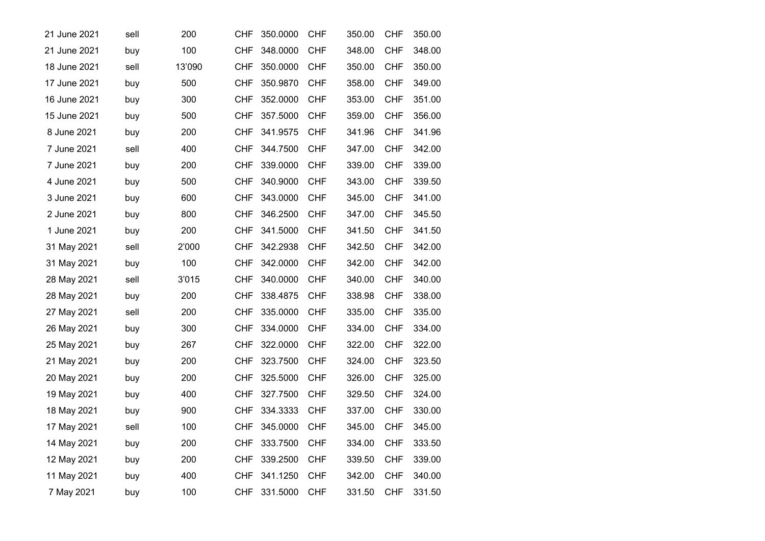| 21 June 2021 | sell | 200    | CHF        | 350.0000 | CHF        | 350.00 | CHF        | 350.00 |
|--------------|------|--------|------------|----------|------------|--------|------------|--------|
| 21 June 2021 | buy  | 100    | <b>CHF</b> | 348.0000 | <b>CHF</b> | 348.00 | <b>CHF</b> | 348.00 |
| 18 June 2021 | sell | 13'090 | <b>CHF</b> | 350.0000 | <b>CHF</b> | 350.00 | <b>CHF</b> | 350.00 |
| 17 June 2021 | buy  | 500    | <b>CHF</b> | 350.9870 | <b>CHF</b> | 358.00 | <b>CHF</b> | 349.00 |
| 16 June 2021 | buy  | 300    | <b>CHF</b> | 352,0000 | <b>CHF</b> | 353.00 | <b>CHF</b> | 351.00 |
| 15 June 2021 | buy  | 500    | <b>CHF</b> | 357.5000 | <b>CHF</b> | 359.00 | <b>CHF</b> | 356.00 |
| 8 June 2021  | buy  | 200    | <b>CHF</b> | 341.9575 | <b>CHF</b> | 341.96 | <b>CHF</b> | 341.96 |
| 7 June 2021  | sell | 400    | <b>CHF</b> | 344.7500 | <b>CHF</b> | 347.00 | <b>CHF</b> | 342.00 |
| 7 June 2021  | buy  | 200    | <b>CHF</b> | 339.0000 | <b>CHF</b> | 339.00 | <b>CHF</b> | 339.00 |
| 4 June 2021  | buy  | 500    | <b>CHF</b> | 340.9000 | <b>CHF</b> | 343.00 | <b>CHF</b> | 339.50 |
| 3 June 2021  | buy  | 600    | <b>CHF</b> | 343.0000 | <b>CHF</b> | 345.00 | <b>CHF</b> | 341.00 |
| 2 June 2021  | buy  | 800    | <b>CHF</b> | 346.2500 | <b>CHF</b> | 347.00 | <b>CHF</b> | 345.50 |
| 1 June 2021  | buy  | 200    | <b>CHF</b> | 341.5000 | <b>CHF</b> | 341.50 | <b>CHF</b> | 341.50 |
| 31 May 2021  | sell | 2'000  | <b>CHF</b> | 342.2938 | <b>CHF</b> | 342.50 | <b>CHF</b> | 342.00 |
| 31 May 2021  | buy  | 100    | <b>CHF</b> | 342.0000 | <b>CHF</b> | 342.00 | <b>CHF</b> | 342.00 |
| 28 May 2021  | sell | 3'015  | <b>CHF</b> | 340.0000 | <b>CHF</b> | 340.00 | <b>CHF</b> | 340.00 |
| 28 May 2021  | buy  | 200    | <b>CHF</b> | 338.4875 | <b>CHF</b> | 338.98 | <b>CHF</b> | 338.00 |
| 27 May 2021  | sell | 200    | <b>CHF</b> | 335.0000 | <b>CHF</b> | 335.00 | <b>CHF</b> | 335.00 |
| 26 May 2021  | buy  | 300    | <b>CHF</b> | 334.0000 | <b>CHF</b> | 334.00 | <b>CHF</b> | 334.00 |
| 25 May 2021  | buy  | 267    | <b>CHF</b> | 322.0000 | <b>CHF</b> | 322.00 | <b>CHF</b> | 322.00 |
| 21 May 2021  | buy  | 200    | <b>CHF</b> | 323.7500 | <b>CHF</b> | 324.00 | CHF        | 323.50 |
| 20 May 2021  | buy  | 200    | <b>CHF</b> | 325.5000 | <b>CHF</b> | 326.00 | <b>CHF</b> | 325.00 |
| 19 May 2021  | buy  | 400    | <b>CHF</b> | 327.7500 | <b>CHF</b> | 329.50 | <b>CHF</b> | 324.00 |
| 18 May 2021  | buy  | 900    | <b>CHF</b> | 334.3333 | <b>CHF</b> | 337.00 | <b>CHF</b> | 330.00 |
| 17 May 2021  | sell | 100    | <b>CHF</b> | 345.0000 | <b>CHF</b> | 345.00 | <b>CHF</b> | 345.00 |
| 14 May 2021  | buy  | 200    | <b>CHF</b> | 333.7500 | <b>CHF</b> | 334.00 | <b>CHF</b> | 333.50 |
| 12 May 2021  | buy  | 200    | CHF        | 339.2500 | <b>CHF</b> | 339.50 | <b>CHF</b> | 339.00 |
| 11 May 2021  | buy  | 400    | <b>CHF</b> | 341.1250 | <b>CHF</b> | 342.00 | <b>CHF</b> | 340.00 |
| 7 May 2021   | buy  | 100    | CHF        | 331.5000 | CHF        | 331.50 | <b>CHF</b> | 331.50 |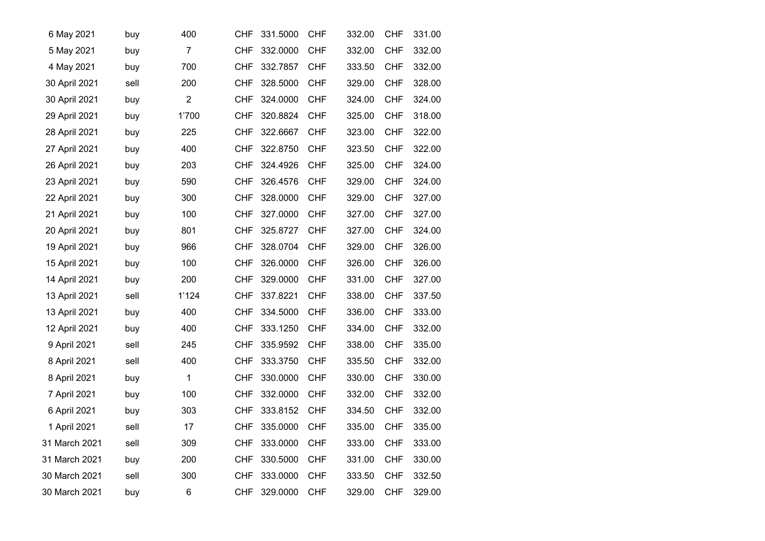| 6 May 2021    | buy  | 400            | CHF        | 331.5000 | CHF        | 332.00 | <b>CHF</b> | 331.00 |
|---------------|------|----------------|------------|----------|------------|--------|------------|--------|
| 5 May 2021    | buy  | $\overline{7}$ | <b>CHF</b> | 332.0000 | CHF        | 332.00 | <b>CHF</b> | 332.00 |
| 4 May 2021    | buy  | 700            | <b>CHF</b> | 332.7857 | <b>CHF</b> | 333.50 | <b>CHF</b> | 332.00 |
| 30 April 2021 | sell | 200            | <b>CHF</b> | 328.5000 | <b>CHF</b> | 329.00 | <b>CHF</b> | 328.00 |
| 30 April 2021 | buy  | $\overline{2}$ | <b>CHF</b> | 324.0000 | <b>CHF</b> | 324.00 | <b>CHF</b> | 324.00 |
| 29 April 2021 | buy  | 1'700          | <b>CHF</b> | 320.8824 | <b>CHF</b> | 325.00 | <b>CHF</b> | 318.00 |
| 28 April 2021 | buy  | 225            | <b>CHF</b> | 322.6667 | <b>CHF</b> | 323.00 | <b>CHF</b> | 322.00 |
| 27 April 2021 | buy  | 400            | <b>CHF</b> | 322.8750 | <b>CHF</b> | 323.50 | <b>CHF</b> | 322.00 |
| 26 April 2021 | buy  | 203            | <b>CHF</b> | 324.4926 | <b>CHF</b> | 325.00 | <b>CHF</b> | 324.00 |
| 23 April 2021 | buy  | 590            | <b>CHF</b> | 326.4576 | <b>CHF</b> | 329.00 | <b>CHF</b> | 324.00 |
| 22 April 2021 | buy  | 300            | <b>CHF</b> | 328.0000 | <b>CHF</b> | 329.00 | <b>CHF</b> | 327.00 |
| 21 April 2021 | buy  | 100            | <b>CHF</b> | 327.0000 | <b>CHF</b> | 327.00 | <b>CHF</b> | 327.00 |
| 20 April 2021 | buy  | 801            | <b>CHF</b> | 325.8727 | <b>CHF</b> | 327.00 | <b>CHF</b> | 324.00 |
| 19 April 2021 | buy  | 966            | <b>CHF</b> | 328.0704 | <b>CHF</b> | 329.00 | <b>CHF</b> | 326.00 |
| 15 April 2021 | buy  | 100            | <b>CHF</b> | 326.0000 | <b>CHF</b> | 326.00 | <b>CHF</b> | 326.00 |
| 14 April 2021 | buy  | 200            | <b>CHF</b> | 329.0000 | <b>CHF</b> | 331.00 | <b>CHF</b> | 327.00 |
| 13 April 2021 | sell | 1'124          | <b>CHF</b> | 337.8221 | <b>CHF</b> | 338.00 | <b>CHF</b> | 337.50 |
| 13 April 2021 | buy  | 400            | CHF        | 334.5000 | <b>CHF</b> | 336.00 | <b>CHF</b> | 333.00 |
| 12 April 2021 | buy  | 400            | <b>CHF</b> | 333.1250 | <b>CHF</b> | 334.00 | <b>CHF</b> | 332.00 |
| 9 April 2021  | sell | 245            | <b>CHF</b> | 335.9592 | <b>CHF</b> | 338.00 | <b>CHF</b> | 335.00 |
| 8 April 2021  | sell | 400            | <b>CHF</b> | 333.3750 | <b>CHF</b> | 335.50 | <b>CHF</b> | 332.00 |
| 8 April 2021  | buy  | $\mathbf{1}$   | <b>CHF</b> | 330.0000 | <b>CHF</b> | 330.00 | <b>CHF</b> | 330.00 |
| 7 April 2021  | buy  | 100            | <b>CHF</b> | 332.0000 | <b>CHF</b> | 332.00 | <b>CHF</b> | 332.00 |
| 6 April 2021  | buy  | 303            | <b>CHF</b> | 333.8152 | <b>CHF</b> | 334.50 | <b>CHF</b> | 332.00 |
| 1 April 2021  | sell | 17             | <b>CHF</b> | 335.0000 | <b>CHF</b> | 335.00 | <b>CHF</b> | 335.00 |
| 31 March 2021 | sell | 309            | <b>CHF</b> | 333.0000 | <b>CHF</b> | 333.00 | <b>CHF</b> | 333.00 |
| 31 March 2021 | buy  | 200            | CHF        | 330.5000 | <b>CHF</b> | 331.00 | <b>CHF</b> | 330.00 |
| 30 March 2021 | sell | 300            | <b>CHF</b> | 333.0000 | <b>CHF</b> | 333.50 | <b>CHF</b> | 332.50 |
| 30 March 2021 | buy  | 6              | <b>CHF</b> | 329.0000 | <b>CHF</b> | 329.00 | <b>CHF</b> | 329.00 |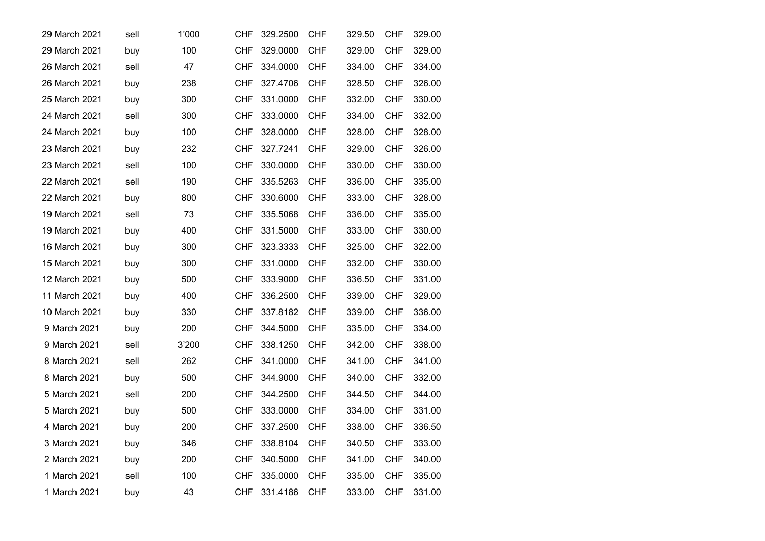| 29 March 2021 | sell | 1'000 | CHF        | 329.2500 | <b>CHF</b> | 329.50 | <b>CHF</b> | 329.00 |
|---------------|------|-------|------------|----------|------------|--------|------------|--------|
| 29 March 2021 | buy  | 100   | <b>CHF</b> | 329.0000 | <b>CHF</b> | 329.00 | <b>CHF</b> | 329.00 |
| 26 March 2021 | sell | 47    | CHF        | 334.0000 | <b>CHF</b> | 334.00 | <b>CHF</b> | 334.00 |
| 26 March 2021 | buy  | 238   | CHF.       | 327.4706 | <b>CHF</b> | 328.50 | CHF        | 326.00 |
| 25 March 2021 | buy  | 300   | <b>CHF</b> | 331.0000 | <b>CHF</b> | 332.00 | <b>CHF</b> | 330.00 |
| 24 March 2021 | sell | 300   | <b>CHF</b> | 333.0000 | <b>CHF</b> | 334.00 | <b>CHF</b> | 332.00 |
| 24 March 2021 | buy  | 100   | <b>CHF</b> | 328.0000 | <b>CHF</b> | 328.00 | <b>CHF</b> | 328.00 |
| 23 March 2021 | buy  | 232   | <b>CHF</b> | 327.7241 | <b>CHF</b> | 329.00 | <b>CHF</b> | 326.00 |
| 23 March 2021 | sell | 100   | <b>CHF</b> | 330.0000 | <b>CHF</b> | 330.00 | <b>CHF</b> | 330.00 |
| 22 March 2021 | sell | 190   | CHF        | 335.5263 | <b>CHF</b> | 336.00 | <b>CHF</b> | 335.00 |
| 22 March 2021 | buy  | 800   | CHF        | 330.6000 | <b>CHF</b> | 333.00 | <b>CHF</b> | 328.00 |
| 19 March 2021 | sell | 73    | CHF.       | 335.5068 | <b>CHF</b> | 336.00 | <b>CHF</b> | 335.00 |
| 19 March 2021 | buy  | 400   | CHF        | 331.5000 | <b>CHF</b> | 333.00 | <b>CHF</b> | 330.00 |
| 16 March 2021 | buy  | 300   | CHF        | 323.3333 | <b>CHF</b> | 325.00 | <b>CHF</b> | 322.00 |
| 15 March 2021 | buy  | 300   | CHF        | 331.0000 | <b>CHF</b> | 332.00 | <b>CHF</b> | 330.00 |
| 12 March 2021 | buy  | 500   | CHF        | 333.9000 | <b>CHF</b> | 336.50 | <b>CHF</b> | 331.00 |
| 11 March 2021 | buy  | 400   | <b>CHF</b> | 336.2500 | <b>CHF</b> | 339.00 | <b>CHF</b> | 329.00 |
| 10 March 2021 | buy  | 330   | <b>CHF</b> | 337.8182 | <b>CHF</b> | 339.00 | <b>CHF</b> | 336.00 |
| 9 March 2021  | buy  | 200   | CHF        | 344.5000 | <b>CHF</b> | 335.00 | <b>CHF</b> | 334.00 |
| 9 March 2021  | sell | 3'200 | CHF.       | 338.1250 | <b>CHF</b> | 342.00 | CHF        | 338.00 |
| 8 March 2021  | sell | 262   | <b>CHF</b> | 341.0000 | <b>CHF</b> | 341.00 | <b>CHF</b> | 341.00 |
| 8 March 2021  | buy  | 500   | <b>CHF</b> | 344.9000 | <b>CHF</b> | 340.00 | <b>CHF</b> | 332.00 |
| 5 March 2021  | sell | 200   | CHF.       | 344.2500 | <b>CHF</b> | 344.50 | <b>CHF</b> | 344.00 |
| 5 March 2021  | buy  | 500   | CHF.       | 333.0000 | <b>CHF</b> | 334.00 | <b>CHF</b> | 331.00 |
| 4 March 2021  | buy  | 200   | <b>CHF</b> | 337.2500 | <b>CHF</b> | 338.00 | <b>CHF</b> | 336.50 |
| 3 March 2021  | buy  | 346   | <b>CHF</b> | 338.8104 | <b>CHF</b> | 340.50 | <b>CHF</b> | 333.00 |
| 2 March 2021  | buy  | 200   | CHF.       | 340.5000 | <b>CHF</b> | 341.00 | CHF.       | 340.00 |
| 1 March 2021  | sell | 100   | CHF        | 335.0000 | <b>CHF</b> | 335.00 | <b>CHF</b> | 335.00 |
| 1 March 2021  | buy  | 43    | CHF.       | 331.4186 | <b>CHF</b> | 333.00 | <b>CHF</b> | 331.00 |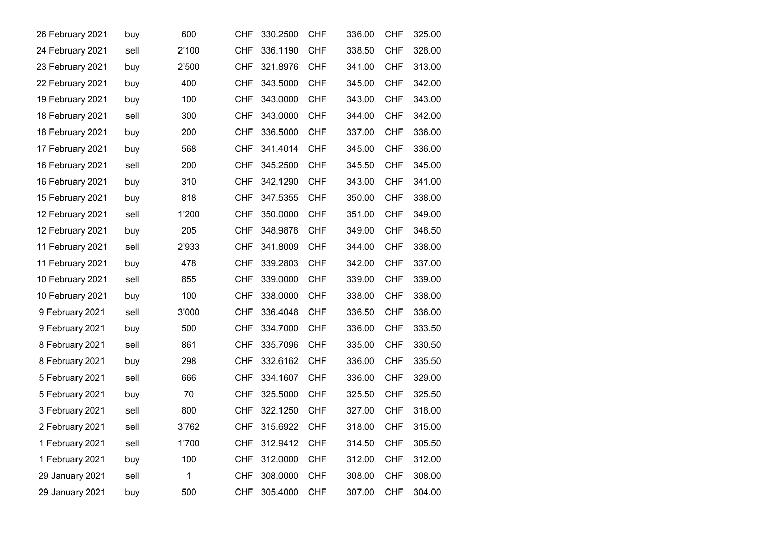| 26 February 2021 | buy  | 600   | CHF        | 330.2500 | CHF        | 336.00 | <b>CHF</b> | 325.00 |
|------------------|------|-------|------------|----------|------------|--------|------------|--------|
| 24 February 2021 | sell | 2'100 | <b>CHF</b> | 336.1190 | <b>CHF</b> | 338.50 | <b>CHF</b> | 328.00 |
| 23 February 2021 | buy  | 2'500 | CHF        | 321.8976 | CHF        | 341.00 | <b>CHF</b> | 313.00 |
| 22 February 2021 | buy  | 400   | <b>CHF</b> | 343.5000 | <b>CHF</b> | 345.00 | <b>CHF</b> | 342.00 |
| 19 February 2021 | buy  | 100   | <b>CHF</b> | 343.0000 | <b>CHF</b> | 343.00 | <b>CHF</b> | 343.00 |
| 18 February 2021 | sell | 300   | CHF        | 343.0000 | <b>CHF</b> | 344.00 | <b>CHF</b> | 342.00 |
| 18 February 2021 | buy  | 200   | CHF        | 336.5000 | <b>CHF</b> | 337.00 | <b>CHF</b> | 336.00 |
| 17 February 2021 | buy  | 568   | <b>CHF</b> | 341.4014 | <b>CHF</b> | 345.00 | <b>CHF</b> | 336.00 |
| 16 February 2021 | sell | 200   | CHF        | 345.2500 | <b>CHF</b> | 345.50 | <b>CHF</b> | 345.00 |
| 16 February 2021 | buy  | 310   | <b>CHF</b> | 342.1290 | <b>CHF</b> | 343.00 | <b>CHF</b> | 341.00 |
| 15 February 2021 | buy  | 818   | CHF        | 347.5355 | <b>CHF</b> | 350.00 | <b>CHF</b> | 338.00 |
| 12 February 2021 | sell | 1'200 | CHF        | 350.0000 | <b>CHF</b> | 351.00 | <b>CHF</b> | 349.00 |
| 12 February 2021 | buy  | 205   | <b>CHF</b> | 348.9878 | <b>CHF</b> | 349.00 | <b>CHF</b> | 348.50 |
| 11 February 2021 | sell | 2'933 | <b>CHF</b> | 341.8009 | <b>CHF</b> | 344.00 | <b>CHF</b> | 338.00 |
| 11 February 2021 | buy  | 478   | <b>CHF</b> | 339.2803 | <b>CHF</b> | 342.00 | <b>CHF</b> | 337.00 |
| 10 February 2021 | sell | 855   | <b>CHF</b> | 339.0000 | <b>CHF</b> | 339.00 | <b>CHF</b> | 339.00 |
| 10 February 2021 | buy  | 100   | <b>CHF</b> | 338.0000 | CHF        | 338.00 | <b>CHF</b> | 338.00 |
| 9 February 2021  | sell | 3'000 | <b>CHF</b> | 336.4048 | <b>CHF</b> | 336.50 | <b>CHF</b> | 336.00 |
| 9 February 2021  | buy  | 500   | <b>CHF</b> | 334.7000 | <b>CHF</b> | 336.00 | <b>CHF</b> | 333.50 |
| 8 February 2021  | sell | 861   | CHF        | 335.7096 | <b>CHF</b> | 335.00 | <b>CHF</b> | 330.50 |
| 8 February 2021  | buy  | 298   | <b>CHF</b> | 332.6162 | <b>CHF</b> | 336.00 | <b>CHF</b> | 335.50 |
| 5 February 2021  | sell | 666   | CHF        | 334.1607 | <b>CHF</b> | 336.00 | <b>CHF</b> | 329.00 |
| 5 February 2021  | buy  | 70    | <b>CHF</b> | 325.5000 | <b>CHF</b> | 325.50 | <b>CHF</b> | 325.50 |
| 3 February 2021  | sell | 800   | CHF        | 322.1250 | <b>CHF</b> | 327.00 | <b>CHF</b> | 318.00 |
| 2 February 2021  | sell | 3'762 | <b>CHF</b> | 315.6922 | <b>CHF</b> | 318.00 | <b>CHF</b> | 315.00 |
| 1 February 2021  | sell | 1'700 | CHF        | 312.9412 | <b>CHF</b> | 314.50 | <b>CHF</b> | 305.50 |
| 1 February 2021  | buy  | 100   | CHF        | 312.0000 | <b>CHF</b> | 312.00 | <b>CHF</b> | 312.00 |
| 29 January 2021  | sell | 1     | CHF        | 308.0000 | <b>CHF</b> | 308.00 | <b>CHF</b> | 308.00 |
| 29 January 2021  | buy  | 500   | <b>CHF</b> | 305.4000 | <b>CHF</b> | 307.00 | <b>CHF</b> | 304.00 |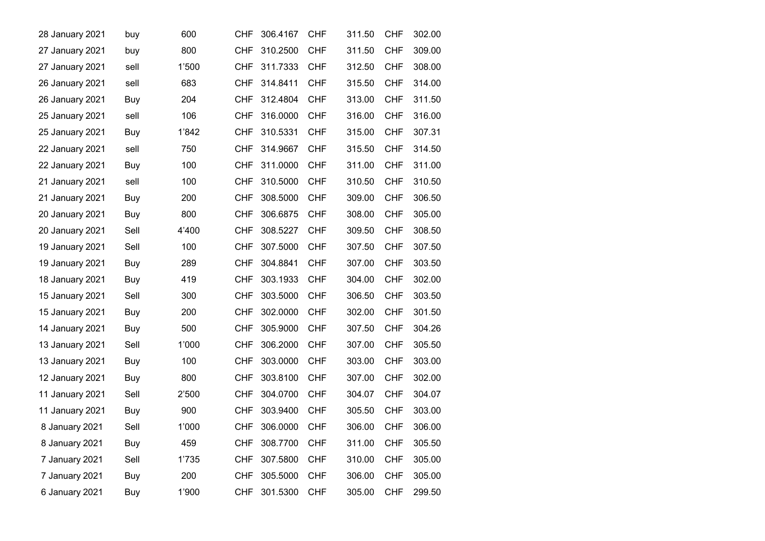| 28 January 2021 | buy  | 600   | CHF        | 306.4167 | <b>CHF</b> | 311.50 | CHF        | 302.00 |
|-----------------|------|-------|------------|----------|------------|--------|------------|--------|
| 27 January 2021 | buy  | 800   | <b>CHF</b> | 310.2500 | <b>CHF</b> | 311.50 | <b>CHF</b> | 309.00 |
| 27 January 2021 | sell | 1'500 | <b>CHF</b> | 311.7333 | <b>CHF</b> | 312.50 | <b>CHF</b> | 308.00 |
| 26 January 2021 | sell | 683   | <b>CHF</b> | 314.8411 | <b>CHF</b> | 315.50 | <b>CHF</b> | 314.00 |
| 26 January 2021 | Buy  | 204   | <b>CHF</b> | 312.4804 | <b>CHF</b> | 313.00 | <b>CHF</b> | 311.50 |
| 25 January 2021 | sell | 106   | <b>CHF</b> | 316.0000 | <b>CHF</b> | 316.00 | <b>CHF</b> | 316.00 |
| 25 January 2021 | Buy  | 1'842 | <b>CHF</b> | 310.5331 | <b>CHF</b> | 315.00 | <b>CHF</b> | 307.31 |
| 22 January 2021 | sell | 750   | <b>CHF</b> | 314.9667 | <b>CHF</b> | 315.50 | <b>CHF</b> | 314.50 |
| 22 January 2021 | Buy  | 100   | <b>CHF</b> | 311.0000 | <b>CHF</b> | 311.00 | <b>CHF</b> | 311.00 |
| 21 January 2021 | sell | 100   | CHF        | 310.5000 | CHF        | 310.50 | CHF        | 310.50 |
| 21 January 2021 | Buy  | 200   | <b>CHF</b> | 308.5000 | <b>CHF</b> | 309.00 | <b>CHF</b> | 306.50 |
| 20 January 2021 | Buy  | 800   | CHF        | 306.6875 | <b>CHF</b> | 308.00 | <b>CHF</b> | 305.00 |
| 20 January 2021 | Sell | 4'400 | <b>CHF</b> | 308.5227 | <b>CHF</b> | 309.50 | <b>CHF</b> | 308.50 |
| 19 January 2021 | Sell | 100   | <b>CHF</b> | 307.5000 | <b>CHF</b> | 307.50 | <b>CHF</b> | 307.50 |
| 19 January 2021 | Buy  | 289   | <b>CHF</b> | 304.8841 | <b>CHF</b> | 307.00 | <b>CHF</b> | 303.50 |
| 18 January 2021 | Buy  | 419   | <b>CHF</b> | 303.1933 | <b>CHF</b> | 304.00 | <b>CHF</b> | 302.00 |
| 15 January 2021 | Sell | 300   | CHF        | 303.5000 | <b>CHF</b> | 306.50 | <b>CHF</b> | 303.50 |
| 15 January 2021 | Buy  | 200   | <b>CHF</b> | 302.0000 | <b>CHF</b> | 302.00 | <b>CHF</b> | 301.50 |
| 14 January 2021 | Buy  | 500   | <b>CHF</b> | 305.9000 | <b>CHF</b> | 307.50 | <b>CHF</b> | 304.26 |
| 13 January 2021 | Sell | 1'000 | <b>CHF</b> | 306.2000 | <b>CHF</b> | 307.00 | <b>CHF</b> | 305.50 |
| 13 January 2021 | Buy  | 100   | <b>CHF</b> | 303.0000 | <b>CHF</b> | 303.00 | <b>CHF</b> | 303.00 |
| 12 January 2021 | Buy  | 800   | CHF        | 303.8100 | CHF        | 307.00 | <b>CHF</b> | 302.00 |
| 11 January 2021 | Sell | 2'500 | <b>CHF</b> | 304.0700 | <b>CHF</b> | 304.07 | <b>CHF</b> | 304.07 |
| 11 January 2021 | Buy  | 900   | <b>CHF</b> | 303.9400 | <b>CHF</b> | 305.50 | <b>CHF</b> | 303.00 |
| 8 January 2021  | Sell | 1'000 | <b>CHF</b> | 306.0000 | <b>CHF</b> | 306.00 | <b>CHF</b> | 306.00 |
| 8 January 2021  | Buy  | 459   | <b>CHF</b> | 308.7700 | <b>CHF</b> | 311.00 | <b>CHF</b> | 305.50 |
| 7 January 2021  | Sell | 1'735 | <b>CHF</b> | 307.5800 | CHF        | 310.00 | <b>CHF</b> | 305.00 |
| 7 January 2021  | Buy  | 200   | <b>CHF</b> | 305.5000 | <b>CHF</b> | 306.00 | <b>CHF</b> | 305.00 |
| 6 January 2021  | Buy  | 1'900 | <b>CHF</b> | 301.5300 | <b>CHF</b> | 305.00 | <b>CHF</b> | 299.50 |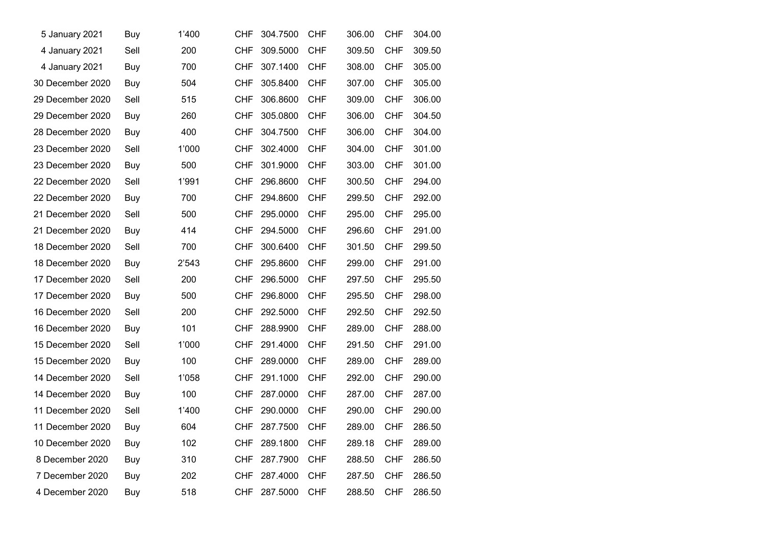| 5 January 2021   | Buy  | 1'400 | CHF        | 304.7500 | <b>CHF</b> | 306.00 | <b>CHF</b> | 304.00 |
|------------------|------|-------|------------|----------|------------|--------|------------|--------|
| 4 January 2021   | Sell | 200   | <b>CHF</b> | 309.5000 | <b>CHF</b> | 309.50 | <b>CHF</b> | 309.50 |
| 4 January 2021   | Buy  | 700   | <b>CHF</b> | 307.1400 | <b>CHF</b> | 308.00 | <b>CHF</b> | 305.00 |
| 30 December 2020 | Buy  | 504   | <b>CHF</b> | 305.8400 | <b>CHF</b> | 307.00 | <b>CHF</b> | 305.00 |
| 29 December 2020 | Sell | 515   | <b>CHF</b> | 306.8600 | <b>CHF</b> | 309.00 | <b>CHF</b> | 306.00 |
| 29 December 2020 | Buy  | 260   | CHF        | 305.0800 | <b>CHF</b> | 306.00 | <b>CHF</b> | 304.50 |
| 28 December 2020 | Buy  | 400   | CHF        | 304.7500 | <b>CHF</b> | 306.00 | <b>CHF</b> | 304.00 |
| 23 December 2020 | Sell | 1'000 | CHF        | 302.4000 | <b>CHF</b> | 304.00 | <b>CHF</b> | 301.00 |
| 23 December 2020 | Buy  | 500   | <b>CHF</b> | 301.9000 | <b>CHF</b> | 303.00 | <b>CHF</b> | 301.00 |
| 22 December 2020 | Sell | 1'991 | CHF        | 296.8600 | <b>CHF</b> | 300.50 | <b>CHF</b> | 294.00 |
| 22 December 2020 | Buy  | 700   | <b>CHF</b> | 294.8600 | <b>CHF</b> | 299.50 | <b>CHF</b> | 292.00 |
| 21 December 2020 | Sell | 500   | CHF        | 295.0000 | <b>CHF</b> | 295.00 | <b>CHF</b> | 295.00 |
| 21 December 2020 | Buy  | 414   | <b>CHF</b> | 294.5000 | <b>CHF</b> | 296.60 | <b>CHF</b> | 291.00 |
| 18 December 2020 | Sell | 700   | <b>CHF</b> | 300.6400 | <b>CHF</b> | 301.50 | <b>CHF</b> | 299.50 |
| 18 December 2020 | Buy  | 2'543 | <b>CHF</b> | 295.8600 | <b>CHF</b> | 299.00 | <b>CHF</b> | 291.00 |
| 17 December 2020 | Sell | 200   | CHF        | 296.5000 | <b>CHF</b> | 297.50 | <b>CHF</b> | 295.50 |
| 17 December 2020 | Buy  | 500   | CHF        | 296.8000 | <b>CHF</b> | 295.50 | <b>CHF</b> | 298.00 |
| 16 December 2020 | Sell | 200   | CHF        | 292.5000 | <b>CHF</b> | 292.50 | <b>CHF</b> | 292.50 |
| 16 December 2020 | Buy  | 101   | <b>CHF</b> | 288.9900 | <b>CHF</b> | 289.00 | <b>CHF</b> | 288.00 |
| 15 December 2020 | Sell | 1'000 | <b>CHF</b> | 291.4000 | <b>CHF</b> | 291.50 | <b>CHF</b> | 291.00 |
| 15 December 2020 | Buy  | 100   | <b>CHF</b> | 289.0000 | <b>CHF</b> | 289.00 | <b>CHF</b> | 289.00 |
| 14 December 2020 | Sell | 1'058 | <b>CHF</b> | 291.1000 | <b>CHF</b> | 292.00 | <b>CHF</b> | 290.00 |
| 14 December 2020 | Buy  | 100   | CHF        | 287.0000 | <b>CHF</b> | 287.00 | <b>CHF</b> | 287.00 |
| 11 December 2020 | Sell | 1'400 | <b>CHF</b> | 290.0000 | <b>CHF</b> | 290.00 | <b>CHF</b> | 290.00 |
| 11 December 2020 | Buy  | 604   | CHF        | 287.7500 | <b>CHF</b> | 289.00 | <b>CHF</b> | 286.50 |
| 10 December 2020 | Buy  | 102   | <b>CHF</b> | 289.1800 | <b>CHF</b> | 289.18 | <b>CHF</b> | 289.00 |
| 8 December 2020  | Buy  | 310   | CHF        | 287.7900 | <b>CHF</b> | 288.50 | <b>CHF</b> | 286.50 |
| 7 December 2020  | Buy  | 202   | <b>CHF</b> | 287.4000 | <b>CHF</b> | 287.50 | <b>CHF</b> | 286.50 |
| 4 December 2020  | Buy  | 518   | CHF        | 287.5000 | <b>CHF</b> | 288.50 | <b>CHF</b> | 286.50 |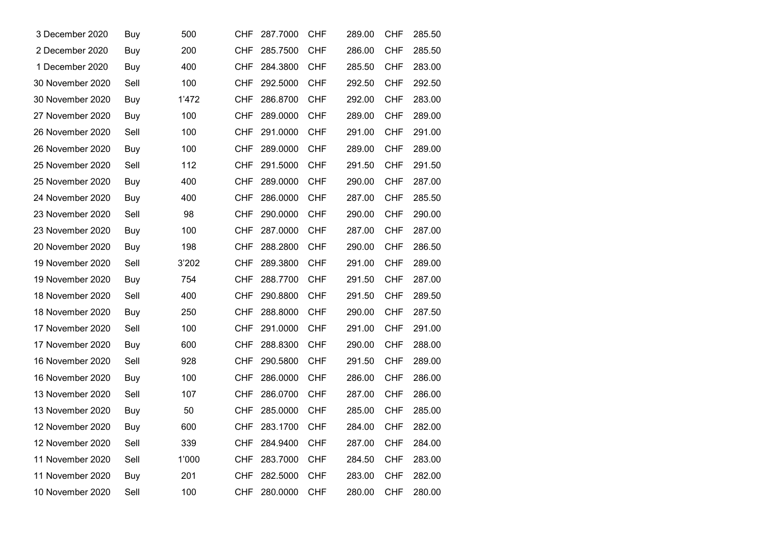| 3 December 2020  | Buy  | 500   | CHF        | 287.7000 | <b>CHF</b> | 289.00 | <b>CHF</b> | 285.50 |
|------------------|------|-------|------------|----------|------------|--------|------------|--------|
| 2 December 2020  | Buy  | 200   | <b>CHF</b> | 285.7500 | <b>CHF</b> | 286.00 | <b>CHF</b> | 285.50 |
| 1 December 2020  | Buy  | 400   | <b>CHF</b> | 284.3800 | <b>CHF</b> | 285.50 | <b>CHF</b> | 283.00 |
| 30 November 2020 | Sell | 100   | CHF        | 292.5000 | <b>CHF</b> | 292.50 | <b>CHF</b> | 292.50 |
| 30 November 2020 | Buy  | 1'472 | CHF        | 286.8700 | <b>CHF</b> | 292.00 | <b>CHF</b> | 283.00 |
| 27 November 2020 | Buy  | 100   | CHF        | 289.0000 | <b>CHF</b> | 289.00 | <b>CHF</b> | 289.00 |
| 26 November 2020 | Sell | 100   | <b>CHF</b> | 291.0000 | <b>CHF</b> | 291.00 | <b>CHF</b> | 291.00 |
| 26 November 2020 | Buy  | 100   | CHF        | 289.0000 | <b>CHF</b> | 289.00 | <b>CHF</b> | 289.00 |
| 25 November 2020 | Sell | 112   | CHF        | 291.5000 | <b>CHF</b> | 291.50 | <b>CHF</b> | 291.50 |
| 25 November 2020 | Buy  | 400   | CHF        | 289.0000 | <b>CHF</b> | 290.00 | <b>CHF</b> | 287.00 |
| 24 November 2020 | Buy  | 400   | CHF        | 286.0000 | <b>CHF</b> | 287.00 | <b>CHF</b> | 285.50 |
| 23 November 2020 | Sell | 98    | CHF        | 290.0000 | <b>CHF</b> | 290.00 | <b>CHF</b> | 290.00 |
| 23 November 2020 | Buy  | 100   | CHF        | 287.0000 | <b>CHF</b> | 287.00 | <b>CHF</b> | 287.00 |
| 20 November 2020 | Buy  | 198   | CHF        | 288.2800 | <b>CHF</b> | 290.00 | <b>CHF</b> | 286.50 |
| 19 November 2020 | Sell | 3'202 | CHF        | 289.3800 | <b>CHF</b> | 291.00 | <b>CHF</b> | 289.00 |
| 19 November 2020 | Buy  | 754   | CHF        | 288.7700 | <b>CHF</b> | 291.50 | <b>CHF</b> | 287.00 |
| 18 November 2020 | Sell | 400   | CHF        | 290.8800 | <b>CHF</b> | 291.50 | <b>CHF</b> | 289.50 |
| 18 November 2020 | Buy  | 250   | CHF        | 288.8000 | <b>CHF</b> | 290.00 | <b>CHF</b> | 287.50 |
| 17 November 2020 | Sell | 100   | CHF        | 291.0000 | <b>CHF</b> | 291.00 | <b>CHF</b> | 291.00 |
| 17 November 2020 | Buy  | 600   | CHF        | 288,8300 | <b>CHF</b> | 290.00 | <b>CHF</b> | 288.00 |
| 16 November 2020 | Sell | 928   | CHF        | 290.5800 | <b>CHF</b> | 291.50 | <b>CHF</b> | 289.00 |
| 16 November 2020 | Buy  | 100   | CHF        | 286.0000 | <b>CHF</b> | 286.00 | <b>CHF</b> | 286.00 |
| 13 November 2020 | Sell | 107   | CHF        | 286.0700 | <b>CHF</b> | 287.00 | <b>CHF</b> | 286.00 |
| 13 November 2020 | Buy  | 50    | CHF        | 285.0000 | <b>CHF</b> | 285.00 | <b>CHF</b> | 285.00 |
| 12 November 2020 | Buy  | 600   | CHF        | 283.1700 | <b>CHF</b> | 284.00 | <b>CHF</b> | 282.00 |
| 12 November 2020 | Sell | 339   | <b>CHF</b> | 284.9400 | <b>CHF</b> | 287.00 | <b>CHF</b> | 284.00 |
| 11 November 2020 | Sell | 1'000 | CHF        | 283.7000 | <b>CHF</b> | 284.50 | <b>CHF</b> | 283.00 |
| 11 November 2020 | Buy  | 201   | CHF        | 282.5000 | <b>CHF</b> | 283.00 | <b>CHF</b> | 282.00 |
| 10 November 2020 | Sell | 100   | CHF        | 280.0000 | <b>CHF</b> | 280.00 | <b>CHF</b> | 280.00 |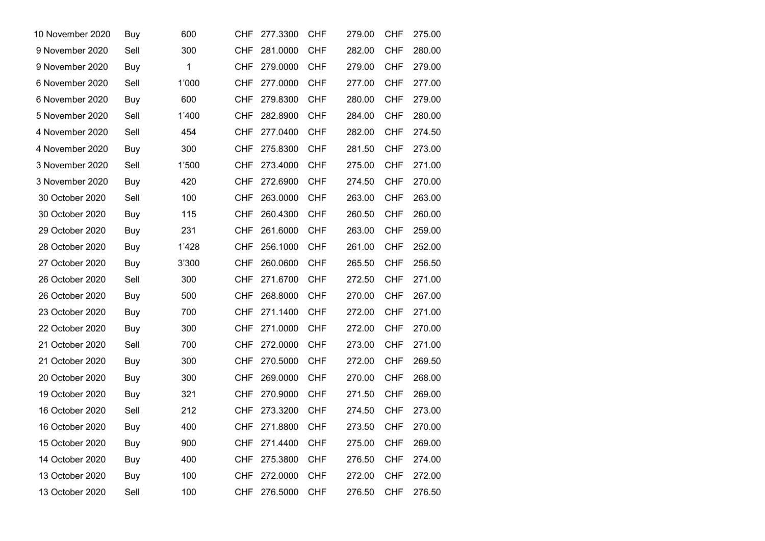| 10 November 2020 | Buy  | 600   | CHF        | 277.3300 | <b>CHF</b> | 279.00 | <b>CHF</b> | 275.00 |  |
|------------------|------|-------|------------|----------|------------|--------|------------|--------|--|
| 9 November 2020  | Sell | 300   | <b>CHF</b> | 281.0000 | <b>CHF</b> | 282.00 | <b>CHF</b> | 280.00 |  |
| 9 November 2020  | Buy  | 1     | CHF        | 279.0000 | <b>CHF</b> | 279.00 | <b>CHF</b> | 279.00 |  |
| 6 November 2020  | Sell | 1'000 | CHF        | 277,0000 | <b>CHF</b> | 277.00 | <b>CHF</b> | 277.00 |  |
| 6 November 2020  | Buy  | 600   | CHF        | 279.8300 | <b>CHF</b> | 280.00 | <b>CHF</b> | 279.00 |  |
| 5 November 2020  | Sell | 1'400 | CHF        | 282.8900 | <b>CHF</b> | 284.00 | <b>CHF</b> | 280.00 |  |
| 4 November 2020  | Sell | 454   | CHF        | 277.0400 | <b>CHF</b> | 282.00 | <b>CHF</b> | 274.50 |  |
| 4 November 2020  | Buy  | 300   | CHF        | 275.8300 | <b>CHF</b> | 281.50 | <b>CHF</b> | 273.00 |  |
| 3 November 2020  | Sell | 1'500 | <b>CHF</b> | 273.4000 | <b>CHF</b> | 275.00 | <b>CHF</b> | 271.00 |  |
| 3 November 2020  | Buy  | 420   | CHF        | 272.6900 | <b>CHF</b> | 274.50 | <b>CHF</b> | 270.00 |  |
| 30 October 2020  | Sell | 100   | <b>CHF</b> | 263.0000 | <b>CHF</b> | 263.00 | <b>CHF</b> | 263.00 |  |
| 30 October 2020  | Buy  | 115   | <b>CHF</b> | 260.4300 | <b>CHF</b> | 260.50 | <b>CHF</b> | 260.00 |  |
| 29 October 2020  | Buy  | 231   | CHF        | 261.6000 | <b>CHF</b> | 263.00 | <b>CHF</b> | 259.00 |  |
| 28 October 2020  | Buy  | 1'428 | CHF        | 256.1000 | <b>CHF</b> | 261.00 | <b>CHF</b> | 252.00 |  |
| 27 October 2020  | Buy  | 3'300 | <b>CHF</b> | 260.0600 | <b>CHF</b> | 265.50 | <b>CHF</b> | 256.50 |  |
| 26 October 2020  | Sell | 300   | CHF        | 271.6700 | <b>CHF</b> | 272.50 | <b>CHF</b> | 271.00 |  |
| 26 October 2020  | Buy  | 500   | CHF        | 268.8000 | <b>CHF</b> | 270.00 | <b>CHF</b> | 267.00 |  |
| 23 October 2020  | Buy  | 700   | CHF        | 271.1400 | <b>CHF</b> | 272.00 | <b>CHF</b> | 271.00 |  |
| 22 October 2020  | Buy  | 300   | <b>CHF</b> | 271.0000 | <b>CHF</b> | 272.00 | <b>CHF</b> | 270.00 |  |
| 21 October 2020  | Sell | 700   | CHF        | 272.0000 | <b>CHF</b> | 273.00 | <b>CHF</b> | 271.00 |  |
| 21 October 2020  | Buy  | 300   | CHF        | 270.5000 | <b>CHF</b> | 272.00 | <b>CHF</b> | 269.50 |  |
| 20 October 2020  | Buy  | 300   | CHF        | 269.0000 | <b>CHF</b> | 270.00 | <b>CHF</b> | 268.00 |  |
| 19 October 2020  | Buy  | 321   | CHF        | 270.9000 | <b>CHF</b> | 271.50 | <b>CHF</b> | 269.00 |  |
| 16 October 2020  | Sell | 212   | CHF        | 273.3200 | <b>CHF</b> | 274.50 | <b>CHF</b> | 273.00 |  |
| 16 October 2020  | Buy  | 400   | <b>CHF</b> | 271.8800 | <b>CHF</b> | 273.50 | <b>CHF</b> | 270.00 |  |
| 15 October 2020  | Buy  | 900   | CHF        | 271.4400 | <b>CHF</b> | 275.00 | <b>CHF</b> | 269.00 |  |
| 14 October 2020  | Buy  | 400   | CHF        | 275.3800 | <b>CHF</b> | 276.50 | <b>CHF</b> | 274.00 |  |
| 13 October 2020  | Buy  | 100   | CHF        | 272.0000 | <b>CHF</b> | 272.00 | <b>CHF</b> | 272.00 |  |
| 13 October 2020  | Sell | 100   | CHF        | 276.5000 | <b>CHF</b> | 276.50 | <b>CHF</b> | 276.50 |  |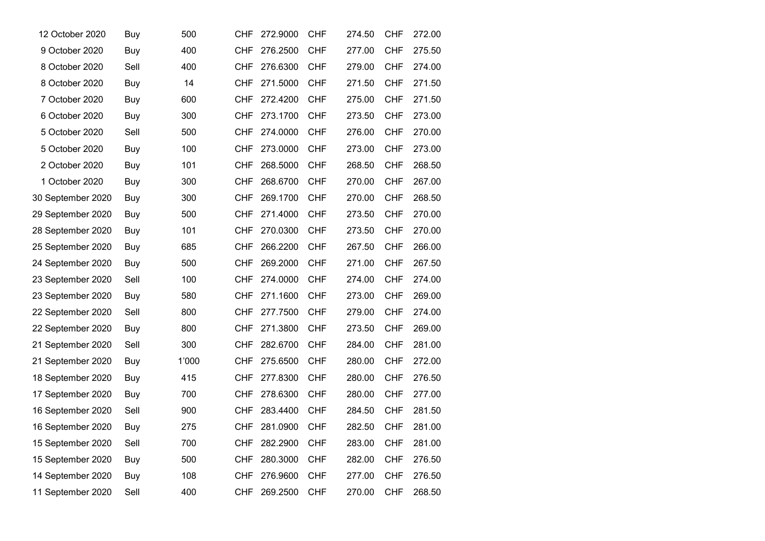| 12 October 2020   | Buy        | 500   | CHF        | 272.9000 | CHF        | 274.50 | <b>CHF</b> | 272.00 |
|-------------------|------------|-------|------------|----------|------------|--------|------------|--------|
| 9 October 2020    | Buy        | 400   | <b>CHF</b> | 276.2500 | <b>CHF</b> | 277.00 | <b>CHF</b> | 275.50 |
| 8 October 2020    | Sell       | 400   | CHF        | 276.6300 | <b>CHF</b> | 279.00 | <b>CHF</b> | 274.00 |
| 8 October 2020    | Buy        | 14    | <b>CHF</b> | 271.5000 | <b>CHF</b> | 271.50 | <b>CHF</b> | 271.50 |
| 7 October 2020    | Buy        | 600   | CHF        | 272.4200 | <b>CHF</b> | 275.00 | <b>CHF</b> | 271.50 |
| 6 October 2020    | Buy        | 300   | <b>CHF</b> | 273.1700 | <b>CHF</b> | 273.50 | <b>CHF</b> | 273.00 |
| 5 October 2020    | Sell       | 500   | <b>CHF</b> | 274.0000 | <b>CHF</b> | 276.00 | <b>CHF</b> | 270.00 |
| 5 October 2020    | Buy        | 100   | CHF        | 273.0000 | <b>CHF</b> | 273.00 | <b>CHF</b> | 273.00 |
| 2 October 2020    | Buy        | 101   | <b>CHF</b> | 268.5000 | <b>CHF</b> | 268.50 | <b>CHF</b> | 268.50 |
| 1 October 2020    | Buy        | 300   | <b>CHF</b> | 268.6700 | CHF        | 270.00 | <b>CHF</b> | 267.00 |
| 30 September 2020 | Buy        | 300   | <b>CHF</b> | 269.1700 | <b>CHF</b> | 270.00 | <b>CHF</b> | 268.50 |
| 29 September 2020 | Buy        | 500   | <b>CHF</b> | 271.4000 | <b>CHF</b> | 273.50 | <b>CHF</b> | 270.00 |
| 28 September 2020 | Buy        | 101   | <b>CHF</b> | 270.0300 | <b>CHF</b> | 273.50 | <b>CHF</b> | 270.00 |
| 25 September 2020 | Buy        | 685   | <b>CHF</b> | 266.2200 | <b>CHF</b> | 267.50 | <b>CHF</b> | 266.00 |
| 24 September 2020 | <b>Buy</b> | 500   | CHF        | 269.2000 | <b>CHF</b> | 271.00 | <b>CHF</b> | 267.50 |
| 23 September 2020 | Sell       | 100   | <b>CHF</b> | 274.0000 | <b>CHF</b> | 274.00 | <b>CHF</b> | 274.00 |
| 23 September 2020 | Buy        | 580   | <b>CHF</b> | 271.1600 | <b>CHF</b> | 273.00 | <b>CHF</b> | 269.00 |
| 22 September 2020 | Sell       | 800   | <b>CHF</b> | 277.7500 | <b>CHF</b> | 279.00 | <b>CHF</b> | 274.00 |
| 22 September 2020 | Buy        | 800   | <b>CHF</b> | 271.3800 | <b>CHF</b> | 273.50 | <b>CHF</b> | 269.00 |
| 21 September 2020 | Sell       | 300   | <b>CHF</b> | 282.6700 | <b>CHF</b> | 284.00 | <b>CHF</b> | 281.00 |
| 21 September 2020 | Buy        | 1'000 | <b>CHF</b> | 275.6500 | <b>CHF</b> | 280.00 | <b>CHF</b> | 272.00 |
| 18 September 2020 | Buy        | 415   | <b>CHF</b> | 277.8300 | <b>CHF</b> | 280.00 | <b>CHF</b> | 276.50 |
| 17 September 2020 | Buy        | 700   | CHF        | 278.6300 | CHF        | 280.00 | <b>CHF</b> | 277.00 |
| 16 September 2020 | Sell       | 900   | <b>CHF</b> | 283.4400 | <b>CHF</b> | 284.50 | <b>CHF</b> | 281.50 |
| 16 September 2020 | Buy        | 275   | CHF        | 281.0900 | <b>CHF</b> | 282.50 | <b>CHF</b> | 281.00 |
| 15 September 2020 | Sell       | 700   | <b>CHF</b> | 282.2900 | CHF        | 283.00 | <b>CHF</b> | 281.00 |
| 15 September 2020 | Buy        | 500   | <b>CHF</b> | 280.3000 | <b>CHF</b> | 282.00 | <b>CHF</b> | 276.50 |
| 14 September 2020 | Buy        | 108   | CHF        | 276.9600 | CHF        | 277.00 | <b>CHF</b> | 276.50 |
| 11 September 2020 | Sell       | 400   | <b>CHF</b> | 269.2500 | <b>CHF</b> | 270.00 | <b>CHF</b> | 268.50 |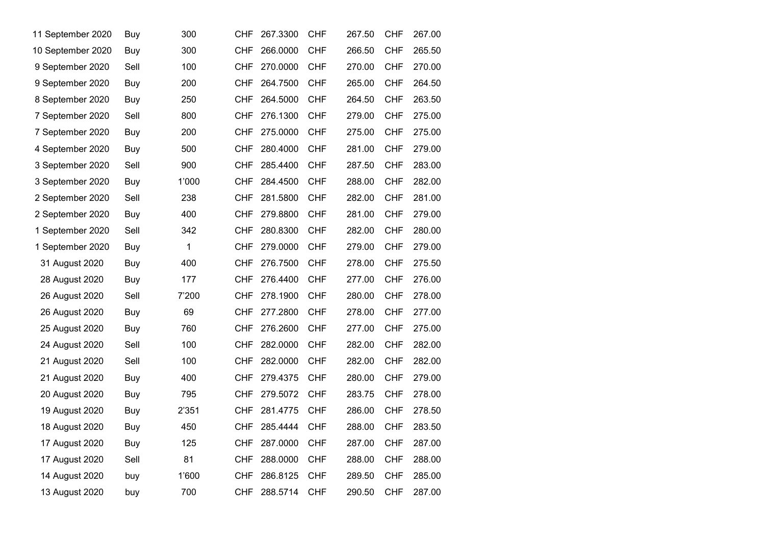| 11 September 2020 | Buy  | 300         | CHF        | 267.3300 | <b>CHF</b> | 267.50 | <b>CHF</b> | 267.00 |
|-------------------|------|-------------|------------|----------|------------|--------|------------|--------|
| 10 September 2020 | Buy  | 300         | <b>CHF</b> | 266.0000 | <b>CHF</b> | 266.50 | <b>CHF</b> | 265.50 |
| 9 September 2020  | Sell | 100         | CHF        | 270.0000 | <b>CHF</b> | 270.00 | <b>CHF</b> | 270.00 |
| 9 September 2020  | Buy  | 200         | <b>CHF</b> | 264.7500 | <b>CHF</b> | 265.00 | <b>CHF</b> | 264.50 |
| 8 September 2020  | Buy  | 250         | CHF        | 264.5000 | <b>CHF</b> | 264.50 | <b>CHF</b> | 263.50 |
| 7 September 2020  | Sell | 800         | CHF        | 276.1300 | <b>CHF</b> | 279.00 | <b>CHF</b> | 275.00 |
| 7 September 2020  | Buy  | 200         | CHF        | 275.0000 | <b>CHF</b> | 275.00 | <b>CHF</b> | 275.00 |
| 4 September 2020  | Buy  | 500         | <b>CHF</b> | 280.4000 | <b>CHF</b> | 281.00 | <b>CHF</b> | 279.00 |
| 3 September 2020  | Sell | 900         | CHF        | 285.4400 | <b>CHF</b> | 287.50 | <b>CHF</b> | 283.00 |
| 3 September 2020  | Buy  | 1'000       | CHF        | 284.4500 | <b>CHF</b> | 288.00 | <b>CHF</b> | 282.00 |
| 2 September 2020  | Sell | 238         | CHF        | 281.5800 | <b>CHF</b> | 282.00 | <b>CHF</b> | 281.00 |
| 2 September 2020  | Buy  | 400         | CHF        | 279.8800 | <b>CHF</b> | 281.00 | <b>CHF</b> | 279.00 |
| 1 September 2020  | Sell | 342         | <b>CHF</b> | 280.8300 | <b>CHF</b> | 282.00 | <b>CHF</b> | 280.00 |
| 1 September 2020  | Buy  | $\mathbf 1$ | CHF        | 279.0000 | <b>CHF</b> | 279.00 | <b>CHF</b> | 279.00 |
| 31 August 2020    | Buy  | 400         | <b>CHF</b> | 276.7500 | <b>CHF</b> | 278.00 | <b>CHF</b> | 275.50 |
| 28 August 2020    | Buy  | 177         | CHF        | 276.4400 | <b>CHF</b> | 277.00 | <b>CHF</b> | 276.00 |
| 26 August 2020    | Sell | 7'200       | CHF        | 278.1900 | <b>CHF</b> | 280.00 | <b>CHF</b> | 278.00 |
| 26 August 2020    | Buy  | 69          | CHF        | 277.2800 | <b>CHF</b> | 278.00 | <b>CHF</b> | 277.00 |
| 25 August 2020    | Buy  | 760         | <b>CHF</b> | 276.2600 | <b>CHF</b> | 277.00 | <b>CHF</b> | 275.00 |
| 24 August 2020    | Sell | 100         | CHF        | 282.0000 | <b>CHF</b> | 282.00 | <b>CHF</b> | 282.00 |
| 21 August 2020    | Sell | 100         | <b>CHF</b> | 282.0000 | <b>CHF</b> | 282.00 | <b>CHF</b> | 282.00 |
| 21 August 2020    | Buy  | 400         | CHF        | 279.4375 | <b>CHF</b> | 280.00 | <b>CHF</b> | 279.00 |
| 20 August 2020    | Buy  | 795         | CHF        | 279.5072 | <b>CHF</b> | 283.75 | <b>CHF</b> | 278.00 |
| 19 August 2020    | Buy  | 2'351       | CHF        | 281.4775 | <b>CHF</b> | 286.00 | <b>CHF</b> | 278.50 |
| 18 August 2020    | Buy  | 450         | <b>CHF</b> | 285.4444 | <b>CHF</b> | 288.00 | <b>CHF</b> | 283.50 |
| 17 August 2020    | Buy  | 125         | CHF        | 287.0000 | <b>CHF</b> | 287.00 | <b>CHF</b> | 287.00 |
| 17 August 2020    | Sell | 81          | CHF        | 288.0000 | <b>CHF</b> | 288.00 | <b>CHF</b> | 288.00 |
| 14 August 2020    | buy  | 1'600       | CHF        | 286.8125 | <b>CHF</b> | 289.50 | <b>CHF</b> | 285.00 |
| 13 August 2020    | buy  | 700         | <b>CHF</b> | 288.5714 | <b>CHF</b> | 290.50 | <b>CHF</b> | 287.00 |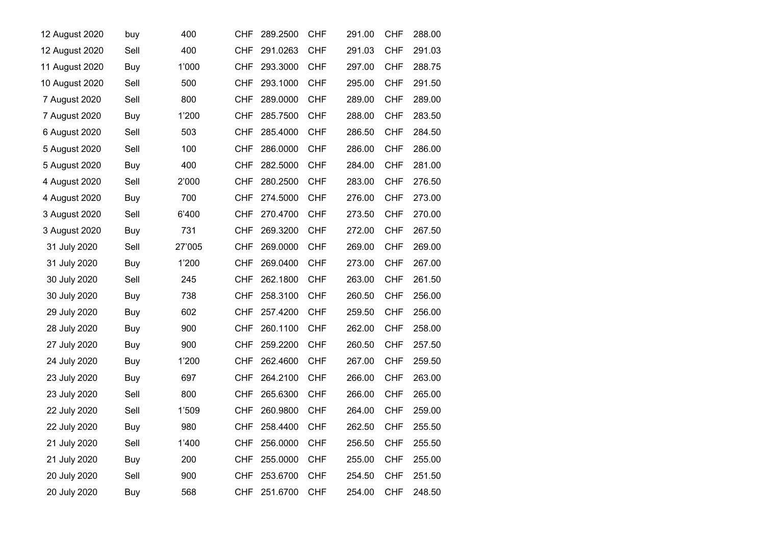| 12 August 2020 | buy        | 400    | CHF        | 289.2500 | <b>CHF</b> | 291.00 | CHF        | 288.00 |
|----------------|------------|--------|------------|----------|------------|--------|------------|--------|
| 12 August 2020 | Sell       | 400    | <b>CHF</b> | 291.0263 | <b>CHF</b> | 291.03 | <b>CHF</b> | 291.03 |
| 11 August 2020 | Buy        | 1'000  | <b>CHF</b> | 293.3000 | <b>CHF</b> | 297.00 | <b>CHF</b> | 288.75 |
| 10 August 2020 | Sell       | 500    | CHF        | 293.1000 | <b>CHF</b> | 295.00 | <b>CHF</b> | 291.50 |
| 7 August 2020  | Sell       | 800    | CHF        | 289.0000 | <b>CHF</b> | 289.00 | <b>CHF</b> | 289.00 |
| 7 August 2020  | Buy        | 1'200  | CHF        | 285.7500 | <b>CHF</b> | 288.00 | <b>CHF</b> | 283.50 |
| 6 August 2020  | Sell       | 503    | CHF.       | 285.4000 | <b>CHF</b> | 286.50 | <b>CHF</b> | 284.50 |
| 5 August 2020  | Sell       | 100    | CHF        | 286.0000 | <b>CHF</b> | 286.00 | <b>CHF</b> | 286.00 |
| 5 August 2020  | Buy        | 400    | CHF.       | 282.5000 | <b>CHF</b> | 284.00 | <b>CHF</b> | 281.00 |
| 4 August 2020  | Sell       | 2'000  | <b>CHF</b> | 280.2500 | <b>CHF</b> | 283.00 | <b>CHF</b> | 276.50 |
| 4 August 2020  | Buy        | 700    | CHF        | 274.5000 | <b>CHF</b> | 276.00 | <b>CHF</b> | 273.00 |
| 3 August 2020  | Sell       | 6'400  | <b>CHF</b> | 270.4700 | <b>CHF</b> | 273.50 | <b>CHF</b> | 270.00 |
| 3 August 2020  | <b>Buy</b> | 731    | CHF        | 269.3200 | <b>CHF</b> | 272.00 | <b>CHF</b> | 267.50 |
| 31 July 2020   | Sell       | 27'005 | CHF        | 269.0000 | <b>CHF</b> | 269.00 | <b>CHF</b> | 269.00 |
| 31 July 2020   | Buy        | 1'200  | <b>CHF</b> | 269.0400 | <b>CHF</b> | 273.00 | <b>CHF</b> | 267.00 |
| 30 July 2020   | Sell       | 245    | CHF.       | 262.1800 | <b>CHF</b> | 263.00 | <b>CHF</b> | 261.50 |
| 30 July 2020   | Buy        | 738    | <b>CHF</b> | 258.3100 | <b>CHF</b> | 260.50 | <b>CHF</b> | 256.00 |
| 29 July 2020   | Buy        | 602    | CHF.       | 257.4200 | <b>CHF</b> | 259.50 | <b>CHF</b> | 256.00 |
| 28 July 2020   | Buy        | 900    | CHF        | 260.1100 | <b>CHF</b> | 262.00 | <b>CHF</b> | 258.00 |
| 27 July 2020   | Buy        | 900    | <b>CHF</b> | 259.2200 | <b>CHF</b> | 260.50 | <b>CHF</b> | 257.50 |
| 24 July 2020   | Buy        | 1'200  | CHF        | 262.4600 | <b>CHF</b> | 267.00 | <b>CHF</b> | 259.50 |
| 23 July 2020   | <b>Buy</b> | 697    | CHF        | 264.2100 | <b>CHF</b> | 266.00 | <b>CHF</b> | 263.00 |
| 23 July 2020   | Sell       | 800    | CHF        | 265.6300 | <b>CHF</b> | 266.00 | <b>CHF</b> | 265.00 |
| 22 July 2020   | Sell       | 1'509  | CHF        | 260.9800 | <b>CHF</b> | 264.00 | <b>CHF</b> | 259.00 |
| 22 July 2020   | Buy        | 980    | <b>CHF</b> | 258.4400 | <b>CHF</b> | 262.50 | <b>CHF</b> | 255.50 |
| 21 July 2020   | Sell       | 1'400  | CHF.       | 256.0000 | <b>CHF</b> | 256.50 | <b>CHF</b> | 255.50 |
| 21 July 2020   | Buy        | 200    | <b>CHF</b> | 255.0000 | <b>CHF</b> | 255.00 | <b>CHF</b> | 255.00 |
| 20 July 2020   | Sell       | 900    | CHF        | 253.6700 | <b>CHF</b> | 254.50 | <b>CHF</b> | 251.50 |
| 20 July 2020   | Buy        | 568    | CHF        | 251.6700 | <b>CHF</b> | 254.00 | <b>CHF</b> | 248.50 |
|                |            |        |            |          |            |        |            |        |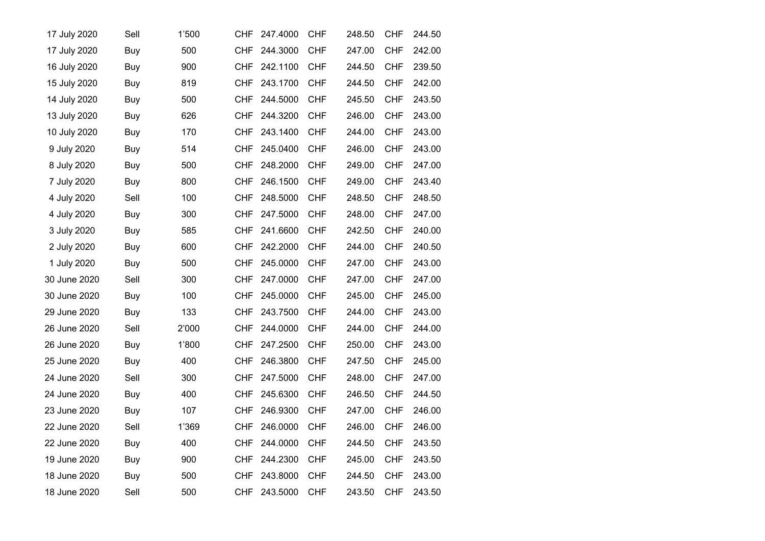| 17 July 2020 | Sell       | 1'500 | CHF        | 247.4000     | CHF        | 248.50 | CHF        | 244.50 |  |
|--------------|------------|-------|------------|--------------|------------|--------|------------|--------|--|
| 17 July 2020 | <b>Buy</b> | 500   | <b>CHF</b> | 244.3000     | <b>CHF</b> | 247.00 | <b>CHF</b> | 242.00 |  |
| 16 July 2020 | Buy        | 900   | <b>CHF</b> | 242.1100     | <b>CHF</b> | 244.50 | <b>CHF</b> | 239.50 |  |
| 15 July 2020 | Buy        | 819   | CHF        | 243.1700     | <b>CHF</b> | 244.50 | <b>CHF</b> | 242.00 |  |
| 14 July 2020 | Buy        | 500   | CHF.       | 244.5000     | <b>CHF</b> | 245.50 | <b>CHF</b> | 243.50 |  |
| 13 July 2020 | Buy        | 626   | <b>CHF</b> | 244.3200     | <b>CHF</b> | 246.00 | <b>CHF</b> | 243.00 |  |
| 10 July 2020 | Buy        | 170   | <b>CHF</b> | 243.1400     | <b>CHF</b> | 244.00 | <b>CHF</b> | 243.00 |  |
| 9 July 2020  | Buy        | 514   | <b>CHF</b> | 245.0400     | <b>CHF</b> | 246.00 | <b>CHF</b> | 243.00 |  |
| 8 July 2020  | Buy        | 500   | <b>CHF</b> | 248.2000     | <b>CHF</b> | 249.00 | <b>CHF</b> | 247.00 |  |
| 7 July 2020  | Buy        | 800   | <b>CHF</b> | 246.1500     | <b>CHF</b> | 249.00 | <b>CHF</b> | 243.40 |  |
| 4 July 2020  | Sell       | 100   | <b>CHF</b> | 248.5000     | <b>CHF</b> | 248.50 | <b>CHF</b> | 248.50 |  |
| 4 July 2020  | Buy        | 300   | <b>CHF</b> | 247.5000     | <b>CHF</b> | 248.00 | <b>CHF</b> | 247.00 |  |
| 3 July 2020  | Buy        | 585   | <b>CHF</b> | 241.6600     | <b>CHF</b> | 242.50 | <b>CHF</b> | 240.00 |  |
| 2 July 2020  | Buy        | 600   | <b>CHF</b> | 242.2000     | <b>CHF</b> | 244.00 | <b>CHF</b> | 240.50 |  |
| 1 July 2020  | Buy        | 500   | <b>CHF</b> | 245.0000     | <b>CHF</b> | 247.00 | <b>CHF</b> | 243.00 |  |
| 30 June 2020 | Sell       | 300   | <b>CHF</b> | 247.0000     | <b>CHF</b> | 247.00 | <b>CHF</b> | 247.00 |  |
| 30 June 2020 | Buy        | 100   | <b>CHF</b> | 245.0000     | <b>CHF</b> | 245.00 | <b>CHF</b> | 245.00 |  |
| 29 June 2020 | Buy        | 133   |            | CHF 243.7500 | <b>CHF</b> | 244.00 | <b>CHF</b> | 243.00 |  |
| 26 June 2020 | Sell       | 2'000 | <b>CHF</b> | 244.0000     | <b>CHF</b> | 244.00 | <b>CHF</b> | 244.00 |  |
| 26 June 2020 | Buy        | 1'800 | <b>CHF</b> | 247.2500     | <b>CHF</b> | 250.00 | <b>CHF</b> | 243.00 |  |
| 25 June 2020 | Buy        | 400   | <b>CHF</b> | 246.3800     | <b>CHF</b> | 247.50 | <b>CHF</b> | 245.00 |  |
| 24 June 2020 | Sell       | 300   | <b>CHF</b> | 247.5000     | <b>CHF</b> | 248.00 | <b>CHF</b> | 247.00 |  |
| 24 June 2020 | Buy        | 400   | <b>CHF</b> | 245.6300     | <b>CHF</b> | 246.50 | <b>CHF</b> | 244.50 |  |
| 23 June 2020 | Buy        | 107   | <b>CHF</b> | 246.9300     | <b>CHF</b> | 247.00 | <b>CHF</b> | 246.00 |  |
| 22 June 2020 | Sell       | 1'369 | <b>CHF</b> | 246.0000     | <b>CHF</b> | 246.00 | <b>CHF</b> | 246.00 |  |
| 22 June 2020 | Buy        | 400   | <b>CHF</b> | 244.0000     | <b>CHF</b> | 244.50 | <b>CHF</b> | 243.50 |  |
| 19 June 2020 | Buy        | 900   | CHF        | 244.2300     | <b>CHF</b> | 245.00 | <b>CHF</b> | 243.50 |  |
| 18 June 2020 | Buy        | 500   | CHF        | 243.8000     | <b>CHF</b> | 244.50 | <b>CHF</b> | 243.00 |  |
| 18 June 2020 | Sell       | 500   | CHF        | 243.5000     | <b>CHF</b> | 243.50 | <b>CHF</b> | 243.50 |  |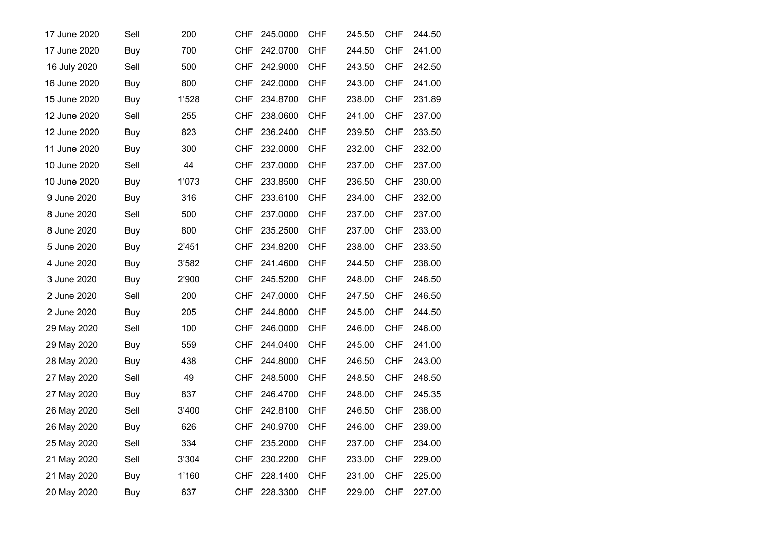| 17 June 2020 | Sell       | 200   | CHF        | 245.0000 | CHF        | 245.50 | <b>CHF</b> | 244.50 |
|--------------|------------|-------|------------|----------|------------|--------|------------|--------|
| 17 June 2020 | Buy        | 700   | <b>CHF</b> | 242.0700 | <b>CHF</b> | 244.50 | <b>CHF</b> | 241.00 |
| 16 July 2020 | Sell       | 500   | <b>CHF</b> | 242.9000 | <b>CHF</b> | 243.50 | <b>CHF</b> | 242.50 |
| 16 June 2020 | Buy        | 800   | <b>CHF</b> | 242.0000 | <b>CHF</b> | 243.00 | <b>CHF</b> | 241.00 |
| 15 June 2020 | Buy        | 1'528 | CHF        | 234.8700 | <b>CHF</b> | 238.00 | <b>CHF</b> | 231.89 |
| 12 June 2020 | Sell       | 255   | <b>CHF</b> | 238.0600 | <b>CHF</b> | 241.00 | <b>CHF</b> | 237.00 |
| 12 June 2020 | Buy        | 823   | <b>CHF</b> | 236.2400 | <b>CHF</b> | 239.50 | <b>CHF</b> | 233.50 |
| 11 June 2020 | Buy        | 300   | <b>CHF</b> | 232.0000 | <b>CHF</b> | 232.00 | <b>CHF</b> | 232.00 |
| 10 June 2020 | Sell       | 44    | <b>CHF</b> | 237.0000 | <b>CHF</b> | 237.00 | <b>CHF</b> | 237.00 |
| 10 June 2020 | Buy        | 1'073 | CHF        | 233.8500 | CHF        | 236.50 | <b>CHF</b> | 230.00 |
| 9 June 2020  | Buy        | 316   | <b>CHF</b> | 233.6100 | <b>CHF</b> | 234.00 | <b>CHF</b> | 232.00 |
| 8 June 2020  | Sell       | 500   | <b>CHF</b> | 237.0000 | <b>CHF</b> | 237.00 | <b>CHF</b> | 237.00 |
| 8 June 2020  | Buy        | 800   | <b>CHF</b> | 235.2500 | <b>CHF</b> | 237.00 | <b>CHF</b> | 233.00 |
| 5 June 2020  | Buy        | 2'451 | <b>CHF</b> | 234.8200 | <b>CHF</b> | 238.00 | <b>CHF</b> | 233.50 |
| 4 June 2020  | Buy        | 3'582 | <b>CHF</b> | 241.4600 | <b>CHF</b> | 244.50 | <b>CHF</b> | 238.00 |
| 3 June 2020  | Buy        | 2'900 | <b>CHF</b> | 245.5200 | <b>CHF</b> | 248.00 | <b>CHF</b> | 246.50 |
| 2 June 2020  | Sell       | 200   | <b>CHF</b> | 247.0000 | <b>CHF</b> | 247.50 | <b>CHF</b> | 246.50 |
| 2 June 2020  | Buy        | 205   | <b>CHF</b> | 244.8000 | <b>CHF</b> | 245.00 | <b>CHF</b> | 244.50 |
| 29 May 2020  | Sell       | 100   | <b>CHF</b> | 246.0000 | <b>CHF</b> | 246.00 | <b>CHF</b> | 246.00 |
| 29 May 2020  | Buy        | 559   | <b>CHF</b> | 244.0400 | <b>CHF</b> | 245.00 | <b>CHF</b> | 241.00 |
| 28 May 2020  | Buy        | 438   | <b>CHF</b> | 244.8000 | <b>CHF</b> | 246.50 | <b>CHF</b> | 243.00 |
| 27 May 2020  | Sell       | 49    | <b>CHF</b> | 248.5000 | <b>CHF</b> | 248.50 | <b>CHF</b> | 248.50 |
| 27 May 2020  | Buy        | 837   | <b>CHF</b> | 246.4700 | <b>CHF</b> | 248.00 | <b>CHF</b> | 245.35 |
| 26 May 2020  | Sell       | 3'400 | <b>CHF</b> | 242.8100 | <b>CHF</b> | 246.50 | <b>CHF</b> | 238.00 |
| 26 May 2020  | Buy        | 626   | <b>CHF</b> | 240.9700 | <b>CHF</b> | 246.00 | <b>CHF</b> | 239.00 |
| 25 May 2020  | Sell       | 334   | <b>CHF</b> | 235.2000 | <b>CHF</b> | 237.00 | <b>CHF</b> | 234.00 |
| 21 May 2020  | Sell       | 3'304 | CHF        | 230.2200 | <b>CHF</b> | 233.00 | <b>CHF</b> | 229.00 |
| 21 May 2020  | Buy        | 1'160 | <b>CHF</b> | 228.1400 | <b>CHF</b> | 231.00 | <b>CHF</b> | 225.00 |
| 20 May 2020  | <b>Buy</b> | 637   | CHF        | 228.3300 | CHF        | 229.00 | <b>CHF</b> | 227.00 |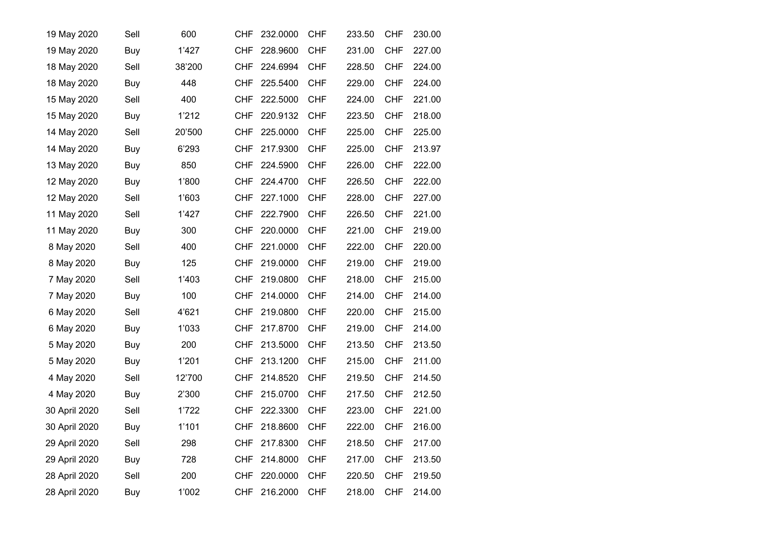| 19 May 2020   | Sell | 600    | CHF        | 232.0000 | CHF        | 233.50 | <b>CHF</b> | 230.00 |
|---------------|------|--------|------------|----------|------------|--------|------------|--------|
| 19 May 2020   | Buy  | 1'427  | CHF        | 228.9600 | CHF        | 231.00 | <b>CHF</b> | 227.00 |
| 18 May 2020   | Sell | 38'200 | <b>CHF</b> | 224.6994 | <b>CHF</b> | 228.50 | <b>CHF</b> | 224.00 |
| 18 May 2020   | Buy  | 448    | CHF        | 225.5400 | <b>CHF</b> | 229.00 | <b>CHF</b> | 224.00 |
| 15 May 2020   | Sell | 400    | <b>CHF</b> | 222.5000 | <b>CHF</b> | 224.00 | <b>CHF</b> | 221.00 |
| 15 May 2020   | Buy  | 1'212  | <b>CHF</b> | 220.9132 | <b>CHF</b> | 223.50 | <b>CHF</b> | 218.00 |
| 14 May 2020   | Sell | 20'500 | CHF        | 225.0000 | <b>CHF</b> | 225.00 | <b>CHF</b> | 225.00 |
| 14 May 2020   | Buy  | 6'293  | <b>CHF</b> | 217.9300 | <b>CHF</b> | 225.00 | <b>CHF</b> | 213.97 |
| 13 May 2020   | Buy  | 850    | <b>CHF</b> | 224.5900 | <b>CHF</b> | 226.00 | <b>CHF</b> | 222.00 |
| 12 May 2020   | Buy  | 1'800  | CHF        | 224.4700 | <b>CHF</b> | 226.50 | <b>CHF</b> | 222.00 |
| 12 May 2020   | Sell | 1'603  | <b>CHF</b> | 227.1000 | <b>CHF</b> | 228.00 | <b>CHF</b> | 227.00 |
| 11 May 2020   | Sell | 1'427  | CHF        | 222.7900 | CHF        | 226.50 | <b>CHF</b> | 221.00 |
| 11 May 2020   | Buy  | 300    | CHF        | 220.0000 | <b>CHF</b> | 221.00 | <b>CHF</b> | 219.00 |
| 8 May 2020    | Sell | 400    | <b>CHF</b> | 221.0000 | <b>CHF</b> | 222.00 | <b>CHF</b> | 220.00 |
| 8 May 2020    | Buy  | 125    | <b>CHF</b> | 219.0000 | CHF        | 219.00 | <b>CHF</b> | 219.00 |
| 7 May 2020    | Sell | 1'403  | CHF        | 219.0800 | <b>CHF</b> | 218.00 | <b>CHF</b> | 215.00 |
| 7 May 2020    | Buy  | 100    | CHF        | 214.0000 | <b>CHF</b> | 214.00 | <b>CHF</b> | 214.00 |
| 6 May 2020    | Sell | 4'621  | CHF        | 219.0800 | CHF        | 220.00 | <b>CHF</b> | 215.00 |
| 6 May 2020    | Buy  | 1'033  | CHF        | 217.8700 | <b>CHF</b> | 219.00 | <b>CHF</b> | 214.00 |
| 5 May 2020    | Buy  | 200    | <b>CHF</b> | 213.5000 | <b>CHF</b> | 213.50 | <b>CHF</b> | 213.50 |
| 5 May 2020    | Buy  | 1'201  | CHF        | 213.1200 | <b>CHF</b> | 215.00 | <b>CHF</b> | 211.00 |
| 4 May 2020    | Sell | 12'700 | CHF        | 214.8520 | <b>CHF</b> | 219.50 | <b>CHF</b> | 214.50 |
| 4 May 2020    | Buy  | 2'300  | CHF        | 215.0700 | <b>CHF</b> | 217.50 | <b>CHF</b> | 212.50 |
| 30 April 2020 | Sell | 1'722  | CHF        | 222.3300 | <b>CHF</b> | 223.00 | <b>CHF</b> | 221.00 |
| 30 April 2020 | Buy  | 1'101  | <b>CHF</b> | 218.8600 | <b>CHF</b> | 222.00 | <b>CHF</b> | 216.00 |
| 29 April 2020 | Sell | 298    | <b>CHF</b> | 217.8300 | CHF        | 218.50 | <b>CHF</b> | 217.00 |
| 29 April 2020 | Buy  | 728    | CHF        | 214.8000 | <b>CHF</b> | 217.00 | <b>CHF</b> | 213.50 |
| 28 April 2020 | Sell | 200    | CHF        | 220,0000 | <b>CHF</b> | 220.50 | <b>CHF</b> | 219.50 |
| 28 April 2020 | Buy  | 1'002  | CHF        | 216.2000 | CHF        | 218.00 | <b>CHF</b> | 214.00 |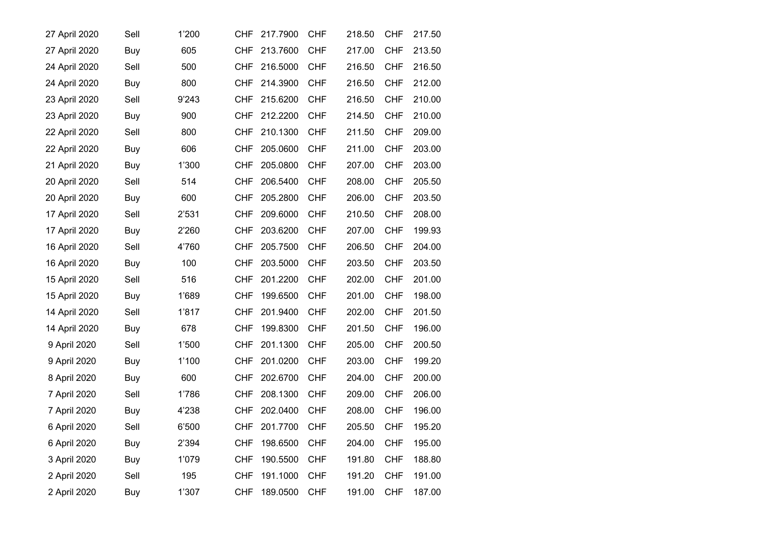| 27 April 2020 | Sell       | 1'200 | CHF        | 217.7900 | CHF        | 218.50 | CHF        | 217.50 |
|---------------|------------|-------|------------|----------|------------|--------|------------|--------|
| 27 April 2020 | Buy        | 605   | <b>CHF</b> | 213.7600 | <b>CHF</b> | 217.00 | <b>CHF</b> | 213.50 |
| 24 April 2020 | Sell       | 500   | <b>CHF</b> | 216.5000 | <b>CHF</b> | 216.50 | <b>CHF</b> | 216.50 |
| 24 April 2020 | Buy        | 800   | <b>CHF</b> | 214.3900 | <b>CHF</b> | 216.50 | <b>CHF</b> | 212.00 |
| 23 April 2020 | Sell       | 9'243 | <b>CHF</b> | 215.6200 | <b>CHF</b> | 216.50 | <b>CHF</b> | 210.00 |
| 23 April 2020 | Buy        | 900   | CHF        | 212.2200 | <b>CHF</b> | 214.50 | <b>CHF</b> | 210.00 |
| 22 April 2020 | Sell       | 800   | <b>CHF</b> | 210.1300 | <b>CHF</b> | 211.50 | <b>CHF</b> | 209.00 |
| 22 April 2020 | Buy        | 606   | CHF        | 205.0600 | <b>CHF</b> | 211.00 | <b>CHF</b> | 203.00 |
| 21 April 2020 | Buy        | 1'300 | <b>CHF</b> | 205.0800 | <b>CHF</b> | 207.00 | <b>CHF</b> | 203.00 |
| 20 April 2020 | Sell       | 514   | <b>CHF</b> | 206.5400 | <b>CHF</b> | 208.00 | <b>CHF</b> | 205.50 |
| 20 April 2020 | Buy        | 600   | <b>CHF</b> | 205.2800 | <b>CHF</b> | 206.00 | <b>CHF</b> | 203.50 |
| 17 April 2020 | Sell       | 2'531 | CHF        | 209.6000 | <b>CHF</b> | 210.50 | <b>CHF</b> | 208.00 |
| 17 April 2020 | Buy        | 2'260 | <b>CHF</b> | 203.6200 | <b>CHF</b> | 207.00 | <b>CHF</b> | 199.93 |
| 16 April 2020 | Sell       | 4'760 | <b>CHF</b> | 205.7500 | <b>CHF</b> | 206.50 | <b>CHF</b> | 204.00 |
| 16 April 2020 | Buy        | 100   | <b>CHF</b> | 203.5000 | <b>CHF</b> | 203.50 | <b>CHF</b> | 203.50 |
| 15 April 2020 | Sell       | 516   | <b>CHF</b> | 201.2200 | <b>CHF</b> | 202.00 | <b>CHF</b> | 201.00 |
| 15 April 2020 | Buy        | 1'689 | <b>CHF</b> | 199.6500 | <b>CHF</b> | 201.00 | <b>CHF</b> | 198.00 |
| 14 April 2020 | Sell       | 1'817 | CHF        | 201.9400 | <b>CHF</b> | 202.00 | <b>CHF</b> | 201.50 |
| 14 April 2020 | Buy        | 678   | <b>CHF</b> | 199.8300 | <b>CHF</b> | 201.50 | <b>CHF</b> | 196.00 |
| 9 April 2020  | Sell       | 1'500 | <b>CHF</b> | 201.1300 | <b>CHF</b> | 205.00 | <b>CHF</b> | 200.50 |
| 9 April 2020  | Buy        | 1'100 | <b>CHF</b> | 201.0200 | <b>CHF</b> | 203.00 | <b>CHF</b> | 199.20 |
| 8 April 2020  | Buy        | 600   | <b>CHF</b> | 202.6700 | <b>CHF</b> | 204.00 | <b>CHF</b> | 200.00 |
| 7 April 2020  | Sell       | 1'786 | <b>CHF</b> | 208.1300 | <b>CHF</b> | 209.00 | <b>CHF</b> | 206.00 |
| 7 April 2020  | Buy        | 4'238 | <b>CHF</b> | 202.0400 | <b>CHF</b> | 208.00 | <b>CHF</b> | 196.00 |
| 6 April 2020  | Sell       | 6'500 | <b>CHF</b> | 201.7700 | <b>CHF</b> | 205.50 | <b>CHF</b> | 195.20 |
| 6 April 2020  | Buy        | 2'394 | <b>CHF</b> | 198.6500 | <b>CHF</b> | 204.00 | <b>CHF</b> | 195.00 |
| 3 April 2020  | Buy        | 1'079 | CHF        | 190.5500 | <b>CHF</b> | 191.80 | <b>CHF</b> | 188.80 |
| 2 April 2020  | Sell       | 195   | <b>CHF</b> | 191.1000 | <b>CHF</b> | 191.20 | <b>CHF</b> | 191.00 |
| 2 April 2020  | <b>Buy</b> | 1'307 | CHF        | 189.0500 | CHF        | 191.00 | <b>CHF</b> | 187.00 |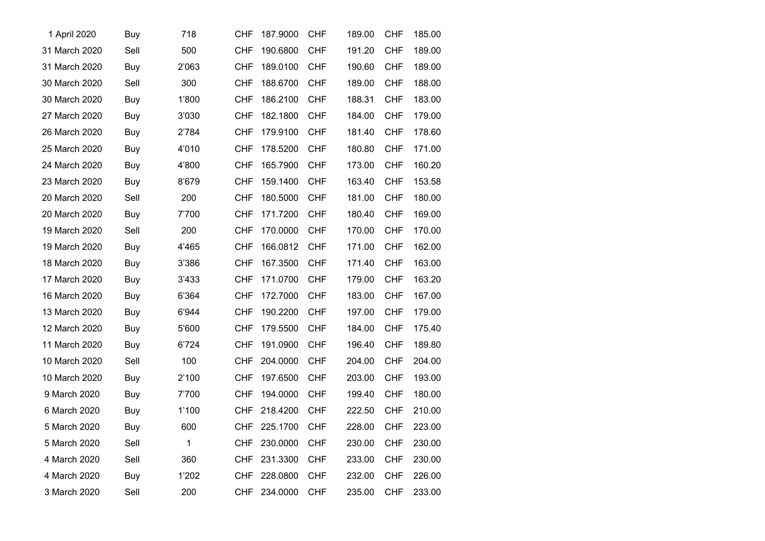| 1 April 2020  | Buy  | 718   | CHF        | 187.9000 | CHF        | 189.00 | <b>CHF</b> | 185.00 |
|---------------|------|-------|------------|----------|------------|--------|------------|--------|
| 31 March 2020 | Sell | 500   | <b>CHF</b> | 190.6800 | <b>CHF</b> | 191.20 | <b>CHF</b> | 189.00 |
| 31 March 2020 | Buy  | 2'063 | <b>CHF</b> | 189.0100 | <b>CHF</b> | 190.60 | <b>CHF</b> | 189.00 |
| 30 March 2020 | Sell | 300   | <b>CHF</b> | 188.6700 | CHF        | 189.00 | <b>CHF</b> | 188.00 |
| 30 March 2020 | Buy  | 1'800 | <b>CHF</b> | 186.2100 | <b>CHF</b> | 188.31 | <b>CHF</b> | 183.00 |
| 27 March 2020 | Buy  | 3'030 | <b>CHF</b> | 182.1800 | <b>CHF</b> | 184.00 | <b>CHF</b> | 179.00 |
| 26 March 2020 | Buy  | 2'784 | <b>CHF</b> | 179.9100 | <b>CHF</b> | 181.40 | <b>CHF</b> | 178.60 |
| 25 March 2020 | Buy  | 4'010 | <b>CHF</b> | 178.5200 | <b>CHF</b> | 180.80 | <b>CHF</b> | 171.00 |
| 24 March 2020 | Buy  | 4'800 | <b>CHF</b> | 165.7900 | <b>CHF</b> | 173.00 | <b>CHF</b> | 160.20 |
| 23 March 2020 | Buy  | 8'679 | <b>CHF</b> | 159.1400 | <b>CHF</b> | 163.40 | <b>CHF</b> | 153.58 |
| 20 March 2020 | Sell | 200   | <b>CHF</b> | 180.5000 | <b>CHF</b> | 181.00 | <b>CHF</b> | 180.00 |
| 20 March 2020 | Buy  | 7'700 | <b>CHF</b> | 171.7200 | <b>CHF</b> | 180.40 | <b>CHF</b> | 169.00 |
| 19 March 2020 | Sell | 200   | <b>CHF</b> | 170.0000 | <b>CHF</b> | 170.00 | <b>CHF</b> | 170.00 |
| 19 March 2020 | Buy  | 4'465 | <b>CHF</b> | 166.0812 | <b>CHF</b> | 171.00 | <b>CHF</b> | 162.00 |
| 18 March 2020 | Buy  | 3'386 | <b>CHF</b> | 167.3500 | <b>CHF</b> | 171.40 | <b>CHF</b> | 163.00 |
| 17 March 2020 | Buy  | 3'433 | CHF        | 171.0700 | <b>CHF</b> | 179.00 | <b>CHF</b> | 163.20 |
| 16 March 2020 | Buy  | 6'364 | <b>CHF</b> | 172.7000 | <b>CHF</b> | 183.00 | <b>CHF</b> | 167.00 |
| 13 March 2020 | Buy  | 6'944 | <b>CHF</b> | 190.2200 | <b>CHF</b> | 197.00 | <b>CHF</b> | 179.00 |
| 12 March 2020 | Buy  | 5'600 | <b>CHF</b> | 179.5500 | <b>CHF</b> | 184.00 | <b>CHF</b> | 175.40 |
| 11 March 2020 | Buy  | 6'724 | <b>CHF</b> | 191.0900 | <b>CHF</b> | 196.40 | <b>CHF</b> | 189.80 |
| 10 March 2020 | Sell | 100   | <b>CHF</b> | 204.0000 | <b>CHF</b> | 204.00 | <b>CHF</b> | 204.00 |
| 10 March 2020 | Buy  | 2'100 | <b>CHF</b> | 197.6500 | <b>CHF</b> | 203.00 | <b>CHF</b> | 193.00 |
| 9 March 2020  | Buy  | 7'700 | <b>CHF</b> | 194.0000 | <b>CHF</b> | 199.40 | <b>CHF</b> | 180.00 |
| 6 March 2020  | Buy  | 1'100 | CHF        | 218.4200 | <b>CHF</b> | 222.50 | <b>CHF</b> | 210.00 |
| 5 March 2020  | Buy  | 600   | <b>CHF</b> | 225.1700 | <b>CHF</b> | 228.00 | <b>CHF</b> | 223.00 |
| 5 March 2020  | Sell | 1     | <b>CHF</b> | 230.0000 | <b>CHF</b> | 230.00 | <b>CHF</b> | 230.00 |
| 4 March 2020  | Sell | 360   | CHF.       | 231.3300 | <b>CHF</b> | 233.00 | <b>CHF</b> | 230.00 |
| 4 March 2020  | Buy  | 1'202 | CHF.       | 228.0800 | <b>CHF</b> | 232.00 | <b>CHF</b> | 226.00 |
| 3 March 2020  | Sell | 200   | CHF        | 234.0000 | <b>CHF</b> | 235.00 | <b>CHF</b> | 233.00 |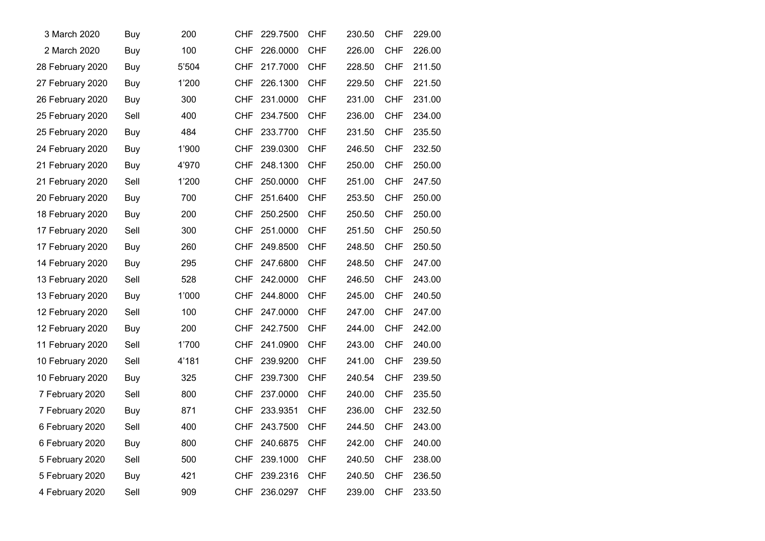| 3 March 2020     | Buy  | 200   | CHF        | 229.7500 | <b>CHF</b> | 230.50 | <b>CHF</b> | 229.00 |
|------------------|------|-------|------------|----------|------------|--------|------------|--------|
| 2 March 2020     | Buy  | 100   | <b>CHF</b> | 226.0000 | <b>CHF</b> | 226.00 | <b>CHF</b> | 226.00 |
| 28 February 2020 | Buy  | 5'504 | <b>CHF</b> | 217.7000 | <b>CHF</b> | 228.50 | <b>CHF</b> | 211.50 |
| 27 February 2020 | Buy  | 1'200 | CHF        | 226.1300 | <b>CHF</b> | 229.50 | <b>CHF</b> | 221.50 |
| 26 February 2020 | Buy  | 300   | <b>CHF</b> | 231.0000 | <b>CHF</b> | 231.00 | <b>CHF</b> | 231.00 |
| 25 February 2020 | Sell | 400   | CHF        | 234.7500 | <b>CHF</b> | 236.00 | <b>CHF</b> | 234.00 |
| 25 February 2020 | Buy  | 484   | <b>CHF</b> | 233.7700 | <b>CHF</b> | 231.50 | <b>CHF</b> | 235.50 |
| 24 February 2020 | Buy  | 1'900 | <b>CHF</b> | 239.0300 | <b>CHF</b> | 246.50 | <b>CHF</b> | 232.50 |
| 21 February 2020 | Buy  | 4'970 | CHF        | 248.1300 | <b>CHF</b> | 250.00 | <b>CHF</b> | 250.00 |
| 21 February 2020 | Sell | 1'200 | <b>CHF</b> | 250.0000 | <b>CHF</b> | 251.00 | <b>CHF</b> | 247.50 |
| 20 February 2020 | Buy  | 700   | <b>CHF</b> | 251.6400 | <b>CHF</b> | 253.50 | <b>CHF</b> | 250.00 |
| 18 February 2020 | Buy  | 200   | <b>CHF</b> | 250.2500 | <b>CHF</b> | 250.50 | <b>CHF</b> | 250.00 |
| 17 February 2020 | Sell | 300   | <b>CHF</b> | 251.0000 | <b>CHF</b> | 251.50 | <b>CHF</b> | 250.50 |
| 17 February 2020 | Buy  | 260   | <b>CHF</b> | 249.8500 | <b>CHF</b> | 248.50 | <b>CHF</b> | 250.50 |
| 14 February 2020 | Buy  | 295   | CHF        | 247.6800 | <b>CHF</b> | 248.50 | <b>CHF</b> | 247.00 |
| 13 February 2020 | Sell | 528   | CHF        | 242.0000 | <b>CHF</b> | 246.50 | <b>CHF</b> | 243.00 |
| 13 February 2020 | Buy  | 1'000 | <b>CHF</b> | 244.8000 | <b>CHF</b> | 245.00 | <b>CHF</b> | 240.50 |
| 12 February 2020 | Sell | 100   | <b>CHF</b> | 247.0000 | <b>CHF</b> | 247.00 | <b>CHF</b> | 247.00 |
| 12 February 2020 | Buy  | 200   | <b>CHF</b> | 242.7500 | <b>CHF</b> | 244.00 | <b>CHF</b> | 242.00 |
| 11 February 2020 | Sell | 1'700 | CHF        | 241.0900 | <b>CHF</b> | 243.00 | <b>CHF</b> | 240.00 |
| 10 February 2020 | Sell | 4'181 | <b>CHF</b> | 239.9200 | <b>CHF</b> | 241.00 | <b>CHF</b> | 239.50 |
| 10 February 2020 | Buy  | 325   | <b>CHF</b> | 239.7300 | <b>CHF</b> | 240.54 | <b>CHF</b> | 239.50 |
| 7 February 2020  | Sell | 800   | <b>CHF</b> | 237.0000 | <b>CHF</b> | 240.00 | <b>CHF</b> | 235.50 |
| 7 February 2020  | Buy  | 871   | CHF        | 233.9351 | <b>CHF</b> | 236.00 | <b>CHF</b> | 232.50 |
| 6 February 2020  | Sell | 400   | <b>CHF</b> | 243.7500 | <b>CHF</b> | 244.50 | <b>CHF</b> | 243.00 |
| 6 February 2020  | Buy  | 800   | <b>CHF</b> | 240.6875 | <b>CHF</b> | 242.00 | <b>CHF</b> | 240.00 |
| 5 February 2020  | Sell | 500   | CHF        | 239.1000 | <b>CHF</b> | 240.50 | <b>CHF</b> | 238.00 |
| 5 February 2020  | Buy  | 421   | CHF        | 239.2316 | <b>CHF</b> | 240.50 | <b>CHF</b> | 236.50 |
| 4 February 2020  | Sell | 909   | CHF        | 236.0297 | <b>CHF</b> | 239.00 | <b>CHF</b> | 233.50 |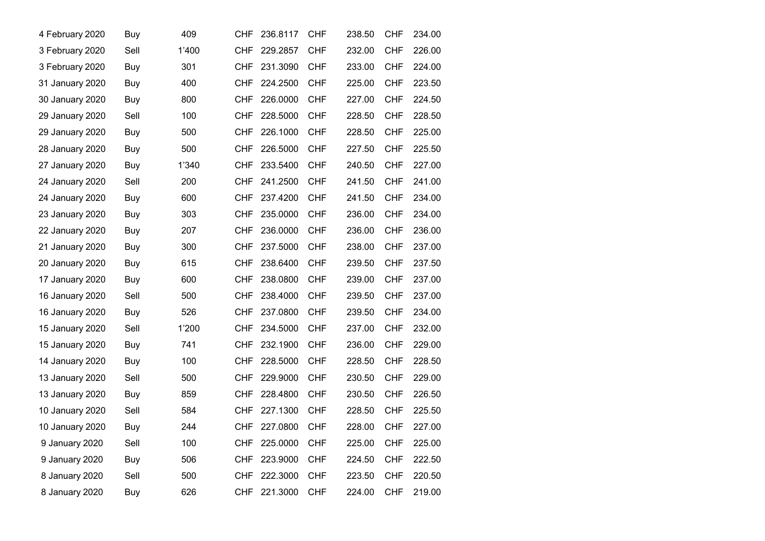| 4 February 2020 | Buy  | 409   | CHF        | 236.8117 | CHF        | 238.50 | <b>CHF</b> | 234.00 |
|-----------------|------|-------|------------|----------|------------|--------|------------|--------|
| 3 February 2020 | Sell | 1'400 | <b>CHF</b> | 229.2857 | <b>CHF</b> | 232.00 | <b>CHF</b> | 226.00 |
| 3 February 2020 | Buy  | 301   | <b>CHF</b> | 231.3090 | <b>CHF</b> | 233.00 | <b>CHF</b> | 224.00 |
| 31 January 2020 | Buy  | 400   | <b>CHF</b> | 224.2500 | CHF        | 225.00 | <b>CHF</b> | 223.50 |
| 30 January 2020 | Buy  | 800   | <b>CHF</b> | 226.0000 | <b>CHF</b> | 227.00 | <b>CHF</b> | 224.50 |
| 29 January 2020 | Sell | 100   | CHF        | 228.5000 | CHF        | 228.50 | <b>CHF</b> | 228.50 |
| 29 January 2020 | Buy  | 500   | <b>CHF</b> | 226.1000 | <b>CHF</b> | 228.50 | <b>CHF</b> | 225.00 |
| 28 January 2020 | Buy  | 500   | <b>CHF</b> | 226.5000 | <b>CHF</b> | 227.50 | <b>CHF</b> | 225.50 |
| 27 January 2020 | Buy  | 1'340 | <b>CHF</b> | 233.5400 | <b>CHF</b> | 240.50 | <b>CHF</b> | 227.00 |
| 24 January 2020 | Sell | 200   | <b>CHF</b> | 241.2500 | <b>CHF</b> | 241.50 | <b>CHF</b> | 241.00 |
| 24 January 2020 | Buy  | 600   | CHF        | 237.4200 | <b>CHF</b> | 241.50 | <b>CHF</b> | 234.00 |
| 23 January 2020 | Buy  | 303   | <b>CHF</b> | 235.0000 | <b>CHF</b> | 236.00 | <b>CHF</b> | 234.00 |
| 22 January 2020 | Buy  | 207   | <b>CHF</b> | 236.0000 | CHF        | 236.00 | <b>CHF</b> | 236.00 |
| 21 January 2020 | Buy  | 300   | CHF        | 237.5000 | <b>CHF</b> | 238.00 | <b>CHF</b> | 237.00 |
| 20 January 2020 | Buy  | 615   | <b>CHF</b> | 238.6400 | <b>CHF</b> | 239.50 | <b>CHF</b> | 237.50 |
| 17 January 2020 | Buy  | 600   | <b>CHF</b> | 238.0800 | <b>CHF</b> | 239.00 | <b>CHF</b> | 237.00 |
| 16 January 2020 | Sell | 500   | <b>CHF</b> | 238.4000 | <b>CHF</b> | 239.50 | <b>CHF</b> | 237.00 |
| 16 January 2020 | Buy  | 526   | <b>CHF</b> | 237.0800 | CHF        | 239.50 | <b>CHF</b> | 234.00 |
| 15 January 2020 | Sell | 1'200 | <b>CHF</b> | 234.5000 | <b>CHF</b> | 237.00 | <b>CHF</b> | 232.00 |
| 15 January 2020 | Buy  | 741   | <b>CHF</b> | 232.1900 | <b>CHF</b> | 236.00 | <b>CHF</b> | 229.00 |
| 14 January 2020 | Buy  | 100   | <b>CHF</b> | 228.5000 | CHF        | 228.50 | <b>CHF</b> | 228.50 |
| 13 January 2020 | Sell | 500   | <b>CHF</b> | 229.9000 | <b>CHF</b> | 230.50 | <b>CHF</b> | 229.00 |
| 13 January 2020 | Buy  | 859   | CHF        | 228.4800 | CHF        | 230.50 | <b>CHF</b> | 226.50 |
| 10 January 2020 | Sell | 584   | <b>CHF</b> | 227.1300 | <b>CHF</b> | 228.50 | <b>CHF</b> | 225.50 |
| 10 January 2020 | Buy  | 244   | <b>CHF</b> | 227.0800 | <b>CHF</b> | 228.00 | <b>CHF</b> | 227.00 |
| 9 January 2020  | Sell | 100   | CHF        | 225.0000 | <b>CHF</b> | 225.00 | <b>CHF</b> | 225.00 |
| 9 January 2020  | Buy  | 506   | <b>CHF</b> | 223.9000 | <b>CHF</b> | 224.50 | <b>CHF</b> | 222.50 |
| 8 January 2020  | Sell | 500   | <b>CHF</b> | 222.3000 | <b>CHF</b> | 223.50 | <b>CHF</b> | 220.50 |
| 8 January 2020  | Buy  | 626   | CHF        | 221.3000 | <b>CHF</b> | 224.00 | <b>CHF</b> | 219.00 |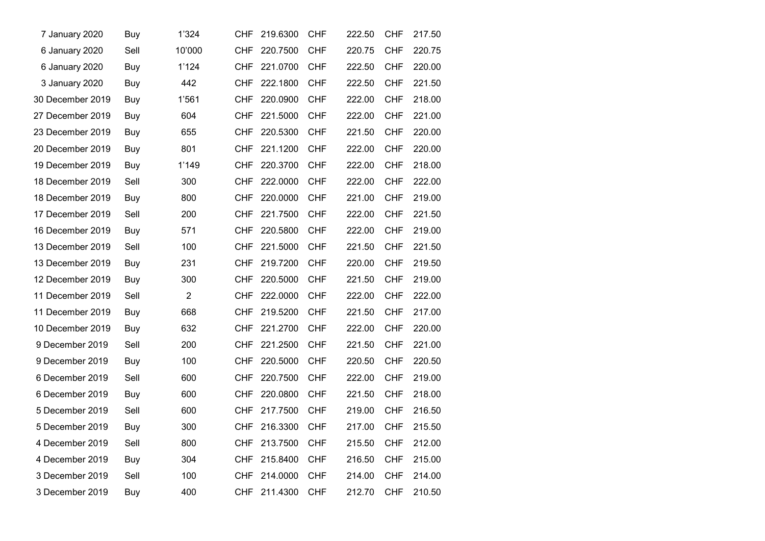| Buy  | 1'324          | CHF        | 219.6300 | CHF        | 222.50 | <b>CHF</b> | 217.50 |
|------|----------------|------------|----------|------------|--------|------------|--------|
| Sell | 10'000         | CHF        | 220.7500 | <b>CHF</b> | 220.75 | <b>CHF</b> | 220.75 |
| Buy  | 1'124          | <b>CHF</b> | 221.0700 | <b>CHF</b> | 222.50 | <b>CHF</b> | 220.00 |
| Buy  | 442            | <b>CHF</b> | 222.1800 | <b>CHF</b> | 222.50 | <b>CHF</b> | 221.50 |
| Buy  | 1'561          | <b>CHF</b> | 220.0900 | <b>CHF</b> | 222.00 | <b>CHF</b> | 218.00 |
| Buy  | 604            | CHF        | 221.5000 | <b>CHF</b> | 222.00 | <b>CHF</b> | 221.00 |
| Buy  | 655            | CHF        | 220.5300 | <b>CHF</b> | 221.50 | <b>CHF</b> | 220.00 |
| Buy  | 801            | CHF.       | 221.1200 | <b>CHF</b> | 222.00 | CHF        | 220.00 |
| Buy  | 1'149          | <b>CHF</b> | 220.3700 | <b>CHF</b> | 222.00 | <b>CHF</b> | 218.00 |
| Sell | 300            | CHF        | 222,0000 | <b>CHF</b> | 222.00 | <b>CHF</b> | 222.00 |
| Buy  | 800            | <b>CHF</b> | 220.0000 | <b>CHF</b> | 221.00 | <b>CHF</b> | 219.00 |
| Sell | 200            | CHF        | 221.7500 | <b>CHF</b> | 222.00 | <b>CHF</b> | 221.50 |
| Buy  | 571            | CHF        | 220.5800 | <b>CHF</b> | 222.00 | <b>CHF</b> | 219.00 |
| Sell | 100            | CHF        | 221.5000 | <b>CHF</b> | 221.50 | <b>CHF</b> | 221.50 |
| Buy  | 231            | <b>CHF</b> | 219.7200 | <b>CHF</b> | 220.00 | <b>CHF</b> | 219.50 |
| Buy  | 300            | CHF        | 220.5000 | <b>CHF</b> | 221.50 | <b>CHF</b> | 219.00 |
| Sell | $\overline{2}$ | CHF        | 222.0000 | CHF        | 222.00 | <b>CHF</b> | 222.00 |
| Buy  | 668            | CHF        | 219.5200 | <b>CHF</b> | 221.50 | <b>CHF</b> | 217.00 |
| Buy  | 632            | <b>CHF</b> | 221.2700 | <b>CHF</b> | 222.00 | <b>CHF</b> | 220.00 |
| Sell | 200            | CHF        | 221.2500 | <b>CHF</b> | 221.50 | <b>CHF</b> | 221.00 |
| Buy  | 100            | <b>CHF</b> | 220.5000 | <b>CHF</b> | 220.50 | <b>CHF</b> | 220.50 |
| Sell | 600            | CHF        | 220.7500 | <b>CHF</b> | 222.00 | <b>CHF</b> | 219.00 |
| Buy  | 600            | CHF        | 220.0800 | <b>CHF</b> | 221.50 | <b>CHF</b> | 218.00 |
| Sell | 600            | CHF        | 217.7500 | <b>CHF</b> | 219.00 | <b>CHF</b> | 216.50 |
| Buy  | 300            | CHF        | 216.3300 | <b>CHF</b> | 217.00 | <b>CHF</b> | 215.50 |
| Sell | 800            | <b>CHF</b> | 213.7500 | <b>CHF</b> | 215.50 | <b>CHF</b> | 212.00 |
| Buy  | 304            | CHF        | 215.8400 | <b>CHF</b> | 216.50 | <b>CHF</b> | 215.00 |
| Sell | 100            | CHF        | 214.0000 | <b>CHF</b> | 214.00 | <b>CHF</b> | 214.00 |
| Buy  | 400            | CHF.       | 211.4300 | <b>CHF</b> | 212.70 | <b>CHF</b> | 210.50 |
|      |                |            |          |            |        |            |        |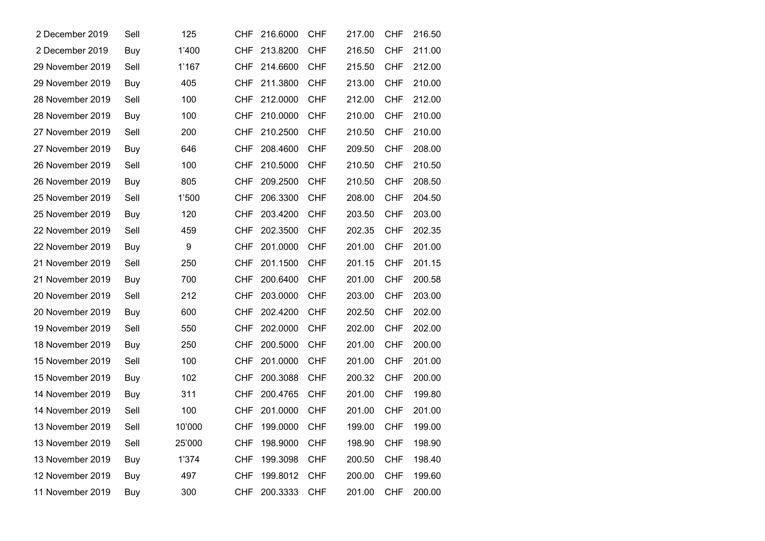| 2 December 2019  | Sell | 125    | CHF        | 216.6000 | <b>CHF</b> | 217.00 | <b>CHF</b> | 216.50 |
|------------------|------|--------|------------|----------|------------|--------|------------|--------|
| 2 December 2019  | Buy  | 1'400  | <b>CHF</b> | 213.8200 | <b>CHF</b> | 216.50 | <b>CHF</b> | 211.00 |
| 29 November 2019 | Sell | 1'167  | CHF        | 214.6600 | <b>CHF</b> | 215.50 | <b>CHF</b> | 212.00 |
| 29 November 2019 | Buy  | 405    | CHF        | 211.3800 | <b>CHF</b> | 213.00 | <b>CHF</b> | 210.00 |
| 28 November 2019 | Sell | 100    | CHF        | 212.0000 | <b>CHF</b> | 212.00 | <b>CHF</b> | 212.00 |
| 28 November 2019 | Buy  | 100    | CHF        | 210.0000 | <b>CHF</b> | 210.00 | <b>CHF</b> | 210.00 |
| 27 November 2019 | Sell | 200    | <b>CHF</b> | 210.2500 | <b>CHF</b> | 210.50 | <b>CHF</b> | 210.00 |
| 27 November 2019 | Buy  | 646    | CHF        | 208,4600 | <b>CHF</b> | 209.50 | <b>CHF</b> | 208.00 |
| 26 November 2019 | Sell | 100    | CHF        | 210.5000 | <b>CHF</b> | 210.50 | <b>CHF</b> | 210.50 |
| 26 November 2019 | Buy  | 805    | CHF        | 209.2500 | <b>CHF</b> | 210.50 | <b>CHF</b> | 208.50 |
| 25 November 2019 | Sell | 1'500  | <b>CHF</b> | 206.3300 | <b>CHF</b> | 208.00 | <b>CHF</b> | 204.50 |
| 25 November 2019 | Buy  | 120    | CHF        | 203.4200 | <b>CHF</b> | 203.50 | <b>CHF</b> | 203.00 |
| 22 November 2019 | Sell | 459    | CHF        | 202.3500 | <b>CHF</b> | 202.35 | <b>CHF</b> | 202.35 |
| 22 November 2019 | Buy  | 9      | CHF        | 201.0000 | <b>CHF</b> | 201.00 | <b>CHF</b> | 201.00 |
| 21 November 2019 | Sell | 250    | CHF        | 201.1500 | <b>CHF</b> | 201.15 | <b>CHF</b> | 201.15 |
| 21 November 2019 | Buy  | 700    | CHF        | 200.6400 | <b>CHF</b> | 201.00 | CHF        | 200.58 |
| 20 November 2019 | Sell | 212    | CHF        | 203.0000 | <b>CHF</b> | 203.00 | <b>CHF</b> | 203.00 |
| 20 November 2019 | Buy  | 600    | <b>CHF</b> | 202.4200 | <b>CHF</b> | 202.50 | <b>CHF</b> | 202.00 |
| 19 November 2019 | Sell | 550    | CHF        | 202.0000 | <b>CHF</b> | 202.00 | <b>CHF</b> | 202.00 |
| 18 November 2019 | Buy  | 250    | CHF        | 200,5000 | <b>CHF</b> | 201.00 | <b>CHF</b> | 200.00 |
| 15 November 2019 | Sell | 100    | CHF        | 201.0000 | <b>CHF</b> | 201.00 | <b>CHF</b> | 201.00 |
| 15 November 2019 | Buy  | 102    | <b>CHF</b> | 200.3088 | <b>CHF</b> | 200.32 | <b>CHF</b> | 200.00 |
| 14 November 2019 | Buy  | 311    | CHF        | 200.4765 | <b>CHF</b> | 201.00 | <b>CHF</b> | 199.80 |
| 14 November 2019 | Sell | 100    | CHF        | 201.0000 | <b>CHF</b> | 201.00 | <b>CHF</b> | 201.00 |
| 13 November 2019 | Sell | 10'000 | <b>CHF</b> | 199.0000 | <b>CHF</b> | 199.00 | <b>CHF</b> | 199.00 |
| 13 November 2019 | Sell | 25'000 | <b>CHF</b> | 198.9000 | <b>CHF</b> | 198.90 | <b>CHF</b> | 198.90 |
| 13 November 2019 | Buy  | 1'374  | CHF        | 199.3098 | <b>CHF</b> | 200.50 | <b>CHF</b> | 198.40 |
| 12 November 2019 | Buy  | 497    | CHF        | 199.8012 | <b>CHF</b> | 200.00 | <b>CHF</b> | 199.60 |
| 11 November 2019 | Buy  | 300    | <b>CHF</b> | 200.3333 | <b>CHF</b> | 201.00 | <b>CHF</b> | 200.00 |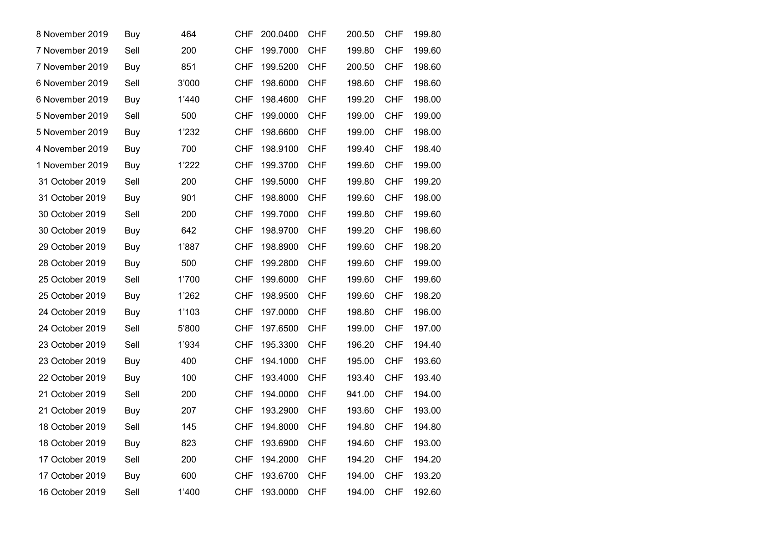| 8 November 2019 | Buy  | 464   | CHF        | 200.0400     | <b>CHF</b> | 200.50 | <b>CHF</b> | 199.80 |
|-----------------|------|-------|------------|--------------|------------|--------|------------|--------|
| 7 November 2019 | Sell | 200   | <b>CHF</b> | 199.7000     | <b>CHF</b> | 199.80 | <b>CHF</b> | 199.60 |
| 7 November 2019 | Buy  | 851   | <b>CHF</b> | 199.5200     | <b>CHF</b> | 200.50 | <b>CHF</b> | 198.60 |
| 6 November 2019 | Sell | 3'000 | <b>CHF</b> | 198.6000     | <b>CHF</b> | 198.60 | <b>CHF</b> | 198.60 |
| 6 November 2019 | Buy  | 1'440 | <b>CHF</b> | 198.4600     | <b>CHF</b> | 199.20 | <b>CHF</b> | 198.00 |
| 5 November 2019 | Sell | 500   | <b>CHF</b> | 199.0000     | <b>CHF</b> | 199.00 | <b>CHF</b> | 199.00 |
| 5 November 2019 | Buy  | 1'232 | <b>CHF</b> | 198.6600     | <b>CHF</b> | 199.00 | <b>CHF</b> | 198.00 |
| 4 November 2019 | Buy  | 700   | <b>CHF</b> | 198.9100     | <b>CHF</b> | 199.40 | <b>CHF</b> | 198.40 |
| 1 November 2019 | Buy  | 1'222 | <b>CHF</b> | 199.3700     | <b>CHF</b> | 199.60 | <b>CHF</b> | 199.00 |
| 31 October 2019 | Sell | 200   | <b>CHF</b> | 199.5000     | <b>CHF</b> | 199.80 | <b>CHF</b> | 199.20 |
| 31 October 2019 | Buy  | 901   | <b>CHF</b> | 198.8000     | <b>CHF</b> | 199.60 | <b>CHF</b> | 198.00 |
| 30 October 2019 | Sell | 200   | <b>CHF</b> | 199.7000     | <b>CHF</b> | 199.80 | <b>CHF</b> | 199.60 |
| 30 October 2019 | Buy  | 642   | <b>CHF</b> | 198.9700     | <b>CHF</b> | 199.20 | <b>CHF</b> | 198.60 |
| 29 October 2019 | Buy  | 1'887 | <b>CHF</b> | 198.8900     | <b>CHF</b> | 199.60 | <b>CHF</b> | 198.20 |
| 28 October 2019 | Buy  | 500   | <b>CHF</b> | 199.2800     | <b>CHF</b> | 199.60 | <b>CHF</b> | 199.00 |
| 25 October 2019 | Sell | 1'700 | <b>CHF</b> | 199.6000     | <b>CHF</b> | 199.60 | <b>CHF</b> | 199.60 |
| 25 October 2019 | Buy  | 1'262 | <b>CHF</b> | 198.9500     | <b>CHF</b> | 199.60 | <b>CHF</b> | 198.20 |
| 24 October 2019 | Buy  | 1'103 | <b>CHF</b> | 197.0000     | <b>CHF</b> | 198.80 | <b>CHF</b> | 196.00 |
| 24 October 2019 | Sell | 5'800 | <b>CHF</b> | 197.6500     | <b>CHF</b> | 199.00 | <b>CHF</b> | 197.00 |
| 23 October 2019 | Sell | 1'934 | <b>CHF</b> | 195.3300     | <b>CHF</b> | 196.20 | <b>CHF</b> | 194.40 |
| 23 October 2019 | Buy  | 400   | <b>CHF</b> | 194.1000     | <b>CHF</b> | 195.00 | <b>CHF</b> | 193.60 |
| 22 October 2019 | Buy  | 100   | CHF        | 193.4000     | <b>CHF</b> | 193.40 | <b>CHF</b> | 193.40 |
| 21 October 2019 | Sell | 200   | <b>CHF</b> | 194.0000     | <b>CHF</b> | 941.00 | <b>CHF</b> | 194.00 |
| 21 October 2019 | Buy  | 207   | <b>CHF</b> | 193.2900     | <b>CHF</b> | 193.60 | <b>CHF</b> | 193.00 |
| 18 October 2019 | Sell | 145   | <b>CHF</b> | 194.8000     | <b>CHF</b> | 194.80 | <b>CHF</b> | 194.80 |
| 18 October 2019 | Buy  | 823   | <b>CHF</b> | 193.6900     | <b>CHF</b> | 194.60 | <b>CHF</b> | 193.00 |
| 17 October 2019 | Sell | 200   | CHF        | 194.2000     | <b>CHF</b> | 194.20 | <b>CHF</b> | 194.20 |
| 17 October 2019 | Buy  | 600   | <b>CHF</b> | 193.6700     | <b>CHF</b> | 194.00 | <b>CHF</b> | 193.20 |
| 16 October 2019 | Sell | 1'400 |            | CHF 193.0000 | <b>CHF</b> | 194.00 | <b>CHF</b> | 192.60 |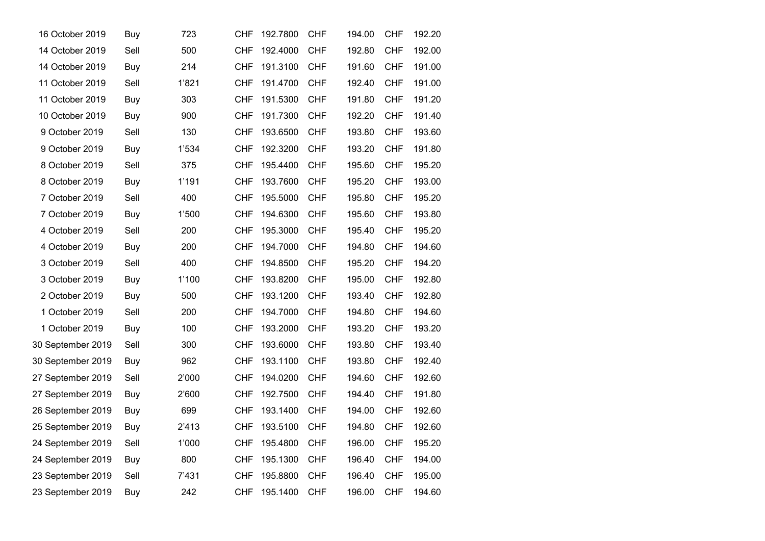| 16 October 2019   | Buy  | 723   | <b>CHF</b> | 192.7800 | <b>CHF</b> | 194.00 | <b>CHF</b> | 192.20 |
|-------------------|------|-------|------------|----------|------------|--------|------------|--------|
| 14 October 2019   | Sell | 500   | <b>CHF</b> | 192.4000 | <b>CHF</b> | 192.80 | <b>CHF</b> | 192.00 |
| 14 October 2019   | Buy  | 214   | <b>CHF</b> | 191.3100 | <b>CHF</b> | 191.60 | <b>CHF</b> | 191.00 |
| 11 October 2019   | Sell | 1'821 | <b>CHF</b> | 191.4700 | <b>CHF</b> | 192.40 | <b>CHF</b> | 191.00 |
| 11 October 2019   | Buy  | 303   | <b>CHF</b> | 191.5300 | <b>CHF</b> | 191.80 | <b>CHF</b> | 191.20 |
| 10 October 2019   | Buy  | 900   | <b>CHF</b> | 191.7300 | <b>CHF</b> | 192.20 | <b>CHF</b> | 191.40 |
| 9 October 2019    | Sell | 130   | <b>CHF</b> | 193.6500 | <b>CHF</b> | 193.80 | <b>CHF</b> | 193.60 |
| 9 October 2019    | Buy  | 1'534 | <b>CHF</b> | 192.3200 | <b>CHF</b> | 193.20 | <b>CHF</b> | 191.80 |
| 8 October 2019    | Sell | 375   | <b>CHF</b> | 195.4400 | <b>CHF</b> | 195.60 | <b>CHF</b> | 195.20 |
| 8 October 2019    | Buy  | 1'191 | <b>CHF</b> | 193.7600 | <b>CHF</b> | 195.20 | <b>CHF</b> | 193.00 |
| 7 October 2019    | Sell | 400   | <b>CHF</b> | 195.5000 | <b>CHF</b> | 195.80 | <b>CHF</b> | 195.20 |
| 7 October 2019    | Buy  | 1'500 | <b>CHF</b> | 194.6300 | <b>CHF</b> | 195.60 | <b>CHF</b> | 193.80 |
| 4 October 2019    | Sell | 200   | <b>CHF</b> | 195.3000 | <b>CHF</b> | 195.40 | <b>CHF</b> | 195.20 |
| 4 October 2019    | Buy  | 200   | <b>CHF</b> | 194.7000 | <b>CHF</b> | 194.80 | <b>CHF</b> | 194.60 |
| 3 October 2019    | Sell | 400   | <b>CHF</b> | 194.8500 | <b>CHF</b> | 195.20 | <b>CHF</b> | 194.20 |
| 3 October 2019    | Buy  | 1'100 | <b>CHF</b> | 193.8200 | <b>CHF</b> | 195.00 | <b>CHF</b> | 192.80 |
| 2 October 2019    | Buy  | 500   | <b>CHF</b> | 193.1200 | <b>CHF</b> | 193.40 | <b>CHF</b> | 192.80 |
| 1 October 2019    | Sell | 200   | <b>CHF</b> | 194.7000 | <b>CHF</b> | 194.80 | <b>CHF</b> | 194.60 |
| 1 October 2019    | Buy  | 100   | <b>CHF</b> | 193.2000 | <b>CHF</b> | 193.20 | <b>CHF</b> | 193.20 |
| 30 September 2019 | Sell | 300   | <b>CHF</b> | 193.6000 | <b>CHF</b> | 193.80 | <b>CHF</b> | 193.40 |
| 30 September 2019 | Buy  | 962   | <b>CHF</b> | 193.1100 | <b>CHF</b> | 193.80 | <b>CHF</b> | 192.40 |
| 27 September 2019 | Sell | 2'000 | <b>CHF</b> | 194.0200 | <b>CHF</b> | 194.60 | <b>CHF</b> | 192.60 |
| 27 September 2019 | Buy  | 2'600 | <b>CHF</b> | 192.7500 | <b>CHF</b> | 194.40 | <b>CHF</b> | 191.80 |
| 26 September 2019 | Buy  | 699   | <b>CHF</b> | 193.1400 | <b>CHF</b> | 194.00 | <b>CHF</b> | 192.60 |
| 25 September 2019 | Buy  | 2'413 | <b>CHF</b> | 193.5100 | <b>CHF</b> | 194.80 | <b>CHF</b> | 192.60 |
| 24 September 2019 | Sell | 1'000 | <b>CHF</b> | 195.4800 | <b>CHF</b> | 196.00 | <b>CHF</b> | 195.20 |
| 24 September 2019 | Buy  | 800   | <b>CHF</b> | 195.1300 | <b>CHF</b> | 196.40 | <b>CHF</b> | 194.00 |
| 23 September 2019 | Sell | 7'431 | <b>CHF</b> | 195.8800 | <b>CHF</b> | 196.40 | <b>CHF</b> | 195.00 |
| 23 September 2019 | Buy  | 242   | <b>CHF</b> | 195.1400 | <b>CHF</b> | 196.00 | <b>CHF</b> | 194.60 |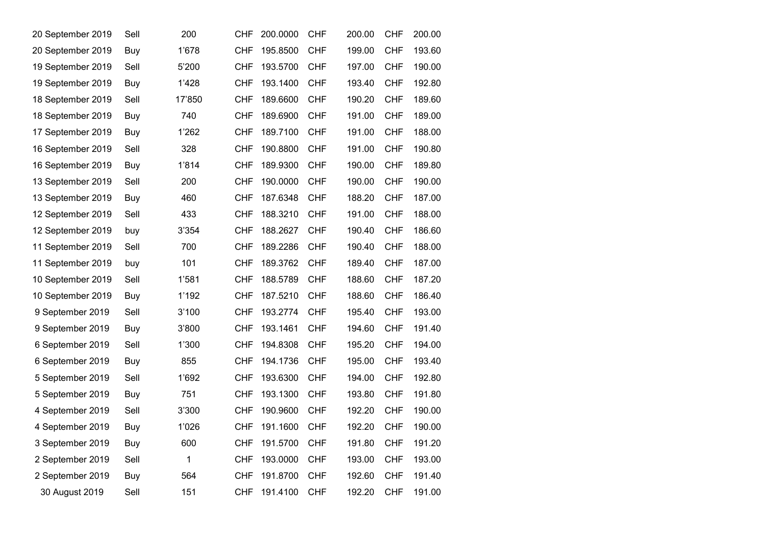| 20 September 2019 | Sell | 200    | CHF        | 200.0000 | <b>CHF</b> | 200.00 | <b>CHF</b> | 200.00 |
|-------------------|------|--------|------------|----------|------------|--------|------------|--------|
| 20 September 2019 | Buy  | 1'678  | <b>CHF</b> | 195.8500 | <b>CHF</b> | 199.00 | <b>CHF</b> | 193.60 |
| 19 September 2019 | Sell | 5'200  | <b>CHF</b> | 193.5700 | <b>CHF</b> | 197.00 | <b>CHF</b> | 190.00 |
| 19 September 2019 | Buy  | 1'428  | CHF        | 193.1400 | <b>CHF</b> | 193.40 | <b>CHF</b> | 192.80 |
| 18 September 2019 | Sell | 17'850 | CHF        | 189.6600 | <b>CHF</b> | 190.20 | <b>CHF</b> | 189.60 |
| 18 September 2019 | Buy  | 740    | <b>CHF</b> | 189.6900 | <b>CHF</b> | 191.00 | <b>CHF</b> | 189.00 |
| 17 September 2019 | Buy  | 1'262  | <b>CHF</b> | 189.7100 | <b>CHF</b> | 191.00 | <b>CHF</b> | 188.00 |
| 16 September 2019 | Sell | 328    | <b>CHF</b> | 190.8800 | <b>CHF</b> | 191.00 | <b>CHF</b> | 190.80 |
| 16 September 2019 | Buy  | 1'814  | CHF        | 189.9300 | <b>CHF</b> | 190.00 | <b>CHF</b> | 189.80 |
| 13 September 2019 | Sell | 200    | <b>CHF</b> | 190.0000 | <b>CHF</b> | 190.00 | CHF        | 190.00 |
| 13 September 2019 | Buy  | 460    | <b>CHF</b> | 187.6348 | <b>CHF</b> | 188.20 | <b>CHF</b> | 187.00 |
| 12 September 2019 | Sell | 433    | <b>CHF</b> | 188.3210 | <b>CHF</b> | 191.00 | <b>CHF</b> | 188.00 |
| 12 September 2019 | buy  | 3'354  | <b>CHF</b> | 188.2627 | <b>CHF</b> | 190.40 | <b>CHF</b> | 186.60 |
| 11 September 2019 | Sell | 700    | <b>CHF</b> | 189.2286 | <b>CHF</b> | 190.40 | <b>CHF</b> | 188.00 |
| 11 September 2019 | buy  | 101    | CHF        | 189.3762 | <b>CHF</b> | 189.40 | <b>CHF</b> | 187.00 |
| 10 September 2019 | Sell | 1'581  | <b>CHF</b> | 188.5789 | <b>CHF</b> | 188.60 | <b>CHF</b> | 187.20 |
| 10 September 2019 | Buy  | 1'192  | <b>CHF</b> | 187.5210 | <b>CHF</b> | 188.60 | <b>CHF</b> | 186.40 |
| 9 September 2019  | Sell | 3'100  | <b>CHF</b> | 193.2774 | <b>CHF</b> | 195.40 | <b>CHF</b> | 193.00 |
| 9 September 2019  | Buy  | 3'800  | <b>CHF</b> | 193.1461 | <b>CHF</b> | 194.60 | <b>CHF</b> | 191.40 |
| 6 September 2019  | Sell | 1'300  | CHF        | 194.8308 | <b>CHF</b> | 195.20 | <b>CHF</b> | 194.00 |
| 6 September 2019  | Buy  | 855    | CHF        | 194.1736 | <b>CHF</b> | 195.00 | <b>CHF</b> | 193.40 |
| 5 September 2019  | Sell | 1'692  | <b>CHF</b> | 193.6300 | <b>CHF</b> | 194.00 | <b>CHF</b> | 192.80 |
| 5 September 2019  | Buy  | 751    | <b>CHF</b> | 193.1300 | <b>CHF</b> | 193.80 | <b>CHF</b> | 191.80 |
| 4 September 2019  | Sell | 3'300  | CHF        | 190.9600 | <b>CHF</b> | 192.20 | <b>CHF</b> | 190.00 |
| 4 September 2019  | Buy  | 1'026  | <b>CHF</b> | 191.1600 | <b>CHF</b> | 192.20 | <b>CHF</b> | 190.00 |
| 3 September 2019  | Buy  | 600    | CHF        | 191.5700 | <b>CHF</b> | 191.80 | <b>CHF</b> | 191.20 |
| 2 September 2019  | Sell | 1      | CHF        | 193.0000 | <b>CHF</b> | 193.00 | <b>CHF</b> | 193.00 |
| 2 September 2019  | Buy  | 564    | CHF        | 191.8700 | CHF        | 192.60 | CHF        | 191.40 |
| 30 August 2019    | Sell | 151    | <b>CHF</b> | 191.4100 | <b>CHF</b> | 192.20 | <b>CHF</b> | 191.00 |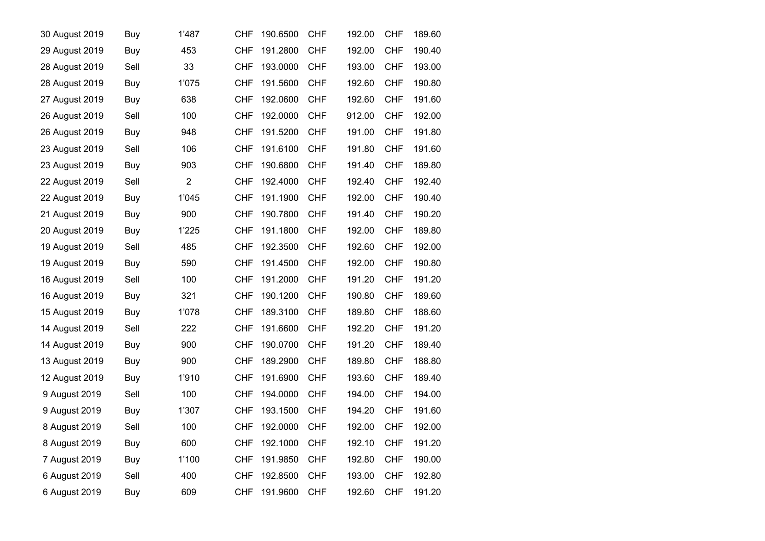| 30 August 2019 | Buy        | 1'487          | CHF        | 190.6500 | <b>CHF</b> | 192.00 | <b>CHF</b> | 189.60 |
|----------------|------------|----------------|------------|----------|------------|--------|------------|--------|
| 29 August 2019 | Buy        | 453            | <b>CHF</b> | 191.2800 | <b>CHF</b> | 192.00 | <b>CHF</b> | 190.40 |
| 28 August 2019 | Sell       | 33             | <b>CHF</b> | 193.0000 | <b>CHF</b> | 193.00 | <b>CHF</b> | 193.00 |
| 28 August 2019 | Buy        | 1'075          | <b>CHF</b> | 191.5600 | <b>CHF</b> | 192.60 | <b>CHF</b> | 190.80 |
| 27 August 2019 | Buy        | 638            | <b>CHF</b> | 192.0600 | <b>CHF</b> | 192.60 | <b>CHF</b> | 191.60 |
| 26 August 2019 | Sell       | 100            | <b>CHF</b> | 192.0000 | <b>CHF</b> | 912.00 | <b>CHF</b> | 192.00 |
| 26 August 2019 | <b>Buy</b> | 948            | <b>CHF</b> | 191.5200 | <b>CHF</b> | 191.00 | <b>CHF</b> | 191.80 |
| 23 August 2019 | Sell       | 106            | <b>CHF</b> | 191.6100 | <b>CHF</b> | 191.80 | <b>CHF</b> | 191.60 |
| 23 August 2019 | Buy        | 903            | <b>CHF</b> | 190.6800 | <b>CHF</b> | 191.40 | <b>CHF</b> | 189.80 |
| 22 August 2019 | Sell       | $\overline{2}$ | <b>CHF</b> | 192.4000 | <b>CHF</b> | 192.40 | <b>CHF</b> | 192.40 |
| 22 August 2019 | Buy        | 1'045          | <b>CHF</b> | 191.1900 | <b>CHF</b> | 192.00 | <b>CHF</b> | 190.40 |
| 21 August 2019 | Buy        | 900            | <b>CHF</b> | 190.7800 | <b>CHF</b> | 191.40 | <b>CHF</b> | 190.20 |
| 20 August 2019 | Buy        | 1'225          | <b>CHF</b> | 191.1800 | <b>CHF</b> | 192.00 | <b>CHF</b> | 189.80 |
| 19 August 2019 | Sell       | 485            | <b>CHF</b> | 192.3500 | <b>CHF</b> | 192.60 | <b>CHF</b> | 192.00 |
| 19 August 2019 | Buy        | 590            | <b>CHF</b> | 191.4500 | <b>CHF</b> | 192.00 | <b>CHF</b> | 190.80 |
| 16 August 2019 | Sell       | 100            | <b>CHF</b> | 191.2000 | <b>CHF</b> | 191.20 | <b>CHF</b> | 191.20 |
| 16 August 2019 | Buy        | 321            | <b>CHF</b> | 190.1200 | <b>CHF</b> | 190.80 | <b>CHF</b> | 189.60 |
| 15 August 2019 | Buy        | 1'078          | <b>CHF</b> | 189.3100 | <b>CHF</b> | 189.80 | <b>CHF</b> | 188.60 |
| 14 August 2019 | Sell       | 222            | <b>CHF</b> | 191.6600 | <b>CHF</b> | 192.20 | <b>CHF</b> | 191.20 |
| 14 August 2019 | Buy        | 900            | <b>CHF</b> | 190.0700 | <b>CHF</b> | 191.20 | <b>CHF</b> | 189.40 |
| 13 August 2019 | Buy        | 900            | <b>CHF</b> | 189.2900 | <b>CHF</b> | 189.80 | <b>CHF</b> | 188.80 |
| 12 August 2019 | Buy        | 1'910          | <b>CHF</b> | 191.6900 | <b>CHF</b> | 193.60 | <b>CHF</b> | 189.40 |
| 9 August 2019  | Sell       | 100            | <b>CHF</b> | 194.0000 | <b>CHF</b> | 194.00 | <b>CHF</b> | 194.00 |
| 9 August 2019  | Buy        | 1'307          | <b>CHF</b> | 193.1500 | <b>CHF</b> | 194.20 | <b>CHF</b> | 191.60 |
| 8 August 2019  | Sell       | 100            | <b>CHF</b> | 192.0000 | <b>CHF</b> | 192.00 | <b>CHF</b> | 192.00 |
| 8 August 2019  | Buy        | 600            | <b>CHF</b> | 192.1000 | <b>CHF</b> | 192.10 | <b>CHF</b> | 191.20 |
| 7 August 2019  | Buy        | 1'100          | <b>CHF</b> | 191.9850 | <b>CHF</b> | 192.80 | <b>CHF</b> | 190.00 |
| 6 August 2019  | Sell       | 400            | <b>CHF</b> | 192.8500 | CHF        | 193.00 | <b>CHF</b> | 192.80 |
| 6 August 2019  | Buy        | 609            | CHF        | 191.9600 | <b>CHF</b> | 192.60 | <b>CHF</b> | 191.20 |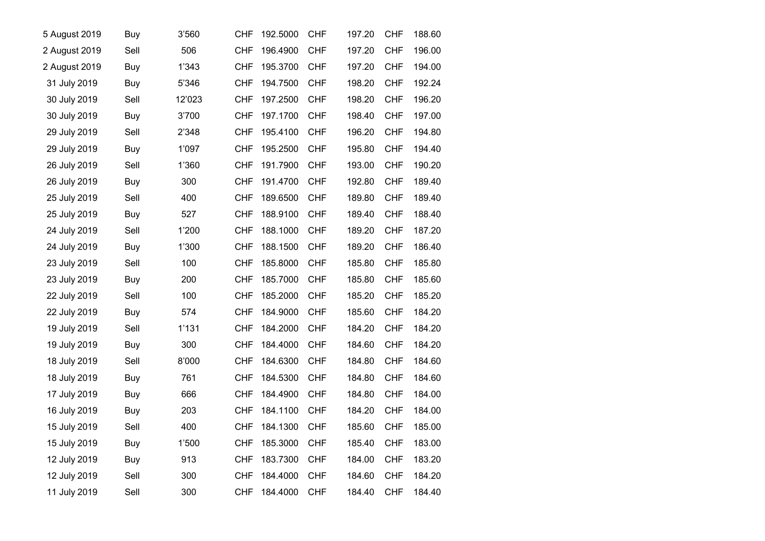| 5 August 2019 | Buy        | 3'560  | CHF        | 192.5000 | <b>CHF</b> | 197.20 | <b>CHF</b> | 188.60 |
|---------------|------------|--------|------------|----------|------------|--------|------------|--------|
| 2 August 2019 | Sell       | 506    | <b>CHF</b> | 196.4900 | <b>CHF</b> | 197.20 | <b>CHF</b> | 196.00 |
| 2 August 2019 | Buy        | 1'343  | <b>CHF</b> | 195.3700 | <b>CHF</b> | 197.20 | <b>CHF</b> | 194.00 |
| 31 July 2019  | Buy        | 5'346  | <b>CHF</b> | 194.7500 | <b>CHF</b> | 198.20 | <b>CHF</b> | 192.24 |
| 30 July 2019  | Sell       | 12'023 | <b>CHF</b> | 197.2500 | <b>CHF</b> | 198.20 | <b>CHF</b> | 196.20 |
| 30 July 2019  | <b>Buy</b> | 3'700  | <b>CHF</b> | 197.1700 | <b>CHF</b> | 198.40 | <b>CHF</b> | 197.00 |
| 29 July 2019  | Sell       | 2'348  | <b>CHF</b> | 195.4100 | <b>CHF</b> | 196.20 | <b>CHF</b> | 194.80 |
| 29 July 2019  | Buy        | 1'097  | <b>CHF</b> | 195.2500 | <b>CHF</b> | 195.80 | <b>CHF</b> | 194.40 |
| 26 July 2019  | Sell       | 1'360  | <b>CHF</b> | 191.7900 | <b>CHF</b> | 193.00 | <b>CHF</b> | 190.20 |
| 26 July 2019  | Buy        | 300    | <b>CHF</b> | 191.4700 | <b>CHF</b> | 192.80 | <b>CHF</b> | 189.40 |
| 25 July 2019  | Sell       | 400    | <b>CHF</b> | 189.6500 | <b>CHF</b> | 189.80 | <b>CHF</b> | 189.40 |
| 25 July 2019  | Buy        | 527    | <b>CHF</b> | 188.9100 | <b>CHF</b> | 189.40 | <b>CHF</b> | 188.40 |
| 24 July 2019  | Sell       | 1'200  | <b>CHF</b> | 188.1000 | <b>CHF</b> | 189.20 | <b>CHF</b> | 187.20 |
| 24 July 2019  | <b>Buy</b> | 1'300  | <b>CHF</b> | 188.1500 | <b>CHF</b> | 189.20 | <b>CHF</b> | 186.40 |
| 23 July 2019  | Sell       | 100    | <b>CHF</b> | 185.8000 | <b>CHF</b> | 185.80 | <b>CHF</b> | 185.80 |
| 23 July 2019  | <b>Buy</b> | 200    | <b>CHF</b> | 185.7000 | <b>CHF</b> | 185.80 | <b>CHF</b> | 185.60 |
| 22 July 2019  | Sell       | 100    | <b>CHF</b> | 185.2000 | <b>CHF</b> | 185.20 | <b>CHF</b> | 185.20 |
| 22 July 2019  | <b>Buy</b> | 574    | <b>CHF</b> | 184.9000 | <b>CHF</b> | 185.60 | <b>CHF</b> | 184.20 |
| 19 July 2019  | Sell       | 1'131  | <b>CHF</b> | 184.2000 | <b>CHF</b> | 184.20 | <b>CHF</b> | 184.20 |
| 19 July 2019  | Buy        | 300    | <b>CHF</b> | 184.4000 | <b>CHF</b> | 184.60 | <b>CHF</b> | 184.20 |
| 18 July 2019  | Sell       | 8'000  | <b>CHF</b> | 184.6300 | <b>CHF</b> | 184.80 | <b>CHF</b> | 184.60 |
| 18 July 2019  | Buy        | 761    | <b>CHF</b> | 184.5300 | <b>CHF</b> | 184.80 | <b>CHF</b> | 184.60 |
| 17 July 2019  | <b>Buy</b> | 666    | <b>CHF</b> | 184.4900 | <b>CHF</b> | 184.80 | <b>CHF</b> | 184.00 |
| 16 July 2019  | <b>Buy</b> | 203    | <b>CHF</b> | 184.1100 | <b>CHF</b> | 184.20 | <b>CHF</b> | 184.00 |
| 15 July 2019  | Sell       | 400    | <b>CHF</b> | 184.1300 | <b>CHF</b> | 185.60 | <b>CHF</b> | 185.00 |
| 15 July 2019  | Buy        | 1'500  | <b>CHF</b> | 185.3000 | <b>CHF</b> | 185.40 | <b>CHF</b> | 183.00 |
| 12 July 2019  | Buy        | 913    | <b>CHF</b> | 183.7300 | <b>CHF</b> | 184.00 | <b>CHF</b> | 183.20 |
| 12 July 2019  | Sell       | 300    | <b>CHF</b> | 184.4000 | <b>CHF</b> | 184.60 | <b>CHF</b> | 184.20 |
| 11 July 2019  | Sell       | 300    | <b>CHF</b> | 184.4000 | <b>CHF</b> | 184.40 | <b>CHF</b> | 184.40 |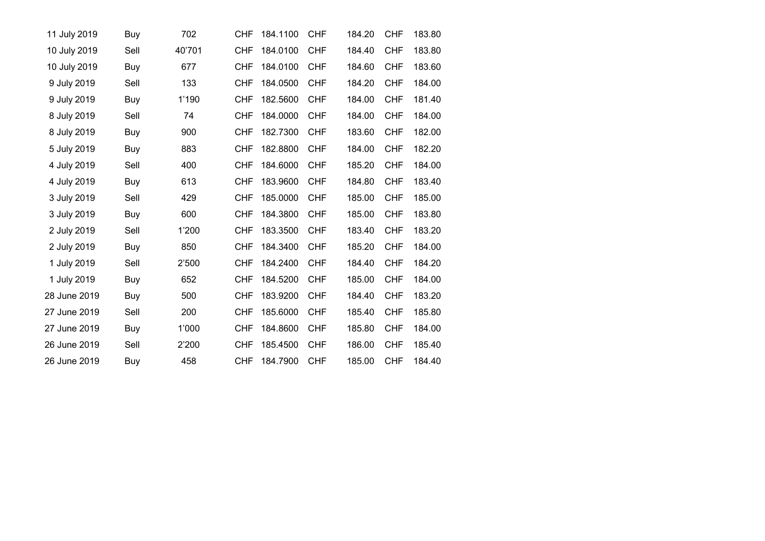| 11 July 2019 | Buy  | 702    | <b>CHF</b> | 184.1100 | <b>CHF</b> | 184.20 | <b>CHF</b> | 183.80 |
|--------------|------|--------|------------|----------|------------|--------|------------|--------|
| 10 July 2019 | Sell | 40'701 | <b>CHF</b> | 184.0100 | <b>CHF</b> | 184.40 | <b>CHF</b> | 183.80 |
| 10 July 2019 | Buy  | 677    | <b>CHF</b> | 184.0100 | <b>CHF</b> | 184.60 | <b>CHF</b> | 183.60 |
| 9 July 2019  | Sell | 133    | <b>CHF</b> | 184.0500 | <b>CHF</b> | 184.20 | <b>CHF</b> | 184.00 |
| 9 July 2019  | Buy  | 1'190  | <b>CHF</b> | 182.5600 | <b>CHF</b> | 184.00 | <b>CHF</b> | 181.40 |
| 8 July 2019  | Sell | 74     | <b>CHF</b> | 184.0000 | <b>CHF</b> | 184.00 | <b>CHF</b> | 184.00 |
| 8 July 2019  | Buy  | 900    | <b>CHF</b> | 182.7300 | <b>CHF</b> | 183.60 | <b>CHF</b> | 182.00 |
| 5 July 2019  | Buy  | 883    | <b>CHF</b> | 182.8800 | <b>CHF</b> | 184.00 | <b>CHF</b> | 182.20 |
| 4 July 2019  | Sell | 400    | <b>CHF</b> | 184.6000 | <b>CHF</b> | 185.20 | <b>CHF</b> | 184.00 |
| 4 July 2019  | Buy  | 613    | <b>CHF</b> | 183.9600 | <b>CHF</b> | 184.80 | <b>CHF</b> | 183.40 |
| 3 July 2019  | Sell | 429    | <b>CHF</b> | 185.0000 | <b>CHF</b> | 185.00 | <b>CHF</b> | 185.00 |
| 3 July 2019  | Buy  | 600    | <b>CHF</b> | 184.3800 | <b>CHF</b> | 185.00 | <b>CHF</b> | 183.80 |
| 2 July 2019  | Sell | 1'200  | <b>CHF</b> | 183.3500 | <b>CHF</b> | 183.40 | <b>CHF</b> | 183.20 |
| 2 July 2019  | Buy  | 850    | <b>CHF</b> | 184.3400 | <b>CHF</b> | 185.20 | <b>CHF</b> | 184.00 |
| 1 July 2019  | Sell | 2'500  | <b>CHF</b> | 184.2400 | <b>CHF</b> | 184.40 | <b>CHF</b> | 184.20 |
| 1 July 2019  | Buy  | 652    | <b>CHF</b> | 184.5200 | <b>CHF</b> | 185.00 | <b>CHF</b> | 184.00 |
| 28 June 2019 | Buy  | 500    | <b>CHF</b> | 183.9200 | <b>CHF</b> | 184.40 | <b>CHF</b> | 183.20 |
| 27 June 2019 | Sell | 200    | <b>CHF</b> | 185.6000 | <b>CHF</b> | 185.40 | <b>CHF</b> | 185.80 |
| 27 June 2019 | Buy  | 1'000  | <b>CHF</b> | 184.8600 | <b>CHF</b> | 185.80 | <b>CHF</b> | 184.00 |
| 26 June 2019 | Sell | 2'200  | <b>CHF</b> | 185.4500 | <b>CHF</b> | 186.00 | <b>CHF</b> | 185.40 |
| 26 June 2019 | Buy  | 458    | <b>CHF</b> | 184.7900 | <b>CHF</b> | 185.00 | <b>CHF</b> | 184.40 |